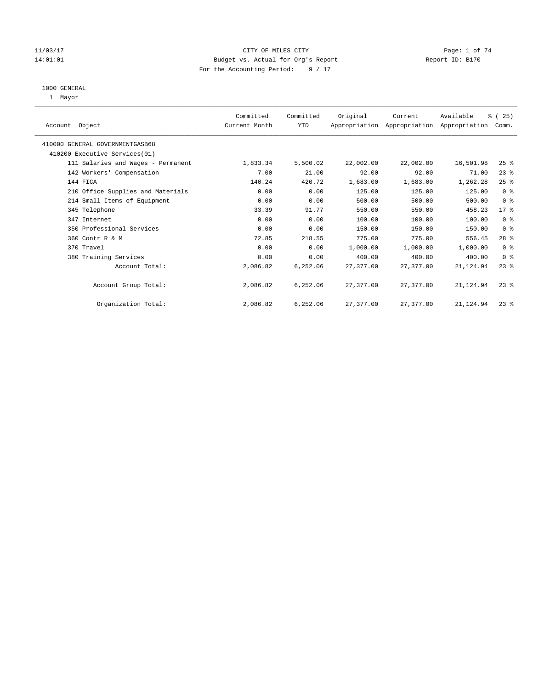#### 11/03/17 Page: 1 of 74 14:01:01 Budget vs. Actual for Org's Report Changer Report ID: B170 For the Accounting Period: 9 / 17

#### 1000 GENERAL

1 Mayor

| Account Object |                                    | Committed<br>Current Month | Committed<br><b>YTD</b> | Original  | Current<br>Appropriation Appropriation Appropriation | Available  | % (25)<br>Comm. |  |
|----------------|------------------------------------|----------------------------|-------------------------|-----------|------------------------------------------------------|------------|-----------------|--|
|                | 410000 GENERAL GOVERNMENTGASB68    |                            |                         |           |                                                      |            |                 |  |
|                | 410200 Executive Services (01)     |                            |                         |           |                                                      |            |                 |  |
|                | 111 Salaries and Wages - Permanent | 1,833.34                   | 5,500.02                | 22,002.00 | 22,002.00                                            | 16,501.98  | 25%             |  |
|                | 142 Workers' Compensation          | 7.00                       | 21.00                   | 92.00     | 92.00                                                | 71.00      | $23$ $%$        |  |
| 144 FICA       |                                    | 140.24                     | 420.72                  | 1,683.00  | 1,683.00                                             | 1,262.28   | $25$ %          |  |
|                | 210 Office Supplies and Materials  | 0.00                       | 0.00                    | 125.00    | 125.00                                               | 125.00     | 0 <sup>8</sup>  |  |
|                | 214 Small Items of Equipment       | 0.00                       | 0.00                    | 500.00    | 500.00                                               | 500.00     | 0 <sup>8</sup>  |  |
|                | 345 Telephone                      | 33.39                      | 91.77                   | 550.00    | 550.00                                               | 458.23     | $17*$           |  |
|                | 347 Internet                       | 0.00                       | 0.00                    | 100.00    | 100.00                                               | 100.00     | 0 <sup>8</sup>  |  |
|                | 350 Professional Services          | 0.00                       | 0.00                    | 150.00    | 150.00                                               | 150.00     | 0 <sup>8</sup>  |  |
|                | 360 Contr R & M                    | 72.85                      | 218.55                  | 775.00    | 775.00                                               | 556.45     | $28$ %          |  |
|                | 370 Travel                         | 0.00                       | 0.00                    | 1,000.00  | 1,000.00                                             | 1,000.00   | 0 <sup>8</sup>  |  |
|                | 380 Training Services              | 0.00                       | 0.00                    | 400.00    | 400.00                                               | 400.00     | 0 <sup>8</sup>  |  |
|                | Account Total:                     | 2,086.82                   | 6,252.06                | 27,377.00 | 27, 377, 00                                          | 21, 124.94 | $23$ $%$        |  |
|                | Account Group Total:               | 2,086.82                   | 6,252.06                | 27,377.00 | 27,377.00                                            | 21,124.94  | $23$ $%$        |  |
|                | Organization Total:                | 2,086.82                   | 6,252.06                | 27,377.00 | 27,377.00                                            | 21,124.94  | $23$ $%$        |  |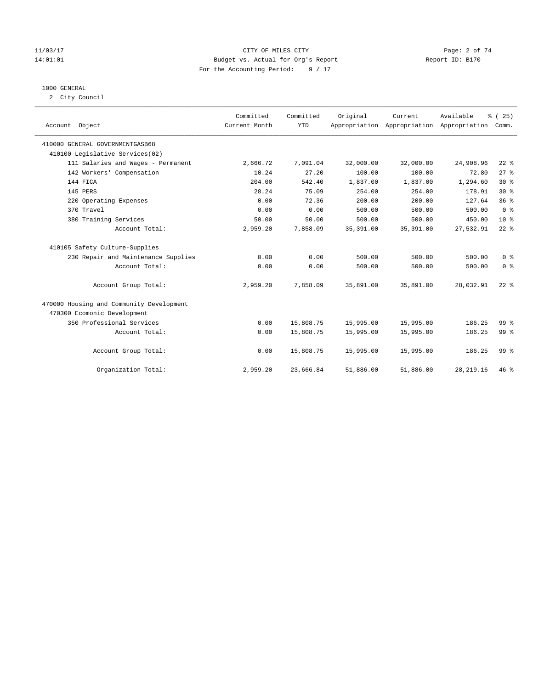#### 11/03/17 CITY OF MILES CITY Page: 2 of 74 14:01:01 Budget vs. Actual for Org's Report Report ID: B170 For the Accounting Period: 9 / 17

#### 1000 GENERAL

2 City Council

| Account Object                           | Committed<br>Current Month | Committed<br><b>YTD</b> | Original   | Current<br>Appropriation Appropriation Appropriation | Available  | % (25)<br>Comm.                    |
|------------------------------------------|----------------------------|-------------------------|------------|------------------------------------------------------|------------|------------------------------------|
| 410000 GENERAL GOVERNMENTGASB68          |                            |                         |            |                                                      |            |                                    |
| 410100 Legislative Services(02)          |                            |                         |            |                                                      |            |                                    |
| 111 Salaries and Wages - Permanent       | 2,666.72                   | 7,091.04                | 32,000.00  | 32,000.00                                            | 24,908.96  | $22$ $%$                           |
| 142 Workers' Compensation                | 10.24                      | 27.20                   | 100.00     | 100.00                                               | 72.80      | $27$ $%$                           |
| 144 FICA                                 | 204.00                     | 542.40                  | 1,837.00   | 1,837.00                                             | 1,294.60   | $30*$                              |
| 145 PERS                                 | 28.24                      | 75.09                   | 254.00     | 254.00                                               | 178.91     | $30*$                              |
| 220 Operating Expenses                   | 0.00                       | 72.36                   | 200.00     | 200.00                                               | 127.64     | 36%                                |
| 370 Travel                               | 0.00                       | 0.00                    | 500.00     | 500.00                                               | 500.00     | 0 <sup>8</sup>                     |
| 380 Training Services                    | 50.00                      | 50.00                   | 500.00     | 500.00                                               | 450.00     | $10*$                              |
| Account Total:                           | 2,959.20                   | 7,858.09                | 35, 391.00 | 35, 391.00                                           | 27,532.91  | $22$ %                             |
| 410105 Safety Culture-Supplies           |                            |                         |            |                                                      |            |                                    |
| 230 Repair and Maintenance Supplies      | 0.00                       | 0.00                    | 500.00     | 500.00                                               | 500.00     | 0 <sup>8</sup>                     |
| Account Total:                           | 0.00                       | 0.00                    | 500.00     | 500.00                                               | 500.00     | $0 \text{ }$ $\text{ }$ $\text{ }$ |
| Account Group Total:                     | 2,959.20                   | 7.858.09                | 35,891.00  | 35,891.00                                            | 28,032.91  | $22$ $%$                           |
| 470000 Housing and Community Development |                            |                         |            |                                                      |            |                                    |
| 470300 Ecomonic Development              |                            |                         |            |                                                      |            |                                    |
| 350 Professional Services                | 0.00                       | 15,808.75               | 15,995.00  | 15,995.00                                            | 186.25     | 99 <sup>8</sup>                    |
| Account Total:                           | 0.00                       | 15,808.75               | 15,995.00  | 15,995.00                                            | 186.25     | 99 <sup>8</sup>                    |
| Account Group Total:                     | 0.00                       | 15,808.75               | 15,995.00  | 15,995.00                                            | 186.25     | 99 <sup>8</sup>                    |
| Organization Total:                      | 2,959.20                   | 23,666.84               | 51,886.00  | 51,886.00                                            | 28, 219.16 | $46*$                              |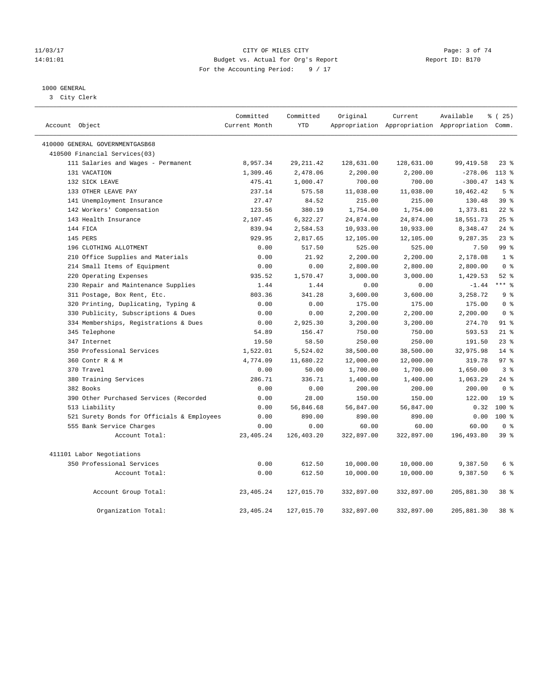#### 11/03/17 CITY OF MILES CITY Page: 3 of 74 14:01:01 Budget vs. Actual for Org's Report Changer Report ID: B170 For the Accounting Period: 9 / 17

### 1000 GENERAL

3 City Clerk

|                                            | Committed     | Committed  | Original   | Current    | Available                                       | % (25)          |
|--------------------------------------------|---------------|------------|------------|------------|-------------------------------------------------|-----------------|
| Account Object                             | Current Month | <b>YTD</b> |            |            | Appropriation Appropriation Appropriation Comm. |                 |
| 410000 GENERAL GOVERNMENTGASB68            |               |            |            |            |                                                 |                 |
| 410500 Financial Services(03)              |               |            |            |            |                                                 |                 |
| 111 Salaries and Wages - Permanent         | 8,957.34      | 29, 211.42 | 128,631.00 | 128,631.00 | 99, 419.58                                      | $23$ %          |
| 131 VACATION                               | 1,309.46      | 2,478.06   | 2,200.00   | 2,200.00   | $-278.06$                                       | $113*$          |
| 132 SICK LEAVE                             | 475.41        | 1,000.47   | 700.00     | 700.00     | $-300.47$                                       | $143$ %         |
| 133 OTHER LEAVE PAY                        | 237.14        | 575.58     | 11,038.00  | 11,038.00  | 10,462.42                                       | 5 <sup>°</sup>  |
| 141 Unemployment Insurance                 | 27.47         | 84.52      | 215.00     | 215.00     | 130.48                                          | 39 <sup>8</sup> |
| 142 Workers' Compensation                  | 123.56        | 380.19     | 1,754.00   | 1,754.00   | 1,373.81                                        | $22$ %          |
| 143 Health Insurance                       | 2,107.45      | 6,322.27   | 24,874.00  | 24,874.00  | 18,551.73                                       | 25%             |
| 144 FICA                                   | 839.94        | 2,584.53   | 10,933.00  | 10,933.00  | 8,348.47                                        | $24$ %          |
| 145 PERS                                   | 929.95        | 2,817.65   | 12,105.00  | 12,105.00  | 9,287.35                                        | $23$ $%$        |
| 196 CLOTHING ALLOTMENT                     | 0.00          | 517.50     | 525.00     | 525.00     | 7.50                                            | 99 <sub>8</sub> |
| 210 Office Supplies and Materials          | 0.00          | 21.92      | 2,200.00   | 2,200.00   | 2,178.08                                        | 1 <sup>°</sup>  |
| 214 Small Items of Equipment               | 0.00          | 0.00       | 2,800.00   | 2,800.00   | 2,800.00                                        | 0 <sup>8</sup>  |
| 220 Operating Expenses                     | 935.52        | 1,570.47   | 3,000.00   | 3,000.00   | 1,429.53                                        | $52$ $%$        |
| 230 Repair and Maintenance Supplies        | 1.44          | 1.44       | 0.00       | 0.00       | $-1.44$                                         | $***$ 8         |
| 311 Postage, Box Rent, Etc.                | 803.36        | 341.28     | 3,600.00   | 3,600.00   | 3,258.72                                        | 9 <sup>°</sup>  |
| 320 Printing, Duplicating, Typing &        | 0.00          | 0.00       | 175.00     | 175.00     | 175.00                                          | 0 <sup>8</sup>  |
| 330 Publicity, Subscriptions & Dues        | 0.00          | 0.00       | 2,200.00   | 2,200.00   | 2,200.00                                        | 0 <sup>8</sup>  |
| 334 Memberships, Registrations & Dues      | 0.00          | 2,925.30   | 3,200.00   | 3,200.00   | 274.70                                          | $91$ %          |
| 345 Telephone                              | 54.89         | 156.47     | 750.00     | 750.00     | 593.53                                          | $21$ %          |
| 347 Internet                               | 19.50         | 58.50      | 250.00     | 250.00     | 191.50                                          | 23%             |
| 350 Professional Services                  | 1,522.01      | 5,524.02   | 38,500.00  | 38,500.00  | 32,975.98                                       | 14 %            |
| 360 Contr R & M                            | 4,774.09      | 11,680.22  | 12,000.00  | 12,000.00  | 319.78                                          | 97 <sup>8</sup> |
| 370 Travel                                 | 0.00          | 50.00      | 1,700.00   | 1,700.00   | 1,650.00                                        | 3 <sup>8</sup>  |
| 380 Training Services                      | 286.71        | 336.71     | 1,400.00   | 1,400.00   | 1,063.29                                        | $24$ %          |
| 382 Books                                  | 0.00          | 0.00       | 200.00     | 200.00     | 200.00                                          | 0 <sup>8</sup>  |
| 390 Other Purchased Services (Recorded     | 0.00          | 28.00      | 150.00     | 150.00     | 122.00                                          | 19 <sup>°</sup> |
| 513 Liability                              | 0.00          | 56,846.68  | 56,847.00  | 56,847.00  | 0.32                                            | $100*$          |
| 521 Surety Bonds for Officials & Employees | 0.00          | 890.00     | 890.00     | 890.00     | 0.00                                            | $100*$          |
| 555 Bank Service Charges                   | 0.00          | 0.00       | 60.00      | 60.00      | 60.00                                           | 0 <sup>8</sup>  |
| Account Total:                             | 23, 405. 24   | 126,403.20 | 322,897.00 | 322,897.00 | 196,493.80                                      | 39 <sup>8</sup> |
| 411101 Labor Negotiations                  |               |            |            |            |                                                 |                 |
| 350 Professional Services                  | 0.00          | 612.50     | 10,000.00  | 10,000.00  | 9,387.50                                        | 6 %             |
| Account Total:                             | 0.00          | 612.50     | 10,000.00  | 10,000.00  | 9,387.50                                        | 6 %             |
| Account Group Total:                       | 23, 405. 24   | 127,015.70 | 332,897.00 | 332,897.00 | 205,881.30                                      | 38 <sup>8</sup> |
| Organization Total:                        | 23, 405. 24   | 127,015.70 | 332,897.00 | 332,897.00 | 205,881.30                                      | 38 %            |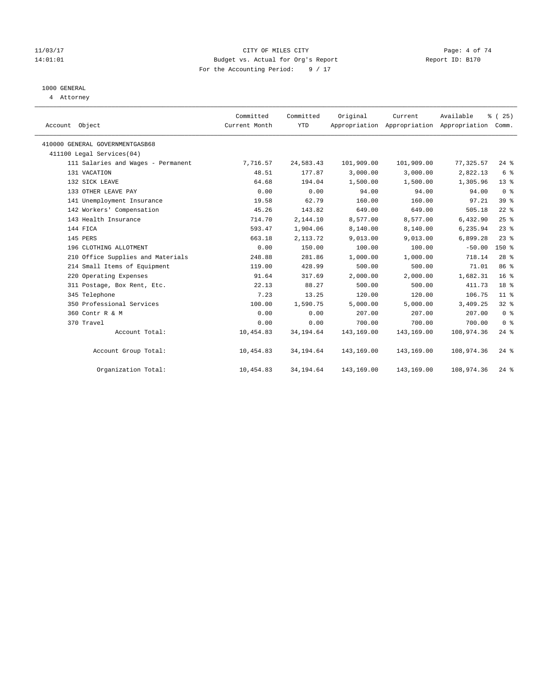#### 11/03/17 CITY OF MILES CITY Page: 4 of 74 14:01:01 Budget vs. Actual for Org's Report Report ID: B170 For the Accounting Period: 9 / 17

### 1000 GENERAL

4 Attorney

| Account Object                     | Committed<br>Current Month | Committed<br><b>YTD</b> | Original   | Current    | Available<br>Appropriation Appropriation Appropriation | % (25)<br>Comm.    |
|------------------------------------|----------------------------|-------------------------|------------|------------|--------------------------------------------------------|--------------------|
| 410000 GENERAL GOVERNMENTGASB68    |                            |                         |            |            |                                                        |                    |
| 411100 Legal Services(04)          |                            |                         |            |            |                                                        |                    |
| 111 Salaries and Wages - Permanent | 7,716.57                   | 24,583.43               | 101,909.00 | 101,909.00 | 77,325.57                                              | $24$ $\frac{6}{5}$ |
| 131 VACATION                       | 48.51                      | 177.87                  | 3,000.00   | 3,000.00   | 2,822.13                                               | 6 %                |
| 132 SICK LEAVE                     | 64.68                      | 194.04                  | 1,500.00   | 1,500.00   | 1,305.96                                               | $13*$              |
| 133 OTHER LEAVE PAY                | 0.00                       | 0.00                    | 94.00      | 94.00      | 94.00                                                  | 0 <sup>8</sup>     |
| 141 Unemployment Insurance         | 19.58                      | 62.79                   | 160.00     | 160.00     | 97.21                                                  | 39 <sup>°</sup>    |
| 142 Workers' Compensation          | 45.26                      | 143.82                  | 649.00     | 649.00     | 505.18                                                 | $22$ %             |
| 143 Health Insurance               | 714.70                     | 2,144.10                | 8,577.00   | 8,577.00   | 6,432.90                                               | 25%                |
| 144 FICA                           | 593.47                     | 1,904.06                | 8,140.00   | 8,140.00   | 6,235.94                                               | $23$ $%$           |
| 145 PERS                           | 663.18                     | 2, 113.72               | 9,013.00   | 9,013.00   | 6,899.28                                               | $23$ $%$           |
| 196 CLOTHING ALLOTMENT             | 0.00                       | 150.00                  | 100.00     | 100.00     | $-50.00$                                               | $150*$             |
| 210 Office Supplies and Materials  | 248.88                     | 281.86                  | 1,000.00   | 1,000.00   | 718.14                                                 | $28$ %             |
| 214 Small Items of Equipment       | 119.00                     | 428.99                  | 500.00     | 500.00     | 71.01                                                  | 86 <sup>8</sup>    |
| 220 Operating Expenses             | 91.64                      | 317.69                  | 2,000.00   | 2,000.00   | 1,682.31                                               | 16 <sup>8</sup>    |
| 311 Postage, Box Rent, Etc.        | 22.13                      | 88.27                   | 500.00     | 500.00     | 411.73                                                 | 18 <sup>8</sup>    |
| 345 Telephone                      | 7.23                       | 13.25                   | 120.00     | 120.00     | 106.75                                                 | 11 <sup>°</sup>    |
| 350 Professional Services          | 100.00                     | 1,590.75                | 5,000.00   | 5,000.00   | 3,409.25                                               | $32$ $%$           |
| 360 Contr R & M                    | 0.00                       | 0.00                    | 207.00     | 207.00     | 207.00                                                 | 0 <sup>8</sup>     |
| 370 Travel                         | 0.00                       | 0.00                    | 700.00     | 700.00     | 700.00                                                 | 0 <sup>8</sup>     |
| Account Total:                     | 10,454.83                  | 34,194.64               | 143,169.00 | 143,169.00 | 108,974.36                                             | $24$ %             |
| Account Group Total:               | 10,454.83                  | 34,194.64               | 143,169.00 | 143,169.00 | 108,974.36                                             | $24$ %             |
| Organization Total:                | 10,454.83                  | 34, 194.64              | 143,169.00 | 143,169.00 | 108,974.36                                             | $24$ %             |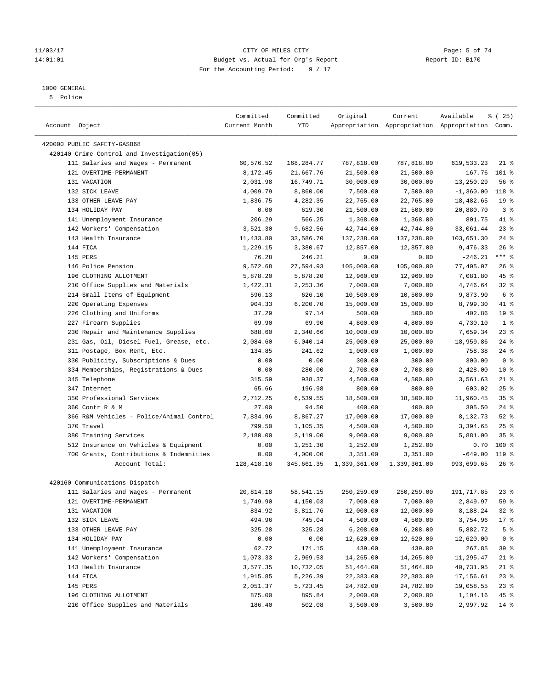#### 11/03/17 CITY OF MILES CITY Page: 5 of 74 14:01:01 Budget vs. Actual for Org's Report Report ID: B170 For the Accounting Period: 9 / 17

————————————————————————————————————————————————————————————————————————————————————————————————————————————————————————————————————

### 1000 GENERAL

5 Police

|                                            | Committed     | Committed   | Original     | Current      | Available                                       | % (25)          |
|--------------------------------------------|---------------|-------------|--------------|--------------|-------------------------------------------------|-----------------|
| Account Object                             | Current Month | YTD         |              |              | Appropriation Appropriation Appropriation Comm. |                 |
| 420000 PUBLIC SAFETY-GASB68                |               |             |              |              |                                                 |                 |
| 420140 Crime Control and Investigation(05) |               |             |              |              |                                                 |                 |
| 111 Salaries and Wages - Permanent         | 60,576.52     | 168,284.77  | 787,818.00   | 787,818.00   | 619,533.23                                      | $21$ %          |
| 121 OVERTIME-PERMANENT                     | 8,172.45      | 21,667.76   | 21,500.00    | 21,500.00    | $-167.76$                                       | 101 %           |
| 131 VACATION                               | 2,031.98      | 16,749.71   | 30,000.00    | 30,000.00    | 13,250.29                                       | 56 %            |
| 132 SICK LEAVE                             | 4,009.79      | 8,860.00    | 7,500.00     | 7,500.00     | $-1,360.00$                                     | 118 %           |
| 133 OTHER LEAVE PAY                        | 1,836.75      | 4,282.35    | 22,765.00    | 22,765.00    | 18,482.65                                       | 19 <sup>°</sup> |
| 134 HOLIDAY PAY                            | 0.00          | 619.30      | 21,500.00    | 21,500.00    | 20,880.70                                       | 3 <sup>8</sup>  |
| 141 Unemployment Insurance                 | 206.29        | 566.25      | 1,368.00     | 1,368.00     | 801.75                                          | 41 %            |
| 142 Workers' Compensation                  | 3,521.30      | 9,682.56    | 42,744.00    | 42,744.00    | 33,061.44                                       | 23%             |
| 143 Health Insurance                       | 11,433.80     | 33,586.70   | 137,238.00   | 137,238.00   | 103,651.30                                      | $24$ %          |
| 144 FICA                                   | 1,229.15      | 3,380.67    | 12,857.00    | 12,857.00    | 9,476.33                                        | 26%             |
| 145 PERS                                   | 76.28         | 246.21      | 0.00         | 0.00         | $-246.21$                                       | $***$ $_{8}$    |
| 146 Police Pension                         | 9,572.68      | 27,594.93   | 105,000.00   | 105,000.00   | 77,405.07                                       | $26$ %          |
| 196 CLOTHING ALLOTMENT                     | 5,878.20      | 5,878.20    | 12,960.00    | 12,960.00    | 7,081.80                                        | 45 %            |
| 210 Office Supplies and Materials          | 1,422.31      | 2,253.36    | 7,000.00     | 7,000.00     | 4,746.64                                        | $32$ $%$        |
| 214 Small Items of Equipment               | 596.13        | 626.10      | 10,500.00    | 10,500.00    | 9,873.90                                        | 6 <sup>°</sup>  |
| 220 Operating Expenses                     | 904.33        | 6,200.70    | 15,000.00    | 15,000.00    | 8,799.30                                        | 41 %            |
| 226 Clothing and Uniforms                  | 37.29         | 97.14       | 500.00       | 500.00       | 402.86                                          | 19 <sup>°</sup> |
| 227 Firearm Supplies                       | 69.90         | 69.90       | 4,800.00     | 4,800.00     | 4,730.10                                        | 1 <sup>°</sup>  |
| 230 Repair and Maintenance Supplies        | 688.60        | 2,340.66    | 10,000.00    | 10,000.00    | 7,659.34                                        | 23%             |
| 231 Gas, Oil, Diesel Fuel, Grease, etc.    | 2,084.60      | 6,040.14    | 25,000.00    | 25,000.00    | 18,959.86                                       | $24$ %          |
| 311 Postage, Box Rent, Etc.                | 134.85        | 241.62      | 1,000.00     | 1,000.00     | 758.38                                          | $24$ %          |
| 330 Publicity, Subscriptions & Dues        | 0.00          | 0.00        | 300.00       | 300.00       | 300.00                                          | 0 <sup>8</sup>  |
| 334 Memberships, Registrations & Dues      | 0.00          | 280.00      | 2,708.00     | 2,708.00     | 2,428.00                                        | $10*$           |
| 345 Telephone                              | 315.59        | 938.37      | 4,500.00     | 4,500.00     | 3,561.63                                        | $21$ %          |
| 347 Internet                               | 65.66         | 196.98      | 800.00       | 800.00       | 603.02                                          | 25%             |
| 350 Professional Services                  | 2,712.25      | 6,539.55    | 18,500.00    | 18,500.00    | 11,960.45                                       | 35%             |
| 360 Contr R & M                            | 27.00         | 94.50       | 400.00       | 400.00       | 305.50                                          | $24$ %          |
| 366 R&M Vehicles - Police/Animal Control   | 7,834.96      | 8,867.27    | 17,000.00    | 17,000.00    | 8,132.73                                        | $52$ $%$        |
| 370 Travel                                 | 799.50        | 1,105.35    | 4,500.00     | 4,500.00     | 3,394.65                                        | 25%             |
| 380 Training Services                      | 2,180.00      | 3,119.00    | 9,000.00     | 9,000.00     | 5,881.00                                        | 35%             |
| 512 Insurance on Vehicles & Equipment      | 0.00          | 1,251.30    | 1,252.00     | 1,252.00     | 0.70                                            | $100*$          |
| 700 Grants, Contributions & Indemnities    | 0.00          | 4,000.00    | 3,351.00     | 3,351.00     | $-649.00$                                       | $119$ %         |
| Account Total:                             | 128, 418.16   | 345,661.35  | 1,339,361.00 | 1,339,361.00 | 993,699.65                                      | $26$ %          |
| 420160 Communications-Dispatch             |               |             |              |              |                                                 |                 |
| 111 Salaries and Wages - Permanent         | 20,814.18     | 58, 541. 15 | 250,259.00   | 250,259.00   | 191,717.85                                      | $23$ %          |
| 121 OVERTIME-PERMANENT                     | 1,749.90      | 4,150.03    | 7,000.00     | 7,000.00     | 2,849.97                                        | 59 %            |
| 131 VACATION                               | 834.92        | 3,811.76    | 12,000.00    | 12,000.00    | 8,188.24                                        | $32$ %          |
| 132 SICK LEAVE                             | 494.96        | 745.04      | 4,500.00     | 4,500.00     | 3,754.96                                        | $17 - 8$        |
| 133 OTHER LEAVE PAY                        | 325.28        | 325.28      | 6,208.00     | 6,208.00     | 5,882.72                                        | 5 <sup>°</sup>  |
| 134 HOLIDAY PAY                            | 0.00          | 0.00        | 12,620.00    | 12,620.00    | 12,620.00                                       | 0 <sup>8</sup>  |
| 141 Unemployment Insurance                 | 62.72         | 171.15      | 439.00       | 439.00       | 267.85                                          | 39 %            |
| 142 Workers' Compensation                  | 1,073.33      | 2,969.53    | 14,265.00    | 14,265.00    | 11,295.47                                       | $21$ %          |
| 143 Health Insurance                       | 3,577.35      | 10,732.05   | 51,464.00    | 51,464.00    | 40,731.95                                       | $21$ %          |
| 144 FICA                                   | 1,915.85      | 5,226.39    | 22,383.00    | 22,383.00    | 17,156.61                                       | $23$ %          |
| 145 PERS                                   | 2,051.37      | 5,723.45    | 24,782.00    | 24,782.00    | 19,058.55                                       | $23$ %          |
| 196 CLOTHING ALLOTMENT                     | 875.00        | 895.84      | 2,000.00     | 2,000.00     | 1,104.16                                        | 45 %            |
| 210 Office Supplies and Materials          | 186.40        | 502.08      | 3,500.00     | 3,500.00     | 2,997.92                                        | 14 %            |
|                                            |               |             |              |              |                                                 |                 |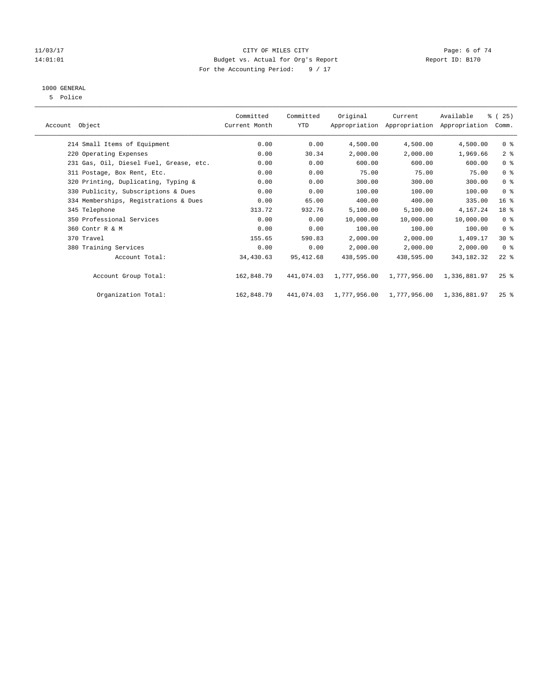#### 11/03/17 Page: 6 of 74 14:01:01 Budget vs. Actual for Org's Report Report ID: B170 For the Accounting Period: 9 / 17

# 1000 GENERAL

5 Police

|                |                                         | Committed     | Committed  | Original     | Current      | Available                                 | % (25)             |  |
|----------------|-----------------------------------------|---------------|------------|--------------|--------------|-------------------------------------------|--------------------|--|
| Account Object |                                         | Current Month | YTD        |              |              | Appropriation Appropriation Appropriation | Comm.              |  |
|                | 214 Small Items of Equipment            | 0.00          | 0.00       | 4,500.00     | 4,500.00     | 4,500.00                                  | 0 <sub>8</sub>     |  |
|                | 220 Operating Expenses                  | 0.00          | 30.34      | 2,000.00     | 2,000.00     | 1,969.66                                  | 2 <sup>8</sup>     |  |
|                | 231 Gas, Oil, Diesel Fuel, Grease, etc. | 0.00          | 0.00       | 600.00       | 600.00       | 600.00                                    | 0 <sup>8</sup>     |  |
|                | 311 Postage, Box Rent, Etc.             | 0.00          | 0.00       | 75.00        | 75.00        | 75.00                                     | 0 <sup>8</sup>     |  |
|                | 320 Printing, Duplicating, Typing &     | 0.00          | 0.00       | 300.00       | 300.00       | 300.00                                    | 0 <sup>8</sup>     |  |
|                | 330 Publicity, Subscriptions & Dues     | 0.00          | 0.00       | 100.00       | 100.00       | 100.00                                    | 0 <sup>8</sup>     |  |
|                | 334 Memberships, Registrations & Dues   | 0.00          | 65.00      | 400.00       | 400.00       | 335.00                                    | 16 <sup>°</sup>    |  |
|                | 345 Telephone                           | 313.72        | 932.76     | 5,100.00     | 5,100.00     | 4,167.24                                  | 18 %               |  |
|                | 350 Professional Services               | 0.00          | 0.00       | 10,000.00    | 10,000.00    | 10,000.00                                 | 0 <sup>8</sup>     |  |
|                | 360 Contr R & M                         | 0.00          | 0.00       | 100.00       | 100.00       | 100.00                                    | 0 <sup>8</sup>     |  |
|                | 370 Travel                              | 155.65        | 590.83     | 2,000.00     | 2,000.00     | 1,409.17                                  | $30*$              |  |
|                | 380 Training Services                   | 0.00          | 0.00       | 2,000.00     | 2,000.00     | 2,000.00                                  | 0 <sup>8</sup>     |  |
|                | Account Total:                          | 34,430.63     | 95, 412.68 | 438,595.00   | 438,595.00   | 343, 182. 32                              | $22$ %             |  |
|                | Account Group Total:                    | 162,848.79    | 441,074.03 | 1,777,956.00 | 1,777,956.00 | 1,336,881.97                              | $25$ $\frac{6}{5}$ |  |
|                | Organization Total:                     | 162,848.79    | 441,074.03 | 1,777,956.00 | 1,777,956.00 | 1,336,881.97                              | $25$ $\frac{6}{5}$ |  |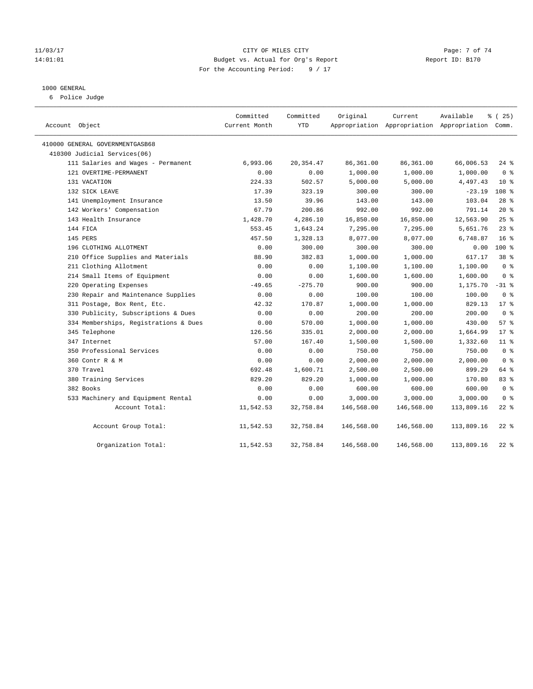#### 11/03/17 CITY OF MILES CITY Page: 7 of 74 14:01:01 Budget vs. Actual for Org's Report Report ID: B170 For the Accounting Period: 9 / 17

#### 1000 GENERAL

6 Police Judge

| Account Object                        | Committed<br>Current Month | Committed<br><b>YTD</b> | Original   | Current<br>Appropriation Appropriation Appropriation Comm. | Available  | 8 (25)           |
|---------------------------------------|----------------------------|-------------------------|------------|------------------------------------------------------------|------------|------------------|
| 410000 GENERAL GOVERNMENTGASB68       |                            |                         |            |                                                            |            |                  |
| 410300 Judicial Services(06)          |                            |                         |            |                                                            |            |                  |
| 111 Salaries and Wages - Permanent    | 6,993.06                   | 20, 354.47              | 86,361.00  | 86,361.00                                                  | 66,006.53  | $24$ %           |
| 121 OVERTIME-PERMANENT                | 0.00                       | 0.00                    | 1,000.00   | 1,000.00                                                   | 1,000.00   | 0 <sup>8</sup>   |
| 131 VACATION                          | 224.33                     | 502.57                  | 5,000.00   | 5,000.00                                                   | 4,497.43   | 10 <sup>8</sup>  |
| 132 SICK LEAVE                        | 17.39                      | 323.19                  | 300.00     | 300.00                                                     | $-23.19$   | 108 <sup>8</sup> |
| 141 Unemployment Insurance            | 13.50                      | 39.96                   | 143.00     | 143.00                                                     | 103.04     | $28$ $%$         |
| 142 Workers' Compensation             | 67.79                      | 200.86                  | 992.00     | 992.00                                                     | 791.14     | $20*$            |
| 143 Health Insurance                  | 1,428.70                   | 4,286.10                | 16,850.00  | 16,850.00                                                  | 12,563.90  | 25%              |
| 144 FICA                              | 553.45                     | 1,643.24                | 7,295.00   | 7,295.00                                                   | 5,651.76   | $23$ %           |
| 145 PERS                              | 457.50                     | 1,328.13                | 8,077.00   | 8,077.00                                                   | 6,748.87   | 16 <sup>°</sup>  |
| 196 CLOTHING ALLOTMENT                | 0.00                       | 300.00                  | 300.00     | 300.00                                                     | 0.00       | $100*$           |
| 210 Office Supplies and Materials     | 88.90                      | 382.83                  | 1,000.00   | 1,000.00                                                   | 617.17     | 38 <sup>8</sup>  |
| 211 Clothing Allotment                | 0.00                       | 0.00                    | 1,100.00   | 1,100.00                                                   | 1,100.00   | 0 <sup>8</sup>   |
| 214 Small Items of Equipment          | 0.00                       | 0.00                    | 1,600.00   | 1,600.00                                                   | 1,600.00   | 0 <sup>8</sup>   |
| 220 Operating Expenses                | $-49.65$                   | $-275.70$               | 900.00     | 900.00                                                     | 1,175.70   | $-31$ %          |
| 230 Repair and Maintenance Supplies   | 0.00                       | 0.00                    | 100.00     | 100.00                                                     | 100.00     | 0 <sup>8</sup>   |
| 311 Postage, Box Rent, Etc.           | 42.32                      | 170.87                  | 1,000.00   | 1,000.00                                                   | 829.13     | $17*$            |
| 330 Publicity, Subscriptions & Dues   | 0.00                       | 0.00                    | 200.00     | 200.00                                                     | 200.00     | 0 <sup>8</sup>   |
| 334 Memberships, Registrations & Dues | 0.00                       | 570.00                  | 1,000.00   | 1,000.00                                                   | 430.00     | 57%              |
| 345 Telephone                         | 126.56                     | 335.01                  | 2,000.00   | 2,000.00                                                   | 1,664.99   | $17*$            |
| 347 Internet                          | 57.00                      | 167.40                  | 1,500.00   | 1,500.00                                                   | 1,332.60   | $11*$            |
| 350 Professional Services             | 0.00                       | 0.00                    | 750.00     | 750.00                                                     | 750.00     | 0 <sup>8</sup>   |
| 360 Contr R & M                       | 0.00                       | 0.00                    | 2,000.00   | 2,000.00                                                   | 2,000.00   | 0 <sup>8</sup>   |
| 370 Travel                            | 692.48                     | 1,600.71                | 2,500.00   | 2,500.00                                                   | 899.29     | 64 %             |
| 380 Training Services                 | 829.20                     | 829.20                  | 1,000.00   | 1,000.00                                                   | 170.80     | 83%              |
| 382 Books                             | 0.00                       | 0.00                    | 600.00     | 600.00                                                     | 600.00     | 0 <sup>8</sup>   |
| 533 Machinery and Equipment Rental    | 0.00                       | 0.00                    | 3,000.00   | 3,000.00                                                   | 3,000.00   | 0 <sup>8</sup>   |
| Account Total:                        | 11,542.53                  | 32,758.84               | 146,568.00 | 146,568.00                                                 | 113,809.16 | $22$ %           |
| Account Group Total:                  | 11,542.53                  | 32,758.84               | 146,568.00 | 146,568.00                                                 | 113,809.16 | $22$ %           |
| Organization Total:                   | 11,542.53                  | 32,758.84               | 146,568.00 | 146,568.00                                                 | 113,809.16 | $22$ %           |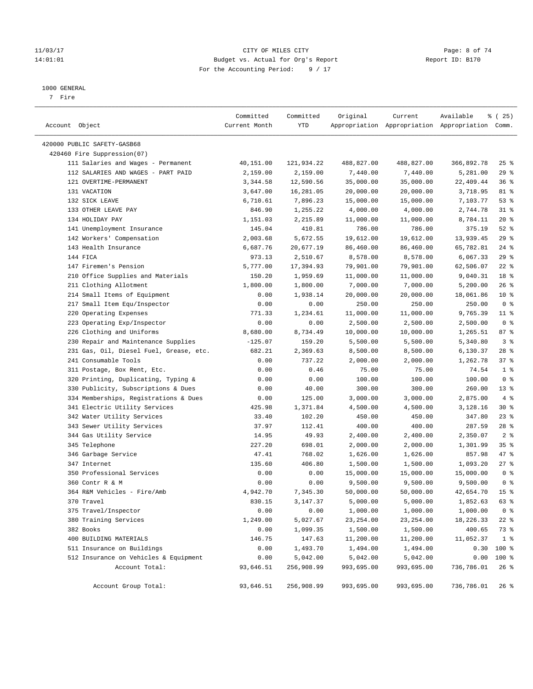#### 11/03/17 CITY OF MILES CITY Page: 8 of 74 14:01:01 Budget vs. Actual for Org's Report Report ID: B170 For the Accounting Period: 9 / 17

————————————————————————————————————————————————————————————————————————————————————————————————————————————————————————————————————

#### 1000 GENERAL

7 Fire

|                                         | Committed     | Committed  | Original   | Current    | Available                                       | % (25)          |
|-----------------------------------------|---------------|------------|------------|------------|-------------------------------------------------|-----------------|
| Account Object                          | Current Month | YTD        |            |            | Appropriation Appropriation Appropriation Comm. |                 |
| 420000 PUBLIC SAFETY-GASB68             |               |            |            |            |                                                 |                 |
| 420460 Fire Suppression(07)             |               |            |            |            |                                                 |                 |
| 111 Salaries and Wages - Permanent      | 40,151.00     | 121,934.22 | 488,827.00 | 488,827.00 | 366,892.78                                      | $25$ %          |
| 112 SALARIES AND WAGES - PART PAID      | 2,159.00      | 2,159.00   | 7,440.00   | 7,440.00   | 5,281.00                                        | 29%             |
| 121 OVERTIME-PERMANENT                  | 3,344.58      | 12,590.56  | 35,000.00  | 35,000.00  | 22,409.44                                       | 36%             |
| 131 VACATION                            | 3,647.00      | 16,281.05  | 20,000.00  | 20,000.00  | 3,718.95                                        | 81 %            |
| 132 SICK LEAVE                          | 6,710.61      | 7,896.23   | 15,000.00  | 15,000.00  | 7,103.77                                        | 53%             |
| 133 OTHER LEAVE PAY                     | 846.90        | 1,255.22   | 4,000.00   | 4,000.00   | 2,744.78                                        | $31$ %          |
| 134 HOLIDAY PAY                         | 1,151.03      | 2,215.89   | 11,000.00  | 11,000.00  | 8,784.11                                        | $20*$           |
| 141 Unemployment Insurance              | 145.04        | 410.81     | 786.00     | 786.00     | 375.19                                          | $52$ $%$        |
| 142 Workers' Compensation               | 2,003.68      | 5,672.55   | 19,612.00  | 19,612.00  | 13,939.45                                       | 29%             |
| 143 Health Insurance                    | 6,687.76      | 20,677.19  | 86,460.00  | 86,460.00  | 65,782.81                                       | $24$ %          |
| 144 FICA                                | 973.13        | 2,510.67   | 8,578.00   | 8,578.00   | 6,067.33                                        | 29%             |
| 147 Firemen's Pension                   | 5,777.00      | 17,394.93  | 79,901.00  | 79,901.00  | 62,506.07                                       | $22$ %          |
| 210 Office Supplies and Materials       | 150.20        | 1,959.69   | 11,000.00  | 11,000.00  | 9,040.31                                        | 18 %            |
| 211 Clothing Allotment                  | 1,800.00      | 1,800.00   | 7,000.00   | 7,000.00   | 5,200.00                                        | 26%             |
| 214 Small Items of Equipment            | 0.00          | 1,938.14   | 20,000.00  | 20,000.00  | 18,061.86                                       | $10*$           |
| 217 Small Item Equ/Inspector            | 0.00          | 0.00       | 250.00     | 250.00     | 250.00                                          | 0 <sup>8</sup>  |
| 220 Operating Expenses                  | 771.33        | 1,234.61   | 11,000.00  | 11,000.00  | 9,765.39                                        | $11$ %          |
| 223 Operating Exp/Inspector             | 0.00          | 0.00       | 2,500.00   | 2,500.00   | 2,500.00                                        | 0 <sup>8</sup>  |
| 226 Clothing and Uniforms               | 8,680.00      | 8,734.49   | 10,000.00  | 10,000.00  | 1,265.51                                        | 87%             |
| 230 Repair and Maintenance Supplies     | $-125.07$     | 159.20     | 5,500.00   | 5,500.00   | 5,340.80                                        | 3%              |
| 231 Gas, Oil, Diesel Fuel, Grease, etc. | 682.21        | 2,369.63   | 8,500.00   | 8,500.00   | 6,130.37                                        | $28$ %          |
| 241 Consumable Tools                    | 0.00          | 737.22     | 2,000.00   | 2,000.00   | 1,262.78                                        | 37%             |
| 311 Postage, Box Rent, Etc.             | 0.00          | 0.46       | 75.00      | 75.00      | 74.54                                           | 1 <sup>8</sup>  |
| 320 Printing, Duplicating, Typing &     | 0.00          | 0.00       | 100.00     | 100.00     | 100.00                                          | 0 <sup>8</sup>  |
| 330 Publicity, Subscriptions & Dues     | 0.00          | 40.00      | 300.00     | 300.00     | 260.00                                          | $13*$           |
| 334 Memberships, Registrations & Dues   | 0.00          | 125.00     | 3,000.00   | 3,000.00   | 2,875.00                                        | $4\degree$      |
| 341 Electric Utility Services           | 425.98        | 1,371.84   | 4,500.00   | 4,500.00   | 3,128.16                                        | $30*$           |
| 342 Water Utility Services              | 33.40         | 102.20     | 450.00     | 450.00     | 347.80                                          | $23$ $%$        |
| 343 Sewer Utility Services              | 37.97         | 112.41     | 400.00     | 400.00     | 287.59                                          | $28$ %          |
| 344 Gas Utility Service                 | 14.95         | 49.93      | 2,400.00   | 2,400.00   | 2,350.07                                        | 2 <sup>8</sup>  |
| 345 Telephone                           | 227.20        | 698.01     | 2,000.00   | 2,000.00   | 1,301.99                                        | 35%             |
| 346 Garbage Service                     | 47.41         | 768.02     | 1,626.00   | 1,626.00   | 857.98                                          | 47 %            |
| 347 Internet                            | 135.60        | 406.80     | 1,500.00   | 1,500.00   | 1,093.20                                        | $27$ %          |
| 350 Professional Services               | 0.00          | 0.00       | 15,000.00  | 15,000.00  | 15,000.00                                       | 0 <sup>8</sup>  |
| 360 Contr R & M                         | 0.00          | 0.00       | 9,500.00   | 9,500.00   | 9,500.00                                        | 0 <sup>8</sup>  |
| 364 R&M Vehicles - Fire/Amb             | 4,942.70      | 7,345.30   | 50,000.00  | 50,000.00  | 42,654.70                                       | 15 <sup>°</sup> |
| 370 Travel                              | 830.15        | 3,147.37   | 5,000.00   | 5,000.00   | 1,852.63                                        | 63 %            |
| 375 Travel/Inspector                    | 0.00          | 0.00       | 1,000.00   | 1,000.00   | 1,000.00                                        | 0 <sup>8</sup>  |
| 380 Training Services                   | 1,249.00      | 5,027.67   | 23, 254.00 | 23, 254.00 | 18,226.33                                       | $22$ %          |
| 382 Books                               | 0.00          | 1,099.35   | 1,500.00   | 1,500.00   | 400.65                                          | 73 %            |
| 400 BUILDING MATERIALS                  | 146.75        | 147.63     | 11,200.00  | 11,200.00  | 11,052.37                                       | 1 <sup>8</sup>  |
| 511 Insurance on Buildings              | 0.00          | 1,493.70   | 1,494.00   | 1,494.00   | 0.30                                            | 100 %           |
| 512 Insurance on Vehicles & Equipment   | 0.00          | 5,042.00   | 5,042.00   | 5,042.00   | 0.00                                            | 100 %           |
| Account Total:                          | 93,646.51     | 256,908.99 | 993,695.00 | 993,695.00 | 736,786.01                                      | $26$ %          |
|                                         |               |            |            |            |                                                 |                 |
| Account Group Total:                    | 93,646.51     | 256,908.99 | 993,695.00 | 993,695.00 | 736,786.01                                      | $26$ %          |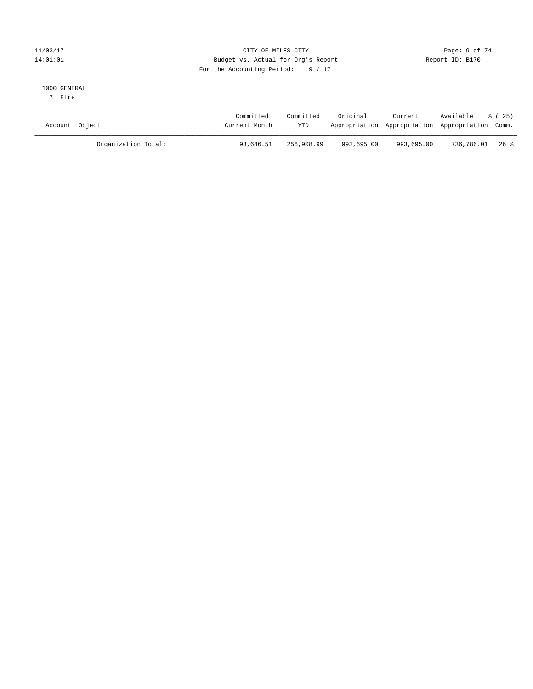### 11/03/17 Page: 9 of 74 14:01:01 Budget vs. Actual for Org's Report Changer Report ID: B170 For the Accounting Period: 9 / 17

#### 1000 GENERAL

7 Fire

| Account Object      | Committed<br>Current Month | Committed<br><b>YTD</b> | Original   | Current<br>Appropriation Appropriation Appropriation Comm. | Available      | 8 (25) |
|---------------------|----------------------------|-------------------------|------------|------------------------------------------------------------|----------------|--------|
| Organization Total: | 93,646.51                  | 256,908.99              | 993,695.00 | 993,695.00                                                 | 736,786.01 26% |        |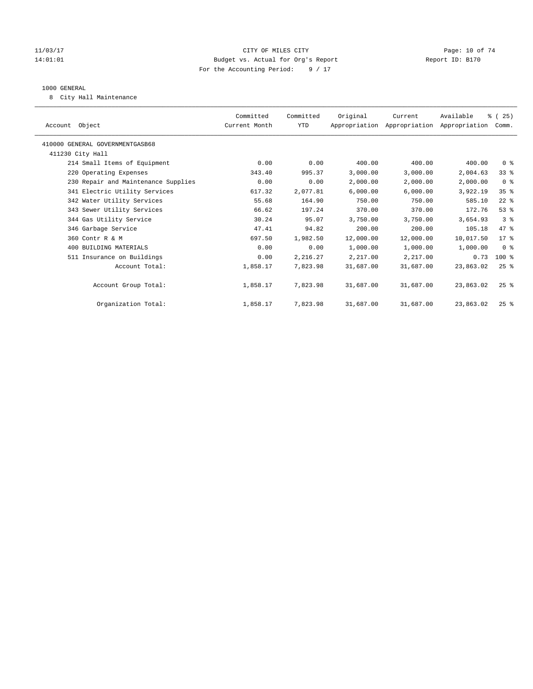#### 11/03/17 Page: 10 of 74 14:01:01 Budget vs. Actual for Org's Report Report ID: B170 For the Accounting Period: 9 / 17

#### 1000 GENERAL

8 City Hall Maintenance

| Account Object                      | Committed<br>Current Month | Committed<br>YTD | Original  | Current<br>Appropriation Appropriation Appropriation | Available | % (25)<br>Comm. |
|-------------------------------------|----------------------------|------------------|-----------|------------------------------------------------------|-----------|-----------------|
| 410000 GENERAL GOVERNMENTGASB68     |                            |                  |           |                                                      |           |                 |
| 411230 City Hall                    |                            |                  |           |                                                      |           |                 |
| 214 Small Items of Equipment        | 0.00                       | 0.00             | 400.00    | 400.00                                               | 400.00    | 0 <sup>8</sup>  |
| 220 Operating Expenses              | 343.40                     | 995.37           | 3,000.00  | 3,000.00                                             | 2,004.63  | 33 <sup>8</sup> |
| 230 Repair and Maintenance Supplies | 0.00                       | 0.00             | 2,000.00  | 2,000.00                                             | 2,000.00  | 0 <sup>8</sup>  |
| 341 Electric Utility Services       | 617.32                     | 2,077.81         | 6,000.00  | 6,000.00                                             | 3,922.19  | 35 <sup>8</sup> |
| 342 Water Utility Services          | 55.68                      | 164.90           | 750.00    | 750.00                                               | 585.10    | $22$ $%$        |
| 343 Sewer Utility Services          | 66.62                      | 197.24           | 370.00    | 370.00                                               | 172.76    | 53%             |
| 344 Gas Utility Service             | 30.24                      | 95.07            | 3,750.00  | 3,750.00                                             | 3,654.93  | 3 <sup>8</sup>  |
| 346 Garbage Service                 | 47.41                      | 94.82            | 200.00    | 200.00                                               | 105.18    | 47 %            |
| 360 Contr R & M                     | 697.50                     | 1,982.50         | 12,000.00 | 12,000.00                                            | 10,017.50 | $17*$           |
| 400 BUILDING MATERIALS              | 0.00                       | 0.00             | 1,000.00  | 1,000.00                                             | 1,000.00  | 0 <sup>8</sup>  |
| 511 Insurance on Buildings          | 0.00                       | 2,216.27         | 2,217.00  | 2,217.00                                             | 0.73      | $100$ %         |
| Account Total:                      | 1,858.17                   | 7,823.98         | 31,687.00 | 31,687.00                                            | 23,863.02 | $25$ $%$        |
| Account Group Total:                | 1,858.17                   | 7,823.98         | 31,687.00 | 31,687.00                                            | 23,863.02 | $25$ $%$        |
| Organization Total:                 | 1,858.17                   | 7,823.98         | 31,687.00 | 31,687.00                                            | 23,863.02 | 25%             |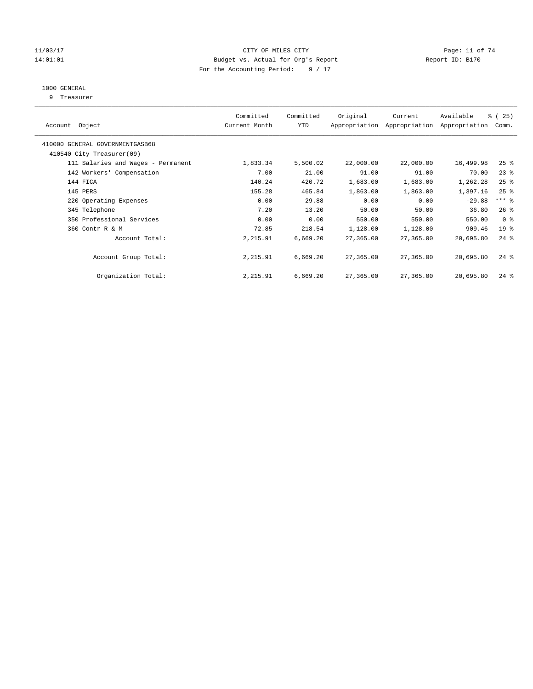#### 11/03/17 Page: 11 of 74 14:01:01 Budget vs. Actual for Org's Report Changer Report ID: B170 For the Accounting Period: 9 / 17

### 1000 GENERAL

9 Treasurer

| Object<br>Account                  | Committed<br>Current Month | Committed<br><b>YTD</b> | Original  | Current<br>Appropriation Appropriation | Available<br>Appropriation | % (25)<br>Comm. |
|------------------------------------|----------------------------|-------------------------|-----------|----------------------------------------|----------------------------|-----------------|
| 410000 GENERAL GOVERNMENTGASB68    |                            |                         |           |                                        |                            |                 |
| 410540 City Treasurer(09)          |                            |                         |           |                                        |                            |                 |
| 111 Salaries and Wages - Permanent | 1,833.34                   | 5,500.02                | 22,000.00 | 22,000.00                              | 16,499.98                  | $25$ %          |
| 142 Workers' Compensation          | 7.00                       | 21.00                   | 91.00     | 91.00                                  | 70.00                      | $23$ %          |
| 144 FICA                           | 140.24                     | 420.72                  | 1,683.00  | 1,683.00                               | 1,262.28                   | $25$ %          |
| 145 PERS                           | 155.28                     | 465.84                  | 1,863.00  | 1,863.00                               | 1,397.16                   | $25$ %          |
| 220 Operating Expenses             | 0.00                       | 29.88                   | 0.00      | 0.00                                   | $-29.88$                   | $***$ $=$       |
| 345 Telephone                      | 7.20                       | 13.20                   | 50.00     | 50.00                                  | 36.80                      | $26$ %          |
| 350 Professional Services          | 0.00                       | 0.00                    | 550.00    | 550.00                                 | 550.00                     | 0 <sup>8</sup>  |
| 360 Contr R & M                    | 72.85                      | 218.54                  | 1,128.00  | 1,128.00                               | 909.46                     | 19 <sup>°</sup> |
| Account Total:                     | 2,215.91                   | 6,669.20                | 27,365.00 | 27,365.00                              | 20,695.80                  | $24$ %          |
| Account Group Total:               | 2,215.91                   | 6,669.20                | 27,365.00 | 27,365.00                              | 20,695.80                  | $24$ %          |
| Organization Total:                | 2,215.91                   | 6,669.20                | 27,365.00 | 27,365.00                              | 20,695.80                  | $24$ $%$        |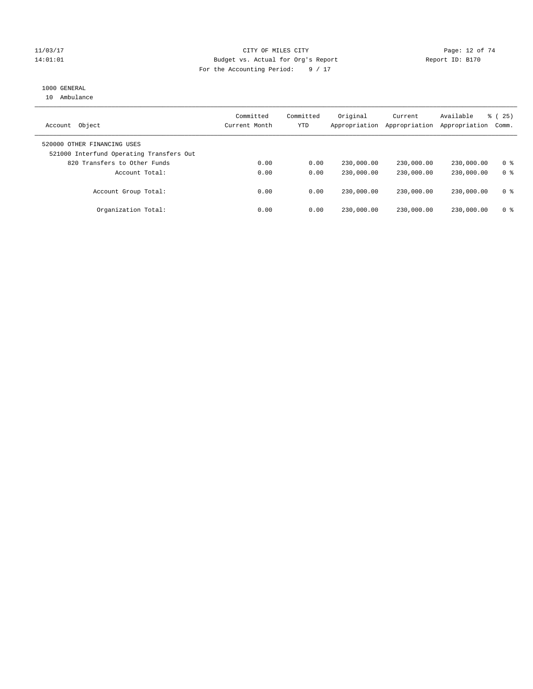#### 11/03/17 Page: 12 of 74 14:01:01 Budget vs. Actual for Org's Report Changer Report ID: B170 For the Accounting Period: 9 / 17

### 1000 GENERAL

10 Ambulance

| Object<br>Account                                                       | Committed<br>Current Month | Committed<br><b>YTD</b> | Original<br>Appropriation | Current<br>Appropriation | Available<br>Appropriation | % (25)<br>Comm. |
|-------------------------------------------------------------------------|----------------------------|-------------------------|---------------------------|--------------------------|----------------------------|-----------------|
| 520000 OTHER FINANCING USES<br>521000 Interfund Operating Transfers Out |                            |                         |                           |                          |                            |                 |
| 820 Transfers to Other Funds                                            | 0.00                       | 0.00                    | 230,000.00                | 230,000.00               | 230,000.00                 | 0 <sup>8</sup>  |
| Account Total:                                                          | 0.00                       | 0.00                    | 230,000.00                | 230,000.00               | 230,000.00                 | 0 <sup>8</sup>  |
| Account Group Total:                                                    | 0.00                       | 0.00                    | 230,000.00                | 230,000.00               | 230,000.00                 | 0 <sup>8</sup>  |
| Organization Total:                                                     | 0.00                       | 0.00                    | 230,000.00                | 230,000.00               | 230,000.00                 | 0 <sup>8</sup>  |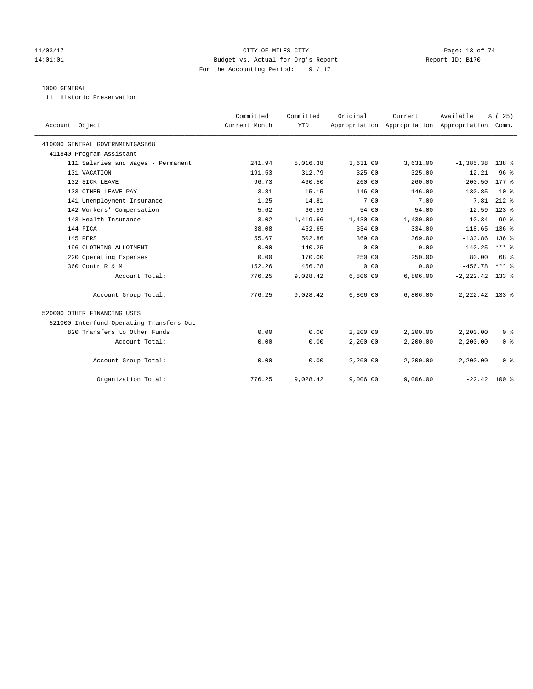#### 11/03/17 Page: 13 of 74 14:01:01 Budget vs. Actual for Org's Report Report ID: B170 For the Accounting Period: 9 / 17

#### 1000 GENERAL

11 Historic Preservation

| Account Object                           | Committed<br>Current Month | Committed<br><b>YTD</b> | Original | Current<br>Appropriation Appropriation Appropriation Comm. | Available          | % (25)              |
|------------------------------------------|----------------------------|-------------------------|----------|------------------------------------------------------------|--------------------|---------------------|
| 410000 GENERAL GOVERNMENTGASB68          |                            |                         |          |                                                            |                    |                     |
| 411840 Program Assistant                 |                            |                         |          |                                                            |                    |                     |
| 111 Salaries and Wages - Permanent       | 241.94                     | 5,016.38                | 3,631.00 | 3,631.00                                                   | $-1, 385.38$       | 138 %               |
| 131 VACATION                             | 191.53                     | 312.79                  | 325.00   | 325.00                                                     | 12.21              | 96 <sup>°</sup>     |
| 132 SICK LEAVE                           | 96.73                      | 460.50                  | 260.00   | 260.00                                                     | $-200.50$          | $177*$              |
| 133 OTHER LEAVE PAY                      | $-3.81$                    | 15.15                   | 146.00   | 146.00                                                     | 130.85             | 10 <sup>8</sup>     |
| 141 Unemployment Insurance               | 1.25                       | 14.81                   | 7.00     | 7.00                                                       | $-7.81$            | $212$ %             |
| 142 Workers' Compensation                | 5.62                       | 66.59                   | 54.00    | 54.00                                                      | $-12.59$           | $123$ %             |
| 143 Health Insurance                     | $-3.02$                    | 1,419.66                | 1,430.00 | 1,430.00                                                   | 10.34              | 99 <sup>8</sup>     |
| 144 FICA                                 | 38.08                      | 452.65                  | 334.00   | 334.00                                                     | $-118.65$          | $136$ $%$           |
| 145 PERS                                 | 55.67                      | 502.86                  | 369.00   | 369.00                                                     | $-133.86$          | $136$ $%$           |
| 196 CLOTHING ALLOTMENT                   | 0.00                       | 140.25                  | 0.00     | 0.00                                                       | $-140.25$          | $***$ $\frac{6}{5}$ |
| 220 Operating Expenses                   | 0.00                       | 170.00                  | 250.00   | 250.00                                                     | 80.00              | 68 %                |
| 360 Contr R & M                          | 152.26                     | 456.78                  | 0.00     | 0.00                                                       | $-456.78$          | $***$ 8             |
| Account Total:                           | 776.25                     | 9,028.42                | 6,806.00 | 6,806.00                                                   | $-2, 222.42$ 133 % |                     |
| Account Group Total:                     | 776.25                     | 9,028.42                | 6.806.00 | 6,806.00                                                   | $-2, 222.42$ 133 % |                     |
| 520000 OTHER FINANCING USES              |                            |                         |          |                                                            |                    |                     |
| 521000 Interfund Operating Transfers Out |                            |                         |          |                                                            |                    |                     |
| 820 Transfers to Other Funds             | 0.00                       | 0.00                    | 2,200.00 | 2,200.00                                                   | 2,200.00           | 0 <sup>8</sup>      |
| Account Total:                           | 0.00                       | 0.00                    | 2,200.00 | 2,200.00                                                   | 2,200.00           | 0 <sup>8</sup>      |
| Account Group Total:                     | 0.00                       | 0.00                    | 2,200.00 | 2,200.00                                                   | 2,200.00           | 0 <sup>8</sup>      |
| Organization Total:                      | 776.25                     | 9,028.42                | 9,006.00 | 9,006.00                                                   | $-22.42$ 100 %     |                     |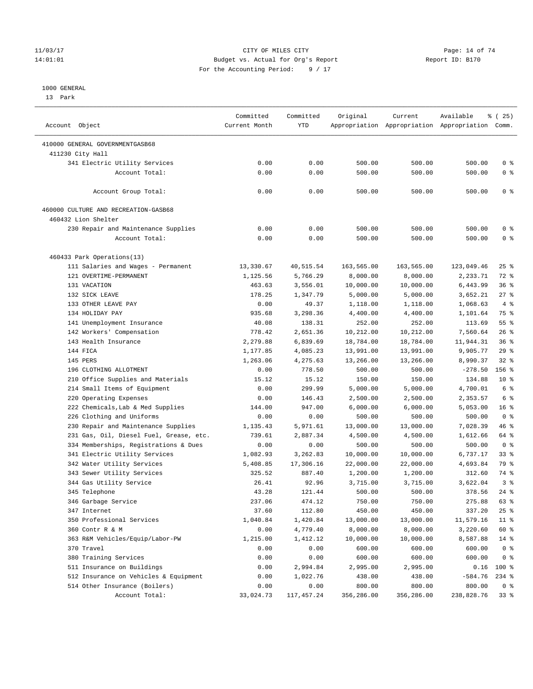#### 11/03/17 Page: 14 of 74 14:01:01 Budget vs. Actual for Org's Report Report ID: B170 For the Accounting Period: 9 / 17

#### 1000 GENERAL

13 Park

| Account Object                          | Committed<br>Current Month | Committed<br><b>YTD</b> | Original   | Current    | Available<br>Appropriation Appropriation Appropriation Comm. | $*(25)$         |
|-----------------------------------------|----------------------------|-------------------------|------------|------------|--------------------------------------------------------------|-----------------|
| 410000 GENERAL GOVERNMENTGASB68         |                            |                         |            |            |                                                              |                 |
| 411230 City Hall                        |                            |                         |            |            |                                                              |                 |
| 341 Electric Utility Services           | 0.00                       | 0.00                    | 500.00     | 500.00     | 500.00                                                       | 0 %             |
| Account Total:                          | 0.00                       | 0.00                    | 500.00     | 500.00     | 500.00                                                       | 0 <sup>8</sup>  |
|                                         |                            |                         |            |            |                                                              |                 |
| Account Group Total:                    | 0.00                       | 0.00                    | 500.00     | 500.00     | 500.00                                                       | 0 <sup>8</sup>  |
| 460000 CULTURE AND RECREATION-GASB68    |                            |                         |            |            |                                                              |                 |
| 460432 Lion Shelter                     |                            |                         |            |            |                                                              |                 |
| 230 Repair and Maintenance Supplies     | 0.00                       | 0.00                    | 500.00     | 500.00     | 500.00                                                       | 0 <sup>8</sup>  |
| Account Total:                          | 0.00                       | 0.00                    | 500.00     | 500.00     | 500.00                                                       | 0 <sup>8</sup>  |
| 460433 Park Operations(13)              |                            |                         |            |            |                                                              |                 |
| 111 Salaries and Wages - Permanent      | 13,330.67                  | 40,515.54               | 163,565.00 | 163,565.00 | 123,049.46                                                   | $25$ %          |
| 121 OVERTIME-PERMANENT                  | 1,125.56                   | 5,766.29                | 8,000.00   | 8,000.00   | 2,233.71                                                     | 72 %            |
| 131 VACATION                            | 463.63                     | 3,556.01                | 10,000.00  | 10,000.00  | 6,443.99                                                     | 36%             |
| 132 SICK LEAVE                          | 178.25                     | 1,347.79                | 5,000.00   | 5,000.00   | 3,652.21                                                     | 27%             |
| 133 OTHER LEAVE PAY                     | 0.00                       | 49.37                   | 1,118.00   | 1,118.00   | 1,068.63                                                     | 4%              |
| 134 HOLIDAY PAY                         | 935.68                     | 3,298.36                | 4,400.00   | 4,400.00   | 1,101.64                                                     | 75 %            |
| 141 Unemployment Insurance              | 40.08                      | 138.31                  | 252.00     | 252.00     | 113.69                                                       | 55%             |
| 142 Workers' Compensation               | 778.42                     | 2,651.36                | 10,212.00  | 10,212.00  | 7,560.64                                                     | 26%             |
| 143 Health Insurance                    | 2,279.88                   | 6,839.69                | 18,784.00  | 18,784.00  | 11,944.31                                                    | 36%             |
| 144 FICA                                | 1,177.85                   | 4,085.23                | 13,991.00  | 13,991.00  | 9,905.77                                                     | 29%             |
| 145 PERS                                | 1,263.06                   | 4,275.63                | 13,266.00  | 13,266.00  | 8,990.37                                                     | 32%             |
| 196 CLOTHING ALLOTMENT                  | 0.00                       | 778.50                  | 500.00     | 500.00     | $-278.50$                                                    | $156$ %         |
|                                         |                            |                         |            |            |                                                              | $10*$           |
| 210 Office Supplies and Materials       | 15.12                      | 15.12                   | 150.00     | 150.00     | 134.88                                                       | $6\degree$      |
| 214 Small Items of Equipment            | 0.00                       | 299.99                  | 5,000.00   | 5,000.00   | 4,700.01                                                     |                 |
| 220 Operating Expenses                  | 0.00                       | 146.43                  | 2,500.00   | 2,500.00   | 2,353.57                                                     | 6 %             |
| 222 Chemicals, Lab & Med Supplies       | 144.00                     | 947.00                  | 6,000.00   | 6,000.00   | 5,053.00                                                     | 16 <sup>°</sup> |
| 226 Clothing and Uniforms               | 0.00                       | 0.00                    | 500.00     | 500.00     | 500.00                                                       | 0 <sup>8</sup>  |
| 230 Repair and Maintenance Supplies     | 1,135.43                   | 5,971.61                | 13,000.00  | 13,000.00  | 7,028.39                                                     | 46 %            |
| 231 Gas, Oil, Diesel Fuel, Grease, etc. | 739.61                     | 2,887.34                | 4,500.00   | 4,500.00   | 1,612.66                                                     | 64 %            |
| 334 Memberships, Registrations & Dues   | 0.00                       | 0.00                    | 500.00     | 500.00     | 500.00                                                       | 0 <sup>8</sup>  |
| 341 Electric Utility Services           | 1,082.93                   | 3,262.83                | 10,000.00  | 10,000.00  | 6,737.17                                                     | $33$ $%$        |
| 342 Water Utility Services              | 5,408.85                   | 17,306.16               | 22,000.00  | 22,000.00  | 4,693.84                                                     | 79 %            |
| 343 Sewer Utility Services              | 325.52                     | 887.40                  | 1,200.00   | 1,200.00   | 312.60                                                       | 74 %            |
| 344 Gas Utility Service                 | 26.41                      | 92.96                   | 3,715.00   | 3,715.00   | 3,622.04                                                     | 3 <sup>8</sup>  |
| 345 Telephone                           | 43.28                      | 121.44                  | 500.00     | 500.00     | 378.56                                                       | $24$ %          |
| 346 Garbage Service                     | 237.06                     | 474.12                  | 750.00     | 750.00     | 275.88                                                       | 63 %            |
| 347 Internet                            | 37.60                      | 112.80                  | 450.00     | 450.00     | 337.20                                                       | $25$ %          |
| 350 Professional Services               | 1,040.84                   | 1,420.84                | 13,000.00  | 13,000.00  | 11,579.16                                                    | $11$ %          |
| 360 Contr R & M                         | 0.00                       | 4,779.40                | 8,000.00   | 8,000.00   | 3,220.60                                                     | 60 %            |
| 363 R&M Vehicles/Equip/Labor-PW         | 1,215.00                   | 1,412.12                | 10,000.00  | 10,000.00  | 8,587.88                                                     | $14*$           |
| 370 Travel                              | 0.00                       | 0.00                    | 600.00     | 600.00     | 600.00                                                       | 0 <sup>8</sup>  |
| 380 Training Services                   | 0.00                       | 0.00                    | 600.00     | 600.00     | 600.00                                                       | 0 <sup>8</sup>  |
| 511 Insurance on Buildings              | 0.00                       | 2,994.84                | 2,995.00   | 2,995.00   | 0.16                                                         | $100$ %         |
| 512 Insurance on Vehicles & Equipment   | 0.00                       | 1,022.76                | 438.00     | 438.00     | $-584.76$                                                    | $234$ %         |
| 514 Other Insurance (Boilers)           | 0.00                       | 0.00                    | 800.00     | 800.00     | 800.00                                                       | $0$ %           |
| Account Total:                          | 33,024.73                  | 117, 457.24             | 356,286.00 | 356,286.00 | 238,828.76                                                   | 33%             |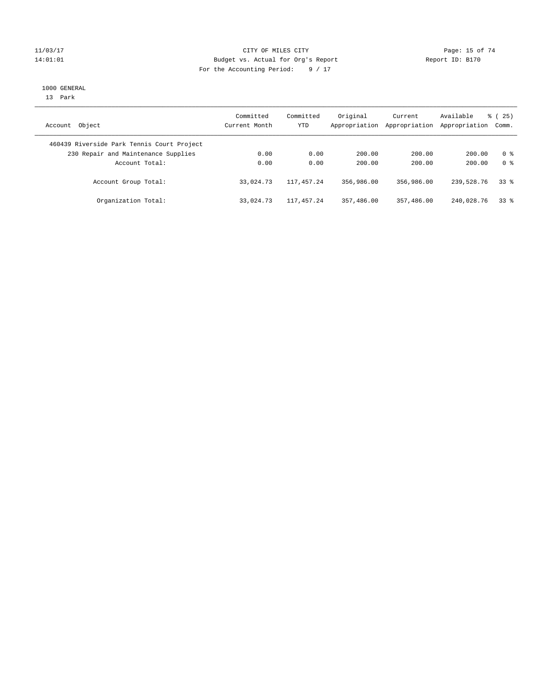#### 11/03/17 Page: 15 of 74 14:01:01 Budget vs. Actual for Org's Report Report ID: B170 For the Accounting Period: 9 / 17

#### 1000 GENERAL

13 Park

| Account Object                             | Committed<br>Current Month | Committed<br><b>YTD</b> | Original<br>Appropriation | Current<br>Appropriation | Available<br>Appropriation | % (25)<br>Comm. |
|--------------------------------------------|----------------------------|-------------------------|---------------------------|--------------------------|----------------------------|-----------------|
| 460439 Riverside Park Tennis Court Project |                            |                         |                           |                          |                            |                 |
| 230 Repair and Maintenance Supplies        | 0.00                       | 0.00                    | 200.00                    | 200.00                   | 200.00                     | 0 %             |
| Account Total:                             | 0.00                       | 0.00                    | 200.00                    | 200.00                   | 200.00                     | 0 <sup>8</sup>  |
| Account Group Total:                       | 33,024.73                  | 117,457.24              | 356,986.00                | 356,986.00               | 239,528.76                 | 338             |
| Organization Total:                        | 33,024.73                  | 117,457.24              | 357,486.00                | 357,486.00               | 240,028.76                 | 338             |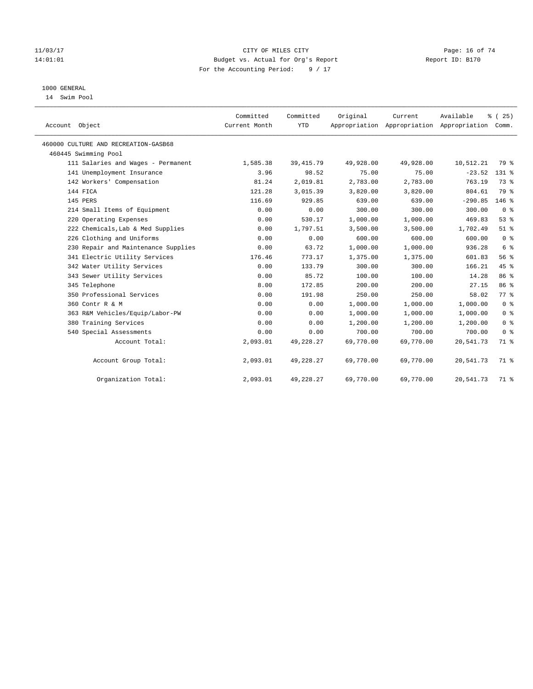#### 11/03/17 Page: 16 of 74 14:01:01 Budget vs. Actual for Org's Report Report ID: B170 For the Accounting Period: 9 / 17

### 1000 GENERAL

14 Swim Pool

| Account Object                       | Committed<br>Current Month | Committed<br><b>YTD</b> | Original  | Current<br>Appropriation Appropriation Appropriation Comm. | Available | % (25)         |
|--------------------------------------|----------------------------|-------------------------|-----------|------------------------------------------------------------|-----------|----------------|
| 460000 CULTURE AND RECREATION-GASB68 |                            |                         |           |                                                            |           |                |
| 460445 Swimming Pool                 |                            |                         |           |                                                            |           |                |
| 111 Salaries and Wages - Permanent   | 1,585.38                   | 39, 415.79              | 49,928.00 | 49,928.00                                                  | 10,512.21 | 79 %           |
| 141 Unemployment Insurance           | 3.96                       | 98.52                   | 75.00     | 75.00                                                      | $-23.52$  | 131 %          |
| 142 Workers' Compensation            | 81.24                      | 2,019.81                | 2,783.00  | 2,783.00                                                   | 763.19    | 73 %           |
| 144 FICA                             | 121.28                     | 3,015.39                | 3,820.00  | 3,820.00                                                   | 804.61    | 79 %           |
| 145 PERS                             | 116.69                     | 929.85                  | 639.00    | 639.00                                                     | $-290.85$ | $146$ %        |
| 214 Small Items of Equipment         | 0.00                       | 0.00                    | 300.00    | 300.00                                                     | 300.00    | 0 <sup>8</sup> |
| 220 Operating Expenses               | 0.00                       | 530.17                  | 1,000.00  | 1,000.00                                                   | 469.83    | 53%            |
| 222 Chemicals, Lab & Med Supplies    | 0.00                       | 1,797.51                | 3,500.00  | 3,500.00                                                   | 1,702.49  | $51$ %         |
| 226 Clothing and Uniforms            | 0.00                       | 0.00                    | 600.00    | 600.00                                                     | 600.00    | 0 <sup>8</sup> |
| 230 Repair and Maintenance Supplies  | 0.00                       | 63.72                   | 1,000.00  | 1,000.00                                                   | 936.28    | $6\degree$     |
| 341 Electric Utility Services        | 176.46                     | 773.17                  | 1,375.00  | 1,375.00                                                   | 601.83    | 56 %           |
| 342 Water Utility Services           | 0.00                       | 133.79                  | 300.00    | 300.00                                                     | 166.21    | 45%            |
| 343 Sewer Utility Services           | 0.00                       | 85.72                   | 100.00    | 100.00                                                     | 14.28     | 86 %           |
| 345 Telephone                        | 8.00                       | 172.85                  | 200.00    | 200.00                                                     | 27.15     | 86 %           |
| 350 Professional Services            | 0.00                       | 191.98                  | 250.00    | 250.00                                                     | 58.02     | 77 %           |
| 360 Contr R & M                      | 0.00                       | 0.00                    | 1,000.00  | 1,000.00                                                   | 1,000.00  | 0 <sup>8</sup> |
| 363 R&M Vehicles/Equip/Labor-PW      | 0.00                       | 0.00                    | 1,000.00  | 1,000.00                                                   | 1,000.00  | 0 <sup>8</sup> |
| 380 Training Services                | 0.00                       | 0.00                    | 1,200.00  | 1,200.00                                                   | 1,200.00  | 0 <sup>8</sup> |
| 540 Special Assessments              | 0.00                       | 0.00                    | 700.00    | 700.00                                                     | 700.00    | 0 <sup>8</sup> |
| Account Total:                       | 2,093.01                   | 49,228.27               | 69,770.00 | 69,770.00                                                  | 20,541.73 | 71 %           |
| Account Group Total:                 | 2,093.01                   | 49,228.27               | 69,770.00 | 69,770.00                                                  | 20,541.73 | 71 %           |
| Organization Total:                  | 2,093.01                   | 49,228.27               | 69,770.00 | 69,770.00                                                  | 20,541.73 | 71 %           |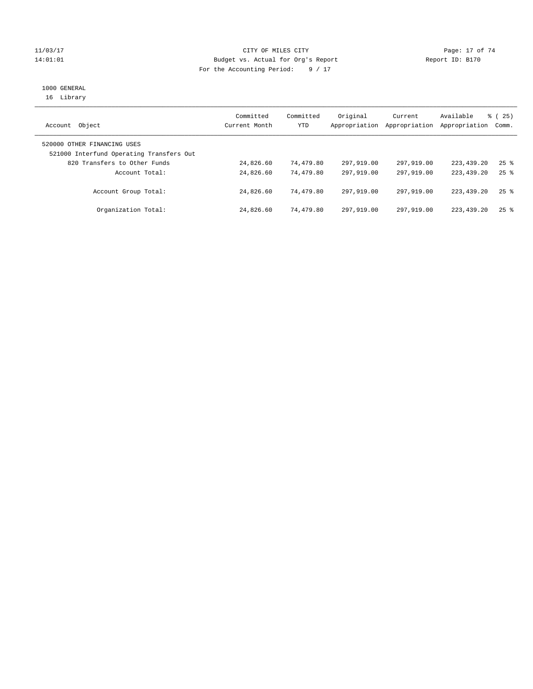#### 11/03/17 Page: 17 of 74 14:01:01 Budget vs. Actual for Org's Report Report ID: B170 For the Accounting Period: 9 / 17

# 1000 GENERAL

16 Library

| Object<br>Account                                                       | Committed<br>Current Month | Committed<br>YTD | Original<br>Appropriation | Current<br>Appropriation | Available<br>Appropriation | % (25)<br>Comm.    |
|-------------------------------------------------------------------------|----------------------------|------------------|---------------------------|--------------------------|----------------------------|--------------------|
| 520000 OTHER FINANCING USES<br>521000 Interfund Operating Transfers Out |                            |                  |                           |                          |                            |                    |
| 820 Transfers to Other Funds                                            | 24,826.60                  | 74,479.80        | 297,919.00                | 297,919.00               | 223,439.20                 | $25$ $\frac{6}{5}$ |
| Account Total:                                                          | 24,826.60                  | 74,479.80        | 297,919,00                | 297,919.00               | 223, 439, 20               | $25$ $\frac{6}{5}$ |
| Account Group Total:                                                    | 24,826.60                  | 74,479.80        | 297,919.00                | 297,919.00               | 223, 439, 20               | $25$ $\frac{6}{5}$ |
| Organization Total:                                                     | 24,826.60                  | 74,479.80        | 297,919.00                | 297,919.00               | 223,439.20                 | $25$ $%$           |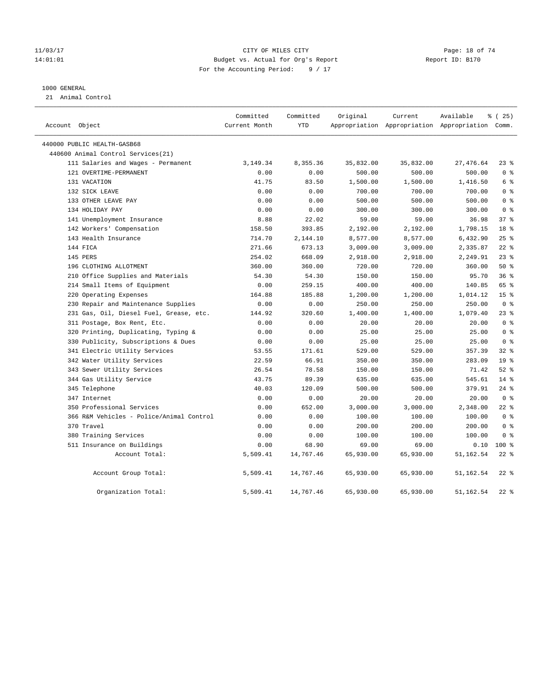#### 11/03/17 Page: 18 of 74 14:01:01 Budget vs. Actual for Org's Report Report ID: B170 For the Accounting Period: 9 / 17

#### 1000 GENERAL

21 Animal Control

| Account Object                           | Committed<br>Current Month | Committed<br><b>YTD</b> | Original  | Current   | Available<br>Appropriation Appropriation Appropriation Comm. | 8 (25)          |
|------------------------------------------|----------------------------|-------------------------|-----------|-----------|--------------------------------------------------------------|-----------------|
| 440000 PUBLIC HEALTH-GASB68              |                            |                         |           |           |                                                              |                 |
| 440600 Animal Control Services (21)      |                            |                         |           |           |                                                              |                 |
| 111 Salaries and Wages - Permanent       | 3, 149. 34                 | 8,355.36                | 35,832.00 | 35,832.00 | 27, 476.64                                                   | 238             |
| 121 OVERTIME-PERMANENT                   | 0.00                       | 0.00                    | 500.00    | 500.00    | 500.00                                                       | 0 <sup>8</sup>  |
| 131 VACATION                             | 41.75                      | 83.50                   | 1,500.00  | 1,500.00  | 1,416.50                                                     | $6\degree$      |
| 132 SICK LEAVE                           | 0.00                       | 0.00                    | 700.00    | 700.00    | 700.00                                                       | 0 <sup>8</sup>  |
| 133 OTHER LEAVE PAY                      | 0.00                       | 0.00                    | 500.00    | 500.00    | 500.00                                                       | 0 <sup>8</sup>  |
| 134 HOLIDAY PAY                          | 0.00                       | 0.00                    | 300.00    | 300.00    | 300.00                                                       | 0 <sup>8</sup>  |
| 141 Unemployment Insurance               | 8.88                       | 22.02                   | 59.00     | 59.00     | 36.98                                                        | 37 <sup>8</sup> |
| 142 Workers' Compensation                | 158.50                     | 393.85                  | 2,192.00  | 2,192.00  | 1,798.15                                                     | 18 %            |
| 143 Health Insurance                     | 714.70                     | 2,144.10                | 8,577.00  | 8,577.00  | 6,432.90                                                     | 25%             |
| 144 FICA                                 | 271.66                     | 673.13                  | 3,009.00  | 3,009.00  | 2,335.87                                                     | $22$ %          |
| 145 PERS                                 | 254.02                     | 668.09                  | 2,918.00  | 2,918.00  | 2,249.91                                                     | $23$ $%$        |
| 196 CLOTHING ALLOTMENT                   | 360.00                     | 360.00                  | 720.00    | 720.00    | 360.00                                                       | 50%             |
| 210 Office Supplies and Materials        | 54.30                      | 54.30                   | 150.00    | 150.00    | 95.70                                                        | 36%             |
| 214 Small Items of Equipment             | 0.00                       | 259.15                  | 400.00    | 400.00    | 140.85                                                       | 65 %            |
| 220 Operating Expenses                   | 164.88                     | 185.88                  | 1,200.00  | 1,200.00  | 1,014.12                                                     | 15 <sup>°</sup> |
| 230 Repair and Maintenance Supplies      | 0.00                       | 0.00                    | 250.00    | 250.00    | 250.00                                                       | 0 <sup>8</sup>  |
| 231 Gas, Oil, Diesel Fuel, Grease, etc.  | 144.92                     | 320.60                  | 1,400.00  | 1,400.00  | 1,079.40                                                     | $23$ $%$        |
| 311 Postage, Box Rent, Etc.              | 0.00                       | 0.00                    | 20.00     | 20.00     | 20.00                                                        | 0 <sup>8</sup>  |
| 320 Printing, Duplicating, Typing &      | 0.00                       | 0.00                    | 25.00     | 25.00     | 25.00                                                        | 0 <sup>8</sup>  |
| 330 Publicity, Subscriptions & Dues      | 0.00                       | 0.00                    | 25.00     | 25.00     | 25.00                                                        | 0 <sup>8</sup>  |
| 341 Electric Utility Services            | 53.55                      | 171.61                  | 529.00    | 529.00    | 357.39                                                       | $32$ $%$        |
| 342 Water Utility Services               | 22.59                      | 66.91                   | 350.00    | 350.00    | 283.09                                                       | 19 <sup>°</sup> |
| 343 Sewer Utility Services               | 26.54                      | 78.58                   | 150.00    | 150.00    | 71.42                                                        | $52$ $%$        |
| 344 Gas Utility Service                  | 43.75                      | 89.39                   | 635.00    | 635.00    | 545.61                                                       | $14*$           |
| 345 Telephone                            | 40.03                      | 120.09                  | 500.00    | 500.00    | 379.91                                                       | $24$ %          |
| 347 Internet                             | 0.00                       | 0.00                    | 20.00     | 20.00     | 20.00                                                        | 0 <sup>8</sup>  |
| 350 Professional Services                | 0.00                       | 652.00                  | 3,000.00  | 3,000.00  | 2,348.00                                                     | $22$ %          |
| 366 R&M Vehicles - Police/Animal Control | 0.00                       | 0.00                    | 100.00    | 100.00    | 100.00                                                       | 0 <sup>8</sup>  |
| 370 Travel                               | 0.00                       | 0.00                    | 200.00    | 200.00    | 200.00                                                       | 0 <sup>8</sup>  |
| 380 Training Services                    | 0.00                       | 0.00                    | 100.00    | 100.00    | 100.00                                                       | 0 <sup>8</sup>  |
| 511 Insurance on Buildings               | 0.00                       | 68.90                   | 69.00     | 69.00     | 0.10                                                         | $100*$          |
| Account Total:                           | 5,509.41                   | 14,767.46               | 65,930.00 | 65,930.00 | 51,162.54                                                    | $22$ %          |
| Account Group Total:                     | 5,509.41                   | 14,767.46               | 65,930.00 | 65,930.00 | 51, 162.54                                                   | $22$ %          |
| Organization Total:                      | 5,509.41                   | 14,767.46               | 65,930.00 | 65,930.00 | 51, 162. 54                                                  | $22$ %          |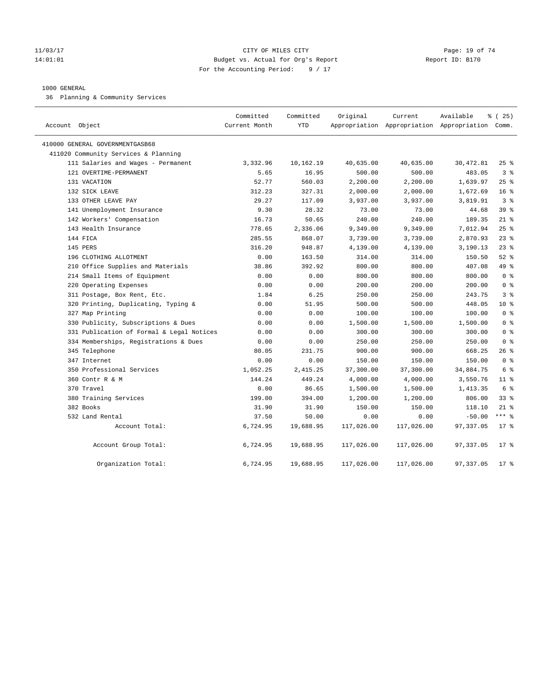#### 11/03/17 Page: 19 of 74 14:01:01 Budget vs. Actual for Org's Report Report ID: B170 For the Accounting Period: 9 / 17

#### 1000 GENERAL

36 Planning & Community Services

| Account Object                            | Committed<br>Current Month | Committed<br><b>YTD</b> | Original   | Current    | Available<br>Appropriation Appropriation Appropriation Comm. | 8 (25)          |
|-------------------------------------------|----------------------------|-------------------------|------------|------------|--------------------------------------------------------------|-----------------|
| 410000 GENERAL GOVERNMENTGASB68           |                            |                         |            |            |                                                              |                 |
| 411020 Community Services & Planning      |                            |                         |            |            |                                                              |                 |
| 111 Salaries and Wages - Permanent        | 3,332.96                   | 10,162.19               | 40,635.00  | 40,635.00  | 30,472.81                                                    | $25$ %          |
| 121 OVERTIME-PERMANENT                    | 5.65                       | 16.95                   | 500.00     | 500.00     | 483.05                                                       | 3 <sup>°</sup>  |
| 131 VACATION                              | 52.77                      | 560.03                  | 2,200.00   | 2,200.00   | 1,639.97                                                     | $25$ %          |
| 132 SICK LEAVE                            | 312.23                     | 327.31                  | 2,000.00   | 2,000.00   | 1,672.69                                                     | 16 <sup>°</sup> |
| 133 OTHER LEAVE PAY                       | 29.27                      | 117.09                  | 3,937.00   | 3,937.00   | 3,819.91                                                     | 3 <sup>8</sup>  |
| 141 Unemployment Insurance                | 9.30                       | 28.32                   | 73.00      | 73.00      | 44.68                                                        | 39 <sup>8</sup> |
| 142 Workers' Compensation                 | 16.73                      | 50.65                   | 240.00     | 240.00     | 189.35                                                       | $21$ %          |
| 143 Health Insurance                      | 778.65                     | 2,336.06                | 9,349.00   | 9,349.00   | 7,012.94                                                     | 25%             |
| 144 FICA                                  | 285.55                     | 868.07                  | 3,739.00   | 3,739.00   | 2,870.93                                                     | $23$ $%$        |
| 145 PERS                                  | 316.20                     | 948.87                  | 4,139.00   | 4,139.00   | 3,190.13                                                     | $23$ $%$        |
| 196 CLOTHING ALLOTMENT                    | 0.00                       | 163.50                  | 314.00     | 314.00     | 150.50                                                       | $52$ $%$        |
| 210 Office Supplies and Materials         | 38.86                      | 392.92                  | 800.00     | 800.00     | 407.08                                                       | 49 %            |
| 214 Small Items of Equipment              | 0.00                       | 0.00                    | 800.00     | 800.00     | 800.00                                                       | 0 <sup>8</sup>  |
| 220 Operating Expenses                    | 0.00                       | 0.00                    | 200.00     | 200.00     | 200.00                                                       | 0 <sup>8</sup>  |
| 311 Postage, Box Rent, Etc.               | 1.84                       | 6.25                    | 250.00     | 250.00     | 243.75                                                       | 3 <sup>8</sup>  |
| 320 Printing, Duplicating, Typing &       | 0.00                       | 51.95                   | 500.00     | 500.00     | 448.05                                                       | $10*$           |
| 327 Map Printing                          | 0.00                       | 0.00                    | 100.00     | 100.00     | 100.00                                                       | 0 <sup>8</sup>  |
| 330 Publicity, Subscriptions & Dues       | 0.00                       | 0.00                    | 1,500.00   | 1,500.00   | 1,500.00                                                     | 0 <sup>8</sup>  |
| 331 Publication of Formal & Legal Notices | 0.00                       | 0.00                    | 300.00     | 300.00     | 300.00                                                       | 0 <sup>8</sup>  |
| 334 Memberships, Registrations & Dues     | 0.00                       | 0.00                    | 250.00     | 250.00     | 250.00                                                       | 0 <sup>8</sup>  |
| 345 Telephone                             | 80.05                      | 231.75                  | 900.00     | 900.00     | 668.25                                                       | $26$ %          |
| 347 Internet                              | 0.00                       | 0.00                    | 150.00     | 150.00     | 150.00                                                       | 0 <sup>8</sup>  |
| 350 Professional Services                 | 1,052.25                   | 2,415.25                | 37,300.00  | 37,300.00  | 34,884.75                                                    | 6 %             |
| 360 Contr R & M                           | 144.24                     | 449.24                  | 4,000.00   | 4,000.00   | 3,550.76                                                     | $11$ %          |
| 370 Travel                                | 0.00                       | 86.65                   | 1,500.00   | 1,500.00   | 1,413.35                                                     | 6 %             |
| 380 Training Services                     | 199.00                     | 394.00                  | 1,200.00   | 1,200.00   | 806.00                                                       | 33%             |
| 382 Books                                 | 31.90                      | 31.90                   | 150.00     | 150.00     | 118.10                                                       | $21$ %          |
| 532 Land Rental                           | 37.50                      | 50.00                   | 0.00       | 0.00       | $-50.00$                                                     | $***$ 8         |
| Account Total:                            | 6,724.95                   | 19,688.95               | 117,026.00 | 117,026.00 | 97, 337.05                                                   | $17*$           |
| Account Group Total:                      | 6,724.95                   | 19,688.95               | 117,026.00 | 117,026.00 | 97,337.05                                                    | $17*$           |
| Organization Total:                       | 6,724.95                   | 19,688.95               | 117,026.00 | 117,026.00 | 97,337.05                                                    | $17$ %          |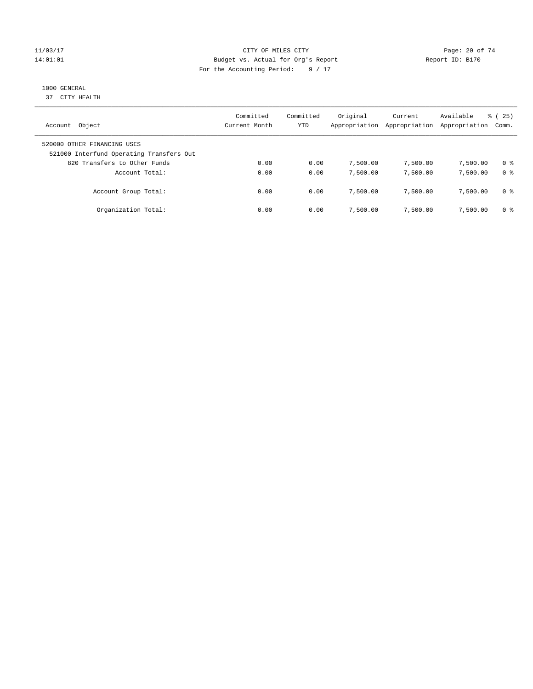#### 11/03/17 Page: 20 of 74 14:01:01 Budget vs. Actual for Org's Report Report ID: B170 For the Accounting Period: 9 / 17

# 1000 GENERAL

37 CITY HEALTH

| Object<br>Account                                                                                       | Committed<br>Current Month | Committed<br>YTD | Original<br>Appropriation | Current<br>Appropriation | Available<br>Appropriation | % (25)<br>Comm.       |
|---------------------------------------------------------------------------------------------------------|----------------------------|------------------|---------------------------|--------------------------|----------------------------|-----------------------|
| 520000 OTHER FINANCING USES<br>521000 Interfund Operating Transfers Out<br>820 Transfers to Other Funds | 0.00                       | 0.00             |                           |                          |                            |                       |
| Account Total:                                                                                          | 0.00                       | 0.00             | 7,500.00<br>7,500.00      | 7,500.00<br>7,500.00     | 7,500.00<br>7,500.00       | 0 %<br>0 <sup>8</sup> |
| Account Group Total:                                                                                    | 0.00                       | 0.00             | 7,500.00                  | 7,500.00                 | 7,500.00                   | 0 %                   |
| Organization Total:                                                                                     | 0.00                       | 0.00             | 7,500.00                  | 7,500.00                 | 7,500.00                   | 0 %                   |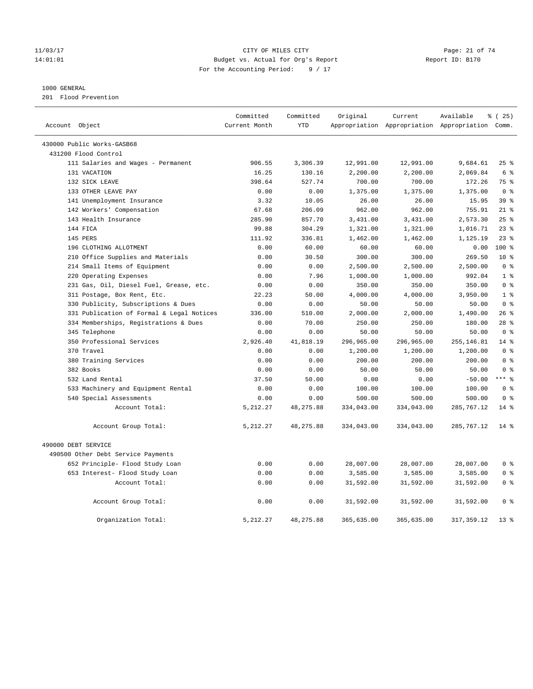#### 11/03/17 Page: 21 of 74 14:01:01 Budget vs. Actual for Org's Report Report ID: B170 For the Accounting Period: 9 / 17

#### 1000 GENERAL

201 Flood Prevention

|                                           | Committed     | Committed  | Original   | Current                                         | Available   | 8 (25)          |
|-------------------------------------------|---------------|------------|------------|-------------------------------------------------|-------------|-----------------|
| Account Object                            | Current Month | <b>YTD</b> |            | Appropriation Appropriation Appropriation Comm. |             |                 |
| 430000 Public Works-GASB68                |               |            |            |                                                 |             |                 |
| 431200 Flood Control                      |               |            |            |                                                 |             |                 |
| 111 Salaries and Wages - Permanent        | 906.55        | 3,306.39   | 12,991.00  | 12,991.00                                       | 9,684.61    | 25%             |
| 131 VACATION                              | 16.25         | 130.16     | 2,200.00   | 2,200.00                                        | 2,069.84    | 6 %             |
| 132 SICK LEAVE                            | 398.64        | 527.74     | 700.00     | 700.00                                          | 172.26      | 75 %            |
| 133 OTHER LEAVE PAY                       | 0.00          | 0.00       | 1,375.00   | 1,375.00                                        | 1,375.00    | 0 <sup>8</sup>  |
| 141 Unemployment Insurance                | 3.32          | 10.05      | 26.00      | 26.00                                           | 15.95       | 39 <sup>8</sup> |
| 142 Workers' Compensation                 | 67.68         | 206.09     | 962.00     | 962.00                                          | 755.91      | $21$ %          |
| 143 Health Insurance                      | 285.90        | 857.70     | 3,431.00   | 3,431.00                                        | 2,573.30    | 25%             |
| 144 FICA                                  | 99.88         | 304.29     | 1,321.00   | 1,321.00                                        | 1,016.71    | $23$ $%$        |
| 145 PERS                                  | 111.92        | 336.81     | 1,462.00   | 1,462.00                                        | 1,125.19    | $23$ $%$        |
| 196 CLOTHING ALLOTMENT                    | 0.00          | 60.00      | 60.00      | 60.00                                           | 0.00        | $100*$          |
| 210 Office Supplies and Materials         | 0.00          | 30.50      | 300.00     | 300.00                                          | 269.50      | $10*$           |
| 214 Small Items of Equipment              | 0.00          | 0.00       | 2,500.00   | 2,500.00                                        | 2,500.00    | 0 <sup>8</sup>  |
| 220 Operating Expenses                    | 0.00          | 7.96       | 1,000.00   | 1,000.00                                        | 992.04      | 1 <sup>8</sup>  |
| 231 Gas, Oil, Diesel Fuel, Grease, etc.   | 0.00          | 0.00       | 350.00     | 350.00                                          | 350.00      | 0 <sup>8</sup>  |
| 311 Postage, Box Rent, Etc.               | 22.23         | 50.00      | 4,000.00   | 4,000.00                                        | 3,950.00    | 1 <sup>8</sup>  |
| 330 Publicity, Subscriptions & Dues       | 0.00          | 0.00       | 50.00      | 50.00                                           | 50.00       | 0 <sup>8</sup>  |
| 331 Publication of Formal & Legal Notices | 336.00        | 510.00     | 2,000.00   | 2,000.00                                        | 1,490.00    | 26%             |
| 334 Memberships, Registrations & Dues     | 0.00          | 70.00      | 250.00     | 250.00                                          | 180.00      | $28$ %          |
| 345 Telephone                             | 0.00          | 0.00       | 50.00      | 50.00                                           | 50.00       | 0 <sup>8</sup>  |
| 350 Professional Services                 | 2,926.40      | 41,818.19  | 296,965.00 | 296,965.00                                      | 255, 146.81 | 14.8            |
| 370 Travel                                | 0.00          | 0.00       | 1,200.00   | 1,200.00                                        | 1,200.00    | 0 <sup>8</sup>  |
| 380 Training Services                     | 0.00          | 0.00       | 200.00     | 200.00                                          | 200.00      | 0 <sup>8</sup>  |
| 382 Books                                 | 0.00          | 0.00       | 50.00      | 50.00                                           | 50.00       | 0 <sup>8</sup>  |
| 532 Land Rental                           | 37.50         | 50.00      | 0.00       | 0.00                                            | $-50.00$    | $***$ $-$       |
| 533 Machinery and Equipment Rental        | 0.00          | 0.00       | 100.00     | 100.00                                          | 100.00      | 0 <sup>8</sup>  |
| 540 Special Assessments                   | 0.00          | 0.00       | 500.00     | 500.00                                          | 500.00      | 0 <sup>8</sup>  |
| Account Total:                            | 5,212.27      | 48, 275.88 | 334,043.00 | 334,043.00                                      | 285,767.12  | $14*$           |
| Account Group Total:                      | 5,212.27      | 48,275.88  | 334,043.00 | 334,043.00                                      | 285,767.12  | $14*$           |
| 490000 DEBT SERVICE                       |               |            |            |                                                 |             |                 |
| 490500 Other Debt Service Payments        |               |            |            |                                                 |             |                 |
| 652 Principle- Flood Study Loan           | 0.00          | 0.00       | 28,007.00  | 28,007.00                                       | 28,007.00   | 0 <sup>8</sup>  |
| 653 Interest- Flood Study Loan            | 0.00          | 0.00       | 3,585.00   | 3,585.00                                        | 3,585.00    | 0 <sup>8</sup>  |
| Account Total:                            | 0.00          | 0.00       | 31,592.00  | 31,592.00                                       | 31,592.00   | 0 <sup>8</sup>  |
| Account Group Total:                      | 0.00          | 0.00       | 31,592.00  | 31,592.00                                       | 31,592.00   | 0 <sup>8</sup>  |
| Organization Total:                       | 5, 212.27     | 48, 275.88 | 365,635.00 | 365,635.00                                      | 317, 359.12 | 13 <sup>8</sup> |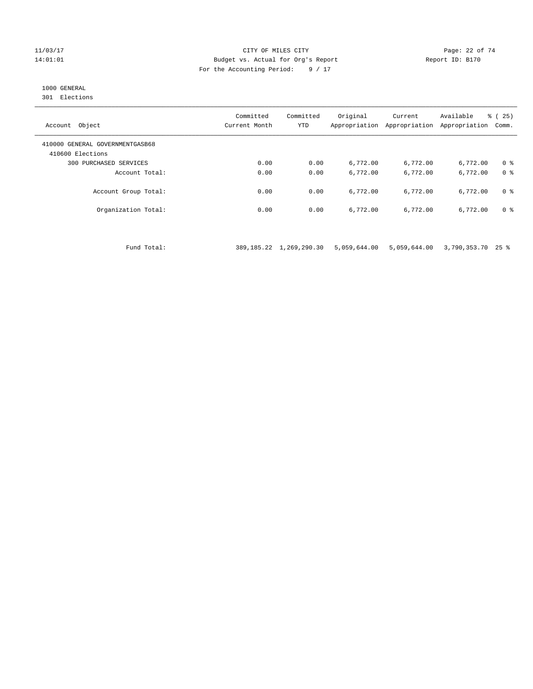#### 11/03/17 Page: 22 of 74 14:01:01 Budget vs. Actual for Org's Report Report ID: B170 For the Accounting Period: 9 / 17

## 1000 GENERAL

301 Elections

| Object<br>Account                                   | Committed<br>Current Month | Committed<br><b>YTD</b> | Original<br>Appropriation | Current<br>Appropriation | Available<br>Appropriation | % (25)<br>Comm. |
|-----------------------------------------------------|----------------------------|-------------------------|---------------------------|--------------------------|----------------------------|-----------------|
| 410000 GENERAL GOVERNMENTGASB68<br>410600 Elections |                            |                         |                           |                          |                            |                 |
| 300 PURCHASED SERVICES                              | 0.00                       | 0.00                    | 6,772.00                  | 6,772.00                 | 6,772.00                   | 0 <sup>8</sup>  |
| Account Total:                                      | 0.00                       | 0.00                    | 6,772.00                  | 6,772.00                 | 6,772.00                   | 0 <sup>8</sup>  |
| Account Group Total:                                | 0.00                       | 0.00                    | 6,772.00                  | 6,772.00                 | 6,772.00                   | 0 <sup>8</sup>  |
| Organization Total:                                 | 0.00                       | 0.00                    | 6,772.00                  | 6,772.00                 | 6,772.00                   | 0 <sup>8</sup>  |

Fund Total: 389,185.22 1,269,290.30 5,059,644.00 5,059,644.00 3,790,353.70 25 %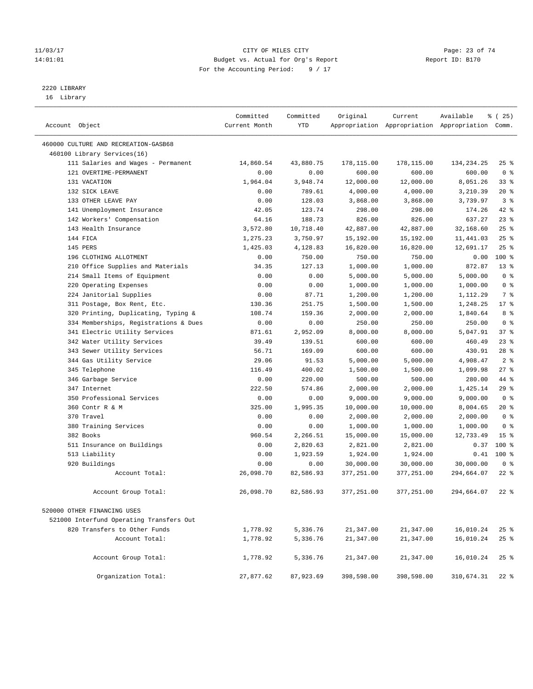#### 11/03/17 Page: 23 of 74 14:01:01 Budget vs. Actual for Org's Report Report ID: B170 For the Accounting Period: 9 / 17

————————————————————————————————————————————————————————————————————————————————————————————————————————————————————————————————————

# 2220 LIBRARY

16 Library

|                |                                          | Committed     | Committed  | Original   | Current    | Available                                       | % (25)          |
|----------------|------------------------------------------|---------------|------------|------------|------------|-------------------------------------------------|-----------------|
| Account Object |                                          | Current Month | <b>YTD</b> |            |            | Appropriation Appropriation Appropriation Comm. |                 |
|                | 460000 CULTURE AND RECREATION-GASB68     |               |            |            |            |                                                 |                 |
|                | 460100 Library Services(16)              |               |            |            |            |                                                 |                 |
|                | 111 Salaries and Wages - Permanent       | 14,860.54     | 43,880.75  | 178,115.00 | 178,115.00 | 134,234.25                                      | $25$ %          |
|                | 121 OVERTIME-PERMANENT                   | 0.00          | 0.00       | 600.00     | 600.00     | 600.00                                          | 0 <sup>8</sup>  |
|                | 131 VACATION                             | 1,964.04      | 3,948.74   | 12,000.00  | 12,000.00  | 8,051.26                                        | 33%             |
|                | 132 SICK LEAVE                           | 0.00          | 789.61     | 4,000.00   | 4,000.00   | 3,210.39                                        | $20*$           |
|                | 133 OTHER LEAVE PAY                      | 0.00          | 128.03     | 3,868.00   | 3,868.00   | 3,739.97                                        | 3 <sup>8</sup>  |
|                | 141 Unemployment Insurance               | 42.05         | 123.74     | 298.00     | 298.00     | 174.26                                          | 42 %            |
|                | 142 Workers' Compensation                | 64.16         | 188.73     | 826.00     | 826.00     | 637.27                                          | 23%             |
|                | 143 Health Insurance                     | 3,572.80      | 10,718.40  | 42,887.00  | 42,887.00  | 32,168.60                                       | 25%             |
|                | 144 FICA                                 | 1,275.23      | 3,750.97   | 15,192.00  | 15,192.00  | 11,441.03                                       | 25%             |
|                | 145 PERS                                 | 1,425.03      | 4,128.83   | 16,820.00  | 16,820.00  | 12,691.17                                       | 25%             |
|                | 196 CLOTHING ALLOTMENT                   | 0.00          | 750.00     | 750.00     | 750.00     | 0.00                                            | 100 %           |
|                | 210 Office Supplies and Materials        | 34.35         | 127.13     | 1,000.00   | 1,000.00   | 872.87                                          | $13*$           |
|                | 214 Small Items of Equipment             | 0.00          | 0.00       | 5,000.00   | 5,000.00   | 5,000.00                                        | 0 <sup>8</sup>  |
|                | 220 Operating Expenses                   | 0.00          | 0.00       | 1,000.00   | 1,000.00   | 1,000.00                                        | 0 <sup>8</sup>  |
|                | 224 Janitorial Supplies                  | 0.00          | 87.71      | 1,200.00   | 1,200.00   | 1,112.29                                        | 7 <sup>°</sup>  |
|                | 311 Postage, Box Rent, Etc.              | 130.36        | 251.75     | 1,500.00   | 1,500.00   | 1,248.25                                        | $17*$           |
|                | 320 Printing, Duplicating, Typing &      | 108.74        | 159.36     | 2,000.00   | 2,000.00   | 1,840.64                                        | 8%              |
|                | 334 Memberships, Registrations & Dues    | 0.00          | 0.00       | 250.00     | 250.00     | 250.00                                          | 0 <sup>8</sup>  |
|                | 341 Electric Utility Services            | 871.61        | 2,952.09   | 8,000.00   | 8,000.00   | 5,047.91                                        | 37%             |
|                | 342 Water Utility Services               | 39.49         | 139.51     | 600.00     | 600.00     | 460.49                                          | 23%             |
|                | 343 Sewer Utility Services               | 56.71         | 169.09     | 600.00     | 600.00     | 430.91                                          | $28$ %          |
|                | 344 Gas Utility Service                  | 29.06         | 91.53      | 5,000.00   | 5,000.00   | 4,908.47                                        | 2 <sup>8</sup>  |
|                | 345 Telephone                            | 116.49        | 400.02     | 1,500.00   | 1,500.00   | 1,099.98                                        | 27%             |
|                | 346 Garbage Service                      | 0.00          | 220.00     | 500.00     | 500.00     | 280.00                                          | 44 %            |
|                | 347 Internet                             | 222.50        | 574.86     | 2,000.00   | 2,000.00   | 1,425.14                                        | 29%             |
|                | 350 Professional Services                | 0.00          | 0.00       | 9,000.00   | 9,000.00   | 9,000.00                                        | 0 <sup>8</sup>  |
|                | 360 Contr R & M                          | 325.00        | 1,995.35   | 10,000.00  | 10,000.00  | 8,004.65                                        | $20*$           |
|                | 370 Travel                               | 0.00          | 0.00       | 2,000.00   | 2,000.00   | 2,000.00                                        | 0 <sup>8</sup>  |
|                | 380 Training Services                    | 0.00          | 0.00       | 1,000.00   | 1,000.00   | 1,000.00                                        | 0 <sup>°</sup>  |
|                | 382 Books                                | 960.54        | 2,266.51   | 15,000.00  | 15,000.00  | 12,733.49                                       | 15 <sup>8</sup> |
|                | 511 Insurance on Buildings               | 0.00          | 2,820.63   | 2,821.00   | 2,821.00   | 0.37                                            | $100*$          |
|                | 513 Liability                            | 0.00          | 1,923.59   | 1,924.00   | 1,924.00   | 0.41                                            | $100*$          |
|                | 920 Buildings                            | 0.00          | 0.00       | 30,000.00  | 30,000.00  | 30,000.00                                       | 0 <sup>8</sup>  |
|                | Account Total:                           | 26,098.70     | 82,586.93  | 377,251.00 | 377,251.00 | 294,664.07                                      | $22$ %          |
|                | Account Group Total:                     | 26,098.70     | 82,586.93  | 377,251.00 | 377,251.00 | 294,664.07                                      | $22$ %          |
|                | 520000 OTHER FINANCING USES              |               |            |            |            |                                                 |                 |
|                | 521000 Interfund Operating Transfers Out |               |            |            |            |                                                 |                 |
|                | 820 Transfers to Other Funds             | 1,778.92      | 5,336.76   | 21,347.00  | 21,347.00  | 16,010.24                                       | $25$ %          |
|                | Account Total:                           | 1,778.92      | 5,336.76   | 21,347.00  | 21,347.00  | 16,010.24                                       | $25$ %          |
|                |                                          |               |            |            |            |                                                 |                 |
|                | Account Group Total:                     | 1,778.92      | 5,336.76   | 21,347.00  | 21,347.00  | 16,010.24                                       | $25$ %          |
|                | Organization Total:                      | 27,877.62     | 87,923.69  | 398,598.00 | 398,598.00 | 310,674.31                                      | $22$ %          |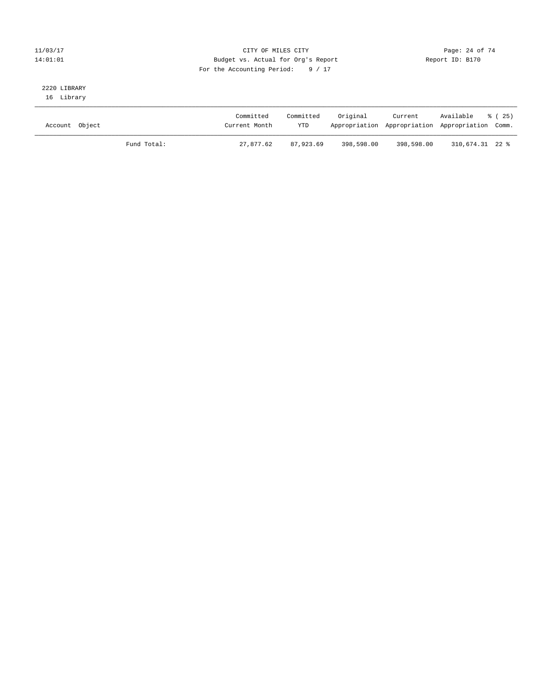#### 11/03/17 Page: 24 of 74 14:01:01 Budget vs. Actual for Org's Report Report ID: B170 For the Accounting Period: 9 / 17

# 2220 LIBRARY

16 Library

| Account Object |             | Committed<br>Current Month | Committed<br><b>YTD</b> | Original   | Current    | Available<br>Appropriation Appropriation Appropriation Comm. | 8 ( 25 ) |
|----------------|-------------|----------------------------|-------------------------|------------|------------|--------------------------------------------------------------|----------|
|                | Fund Total: | 27,877.62                  | 87,923.69               | 398,598.00 | 398,598.00 | 310,674.31 22 %                                              |          |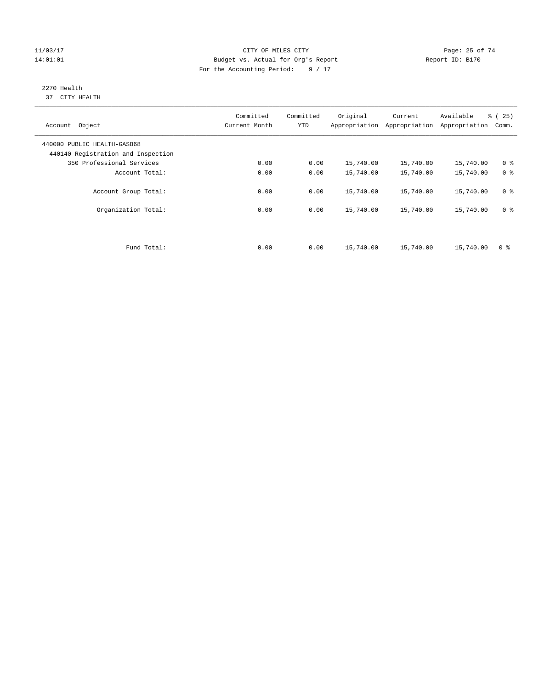#### 11/03/17 Page: 25 of 74 14:01:01 Budget vs. Actual for Org's Report Report ID: B170 For the Accounting Period: 9 / 17

#### 2270 Health 37 CITY HEALTH

| Account Object                                                    | Committed<br>Current Month | Committed<br><b>YTD</b> | Original  | Current<br>Appropriation Appropriation | Available<br>Appropriation | % (25)<br>Comm. |
|-------------------------------------------------------------------|----------------------------|-------------------------|-----------|----------------------------------------|----------------------------|-----------------|
| 440000 PUBLIC HEALTH-GASB68<br>440140 Registration and Inspection |                            |                         |           |                                        |                            |                 |
| 350 Professional Services                                         | 0.00                       | 0.00                    | 15,740.00 | 15,740.00                              | 15,740.00                  | 0 <sup>8</sup>  |
| Account Total:                                                    | 0.00                       | 0.00                    | 15,740.00 | 15,740.00                              | 15,740.00                  | 0 <sup>8</sup>  |
| Account Group Total:                                              | 0.00                       | 0.00                    | 15,740.00 | 15,740.00                              | 15,740.00                  | 0 <sup>8</sup>  |
| Organization Total:                                               | 0.00                       | 0.00                    | 15,740.00 | 15,740.00                              | 15,740.00                  | 0 <sup>8</sup>  |
|                                                                   |                            |                         |           |                                        |                            |                 |
| Fund Total:                                                       | 0.00                       | 0.00                    | 15,740.00 | 15,740.00                              | 15,740.00                  | 0 %             |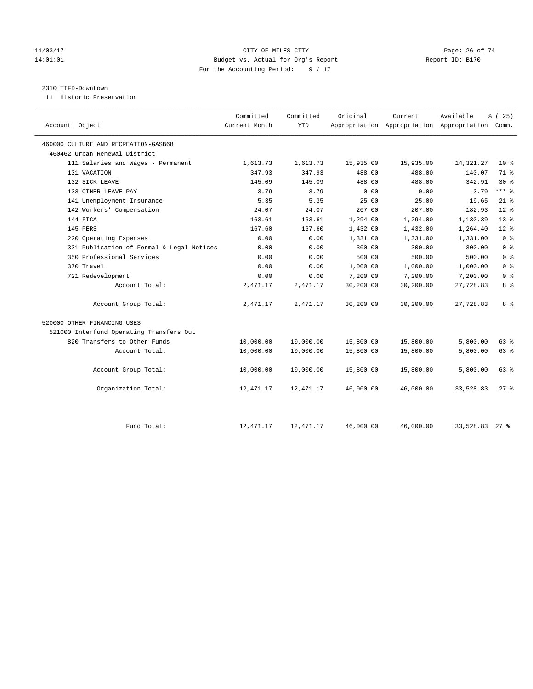#### 11/03/17 Page: 26 of 74 14:01:01 Budget vs. Actual for Org's Report Report ID: B170 For the Accounting Period: 9 / 17

#### 2310 TIFD-Downtown

11 Historic Preservation

| Account Object                            | Committed<br>Current Month | Committed<br><b>YTD</b> | Original  | Current   | Available<br>Appropriation Appropriation Appropriation Comm. | % (25)          |
|-------------------------------------------|----------------------------|-------------------------|-----------|-----------|--------------------------------------------------------------|-----------------|
| 460000 CULTURE AND RECREATION-GASB68      |                            |                         |           |           |                                                              |                 |
| 460462 Urban Renewal District             |                            |                         |           |           |                                                              |                 |
| 111 Salaries and Wages - Permanent        | 1,613.73                   | 1,613.73                | 15,935.00 | 15,935.00 | 14,321.27                                                    | $10*$           |
| 131 VACATION                              | 347.93                     | 347.93                  | 488.00    | 488.00    | 140.07                                                       | 71 %            |
| 132 SICK LEAVE                            | 145.09                     | 145.09                  | 488.00    | 488.00    | 342.91                                                       | $30*$           |
| 133 OTHER LEAVE PAY                       | 3.79                       | 3.79                    | 0.00      | 0.00      | $-3.79$                                                      | $***$ 8         |
| 141 Unemployment Insurance                | 5.35                       | 5.35                    | 25.00     | 25.00     | 19.65                                                        | $21$ %          |
| 142 Workers' Compensation                 | 24.07                      | 24.07                   | 207.00    | 207.00    | 182.93                                                       | $12*$           |
| 144 FICA                                  | 163.61                     | 163.61                  | 1,294.00  | 1,294.00  | 1,130.39                                                     | 13 <sup>8</sup> |
| 145 PERS                                  | 167.60                     | 167.60                  | 1,432.00  | 1,432.00  | 1,264.40                                                     | $12*$           |
| 220 Operating Expenses                    | 0.00                       | 0.00                    | 1,331.00  | 1,331.00  | 1,331.00                                                     | 0 <sup>8</sup>  |
| 331 Publication of Formal & Legal Notices | 0.00                       | 0.00                    | 300.00    | 300.00    | 300.00                                                       | 0 <sup>8</sup>  |
| 350 Professional Services                 | 0.00                       | 0.00                    | 500.00    | 500.00    | 500.00                                                       | 0 <sup>8</sup>  |
| 370 Travel                                | 0.00                       | 0.00                    | 1,000.00  | 1,000.00  | 1,000.00                                                     | 0 <sup>8</sup>  |
| 721 Redevelopment                         | 0.00                       | 0.00                    | 7,200.00  | 7,200.00  | 7,200.00                                                     | 0 <sup>8</sup>  |
| Account Total:                            | 2,471.17                   | 2,471.17                | 30,200.00 | 30,200.00 | 27,728.83                                                    | 8 <sup>°</sup>  |
| Account Group Total:                      | 2,471.17                   | 2,471.17                | 30,200.00 | 30,200.00 | 27,728.83                                                    | 8 %             |
| 520000 OTHER FINANCING USES               |                            |                         |           |           |                                                              |                 |
| 521000 Interfund Operating Transfers Out  |                            |                         |           |           |                                                              |                 |
| 820 Transfers to Other Funds              | 10,000.00                  | 10,000.00               | 15,800.00 | 15,800.00 | 5,800.00                                                     | 63 %            |
| Account Total:                            | 10,000.00                  | 10,000.00               | 15,800.00 | 15,800.00 | 5,800.00                                                     | 63 %            |
| Account Group Total:                      | 10,000.00                  | 10,000.00               | 15,800.00 | 15,800.00 | 5,800.00                                                     | 63 %            |
| Organization Total:                       | 12,471.17                  | 12,471.17               | 46,000.00 | 46,000.00 | 33,528.83                                                    | $27$ %          |
|                                           |                            |                         |           |           |                                                              |                 |
| Fund Total:                               | 12,471.17                  | 12, 471.17              | 46,000.00 | 46,000.00 | 33,528.83 27 %                                               |                 |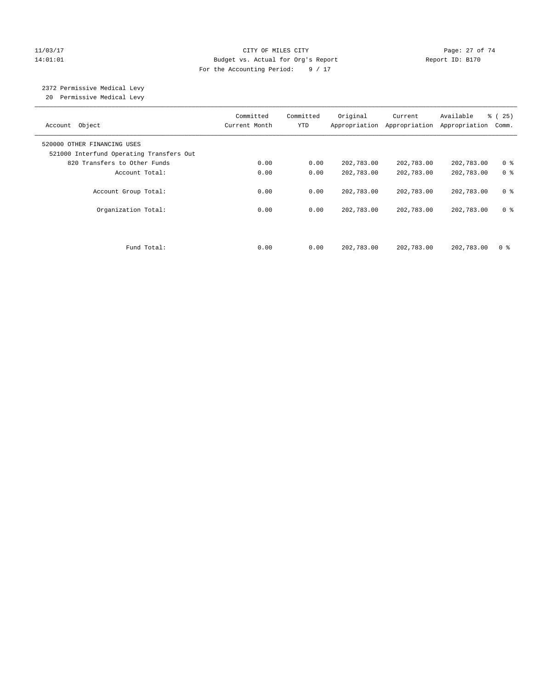#### 11/03/17 Page: 27 of 74 14:01:01 Budget vs. Actual for Org's Report Report ID: B170 For the Accounting Period: 9 / 17

# 2372 Permissive Medical Levy

20 Permissive Medical Levy

| Account Object                                                          | Committed<br>Current Month | Committed<br><b>YTD</b> | Original   | Current<br>Appropriation Appropriation | Available<br>Appropriation | % (25)<br>Comm. |
|-------------------------------------------------------------------------|----------------------------|-------------------------|------------|----------------------------------------|----------------------------|-----------------|
| 520000 OTHER FINANCING USES<br>521000 Interfund Operating Transfers Out |                            |                         |            |                                        |                            |                 |
| 820 Transfers to Other Funds                                            | 0.00                       | 0.00                    | 202,783.00 | 202,783.00                             | 202,783.00                 | 0 <sup>8</sup>  |
| Account Total:                                                          | 0.00                       | 0.00                    | 202,783.00 | 202,783.00                             | 202,783.00                 | 0 <sup>8</sup>  |
| Account Group Total:                                                    | 0.00                       | 0.00                    | 202,783.00 | 202,783.00                             | 202,783.00                 | 0 <sup>8</sup>  |
| Organization Total:                                                     | 0.00                       | 0.00                    | 202,783.00 | 202,783.00                             | 202,783.00                 | 0 <sup>8</sup>  |
|                                                                         |                            |                         |            |                                        |                            |                 |
| Fund Total:                                                             | 0.00                       | 0.00                    | 202,783.00 | 202,783.00                             | 202,783.00                 | 0 %             |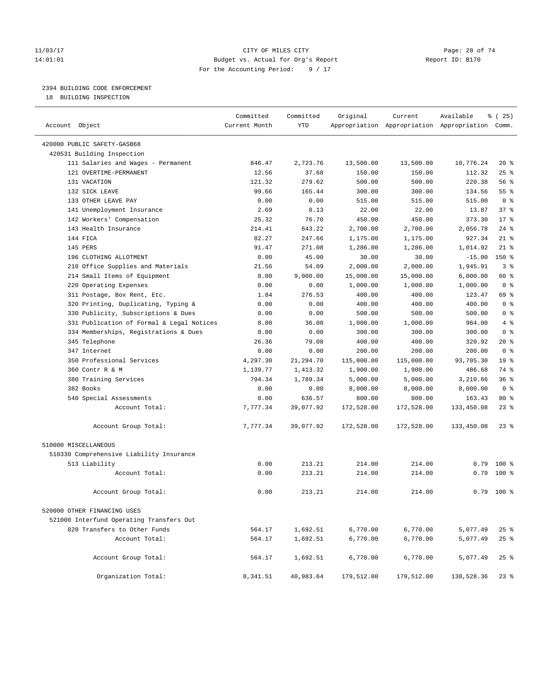#### 11/03/17 Page: 28 of 74 14:01:01 Budget vs. Actual for Org's Report Report ID: B170 For the Accounting Period: 9 / 17

————————————————————————————————————————————————————————————————————————————————————————————————————————————————————————————————————

#### 2394 BUILDING CODE ENFORCEMENT

18 BUILDING INSPECTION

|                                                                    | Committed     | Committed      | Original           | Current                                         | Available          | 8 (25)          |
|--------------------------------------------------------------------|---------------|----------------|--------------------|-------------------------------------------------|--------------------|-----------------|
| Account Object                                                     | Current Month | <b>YTD</b>     |                    | Appropriation Appropriation Appropriation Comm. |                    |                 |
| 420000 PUBLIC SAFETY-GASB68                                        |               |                |                    |                                                 |                    |                 |
| 420531 Building Inspection                                         |               |                |                    |                                                 |                    |                 |
| 111 Salaries and Wages - Permanent                                 | 846.47        | 2,723.76       | 13,500.00          | 13,500.00                                       | 10,776.24          | $20*$           |
| 121 OVERTIME-PERMANENT                                             | 12.56         | 37.68          | 150.00             | 150.00                                          | 112.32             | $25$ %          |
| 131 VACATION                                                       | 121.32        | 279.62         | 500.00             | 500.00                                          | 220.38             | 56%             |
| 132 SICK LEAVE                                                     | 99.66         | 165.44         | 300.00             | 300.00                                          | 134.56             | 55 <sup>8</sup> |
| 133 OTHER LEAVE PAY                                                | 0.00          | 0.00           | 515.00             | 515.00                                          | 515.00             | 0 <sup>8</sup>  |
| 141 Unemployment Insurance                                         | 2.69          | 8.13           | 22.00              | 22.00                                           | 13.87              | 37%             |
| 142 Workers' Compensation                                          | 25.32         | 76.70          | 450.00             | 450.00                                          | 373.30             | $17*$           |
| 143 Health Insurance                                               | 214.41        | 643.22         | 2,700.00           | 2,700.00                                        | 2,056.78           | $24$ %          |
| 144 FICA                                                           | 82.27         | 247.66         | 1,175.00           | 1,175.00                                        | 927.34             | $21$ %          |
| 145 PERS                                                           | 91.47         | 271.08         | 1,286.00           | 1,286.00                                        | 1,014.92           | $21$ %          |
| 196 CLOTHING ALLOTMENT                                             | 0.00          | 45.00          | 30.00              | 30.00                                           | $-15.00$           | $150*$          |
| 210 Office Supplies and Materials                                  | 21.56         | 54.09          | 2,000.00           | 2,000.00                                        | 1,945.91           | 3%              |
| 214 Small Items of Equipment                                       | 0.00          | 9,000.00       | 15,000.00          | 15,000.00                                       | 6,000.00           | 60 %            |
| 220 Operating Expenses                                             | 0.00          | 0.00           | 1,000.00           | 1,000.00                                        | 1,000.00           | 0 <sup>8</sup>  |
|                                                                    | 1.84          | 276.53         |                    | 400.00                                          | 123.47             | 69 %            |
| 311 Postage, Box Rent, Etc.<br>320 Printing, Duplicating, Typing & | 0.00          | 0.00           | 400.00<br>400.00   | 400.00                                          | 400.00             | 0 <sup>8</sup>  |
| 330 Publicity, Subscriptions & Dues                                | 0.00          | 0.00           | 500.00             | 500.00                                          | 500.00             | 0 <sup>8</sup>  |
| 331 Publication of Formal & Legal Notices                          | 0.00          | 36.00          | 1,000.00           | 1,000.00                                        | 964.00             | 4%              |
| 334 Memberships, Registrations & Dues                              | 0.00          | 0.00           | 300.00             | 300.00                                          | 300.00             | 0 <sup>8</sup>  |
| 345 Telephone                                                      | 26.36         | 79.08          | 400.00             | 400.00                                          | 320.92             | 20 %            |
| 347 Internet                                                       | 0.00          | 0.00           | 200.00             | 200.00                                          | 200.00             | 0 <sup>8</sup>  |
| 350 Professional Services                                          | 4,297.30      | 21,294.70      | 115,000.00         | 115,000.00                                      | 93,705.30          | 19 <sup>°</sup> |
| 360 Contr R & M                                                    | 1,139.77      | 1,413.32       | 1,900.00           | 1,900.00                                        | 486.68             | 74 %            |
| 380 Training Services                                              | 794.34        | 1,789.34       | 5,000.00           | 5,000.00                                        | 3,210.66           | 36%             |
| 382 Books                                                          | 0.00          |                |                    | 8,000.00                                        |                    | 0 <sup>8</sup>  |
| 540 Special Assessments                                            | 0.00          | 0.00<br>636.57 | 8,000.00<br>800.00 | 800.00                                          | 8,000.00<br>163.43 | $80*$           |
| Account Total:                                                     | 7,777.34      | 39,077.92      | 172,528.00         | 172,528.00                                      | 133,450.08         | $23$ %          |
|                                                                    |               |                |                    |                                                 |                    |                 |
| Account Group Total:                                               | 7,777.34      | 39,077.92      | 172,528.00         | 172,528.00                                      | 133,450.08         | $23$ %          |
| 510000 MISCELLANEOUS                                               |               |                |                    |                                                 |                    |                 |
| 510330 Comprehensive Liability Insurance                           |               |                |                    |                                                 |                    |                 |
| 513 Liability                                                      | 0.00          | 213.21         | 214.00             | 214.00                                          |                    | $0.79$ 100 %    |
| Account Total:                                                     | 0.00          | 213.21         | 214.00             | 214.00                                          | 0.79               | $100*$          |
| Account Group Total:                                               | 0.00          | 213.21         | 214.00             | 214.00                                          | 0.79               | $100$ %         |
| 520000 OTHER FINANCING USES                                        |               |                |                    |                                                 |                    |                 |
| 521000 Interfund Operating Transfers Out                           |               |                |                    |                                                 |                    |                 |
| 820 Transfers to Other Funds                                       | 564.17        | 1,692.51       | 6,770.00           | 6,770.00                                        | 5,077.49           | $25$ %          |
| Account Total:                                                     | 564.17        | 1,692.51       | 6,770.00           | 6,770.00                                        | 5,077.49           | $25$ %          |
|                                                                    |               |                |                    |                                                 |                    |                 |
| Account Group Total:                                               | 564.17        | 1,692.51       | 6,770.00           | 6,770.00                                        | 5,077.49           | $25$ %          |
| Organization Total:                                                | 8,341.51      | 40,983.64      | 179,512.00         | 179,512.00                                      | 138,528.36         | $23$ $%$        |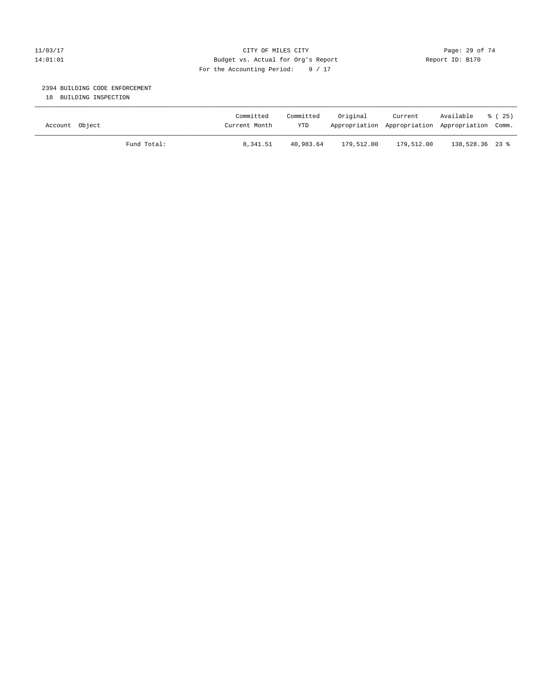#### 11/03/17 Page: 29 of 74 14:01:01 Budget vs. Actual for Org's Report Report ID: B170 For the Accounting Period: 9 / 17

#### 2394 BUILDING CODE ENFORCEMENT

18 BUILDING INSPECTION

| Account Object |             | Committed<br>Current Month | Committed<br><b>YTD</b> | Original   | Current    | Available<br>Appropriation Appropriation Appropriation Comm. | 8 (25) |
|----------------|-------------|----------------------------|-------------------------|------------|------------|--------------------------------------------------------------|--------|
|                | Fund Total: | 8,341.51                   | 40,983.64               | 179,512.00 | 179,512.00 | 138,528.36 23 %                                              |        |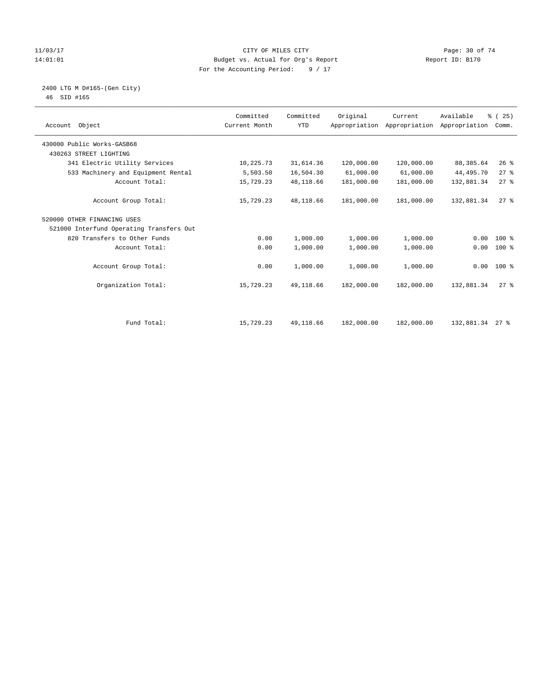#### 11/03/17 Page: 30 of 74 14:01:01 Budget vs. Actual for Org's Report Changer Report ID: B170 For the Accounting Period: 9 / 17

# 2400 LTG M D#165-(Gen City)

| 46 | SID #165 |  |
|----|----------|--|
|    |          |  |

| Account Object |                                          | Committed<br>Current Month | Committed<br><b>YTD</b> | Original   | Current<br>Appropriation Appropriation Appropriation | Available       | % (25)<br>Comm. |  |
|----------------|------------------------------------------|----------------------------|-------------------------|------------|------------------------------------------------------|-----------------|-----------------|--|
|                | 430000 Public Works-GASB68               |                            |                         |            |                                                      |                 |                 |  |
|                | 430263 STREET LIGHTING                   |                            |                         |            |                                                      |                 |                 |  |
|                | 341 Electric Utility Services            | 10,225.73                  | 31,614.36               | 120,000.00 | 120,000.00                                           | 88,385.64       | $26$ %          |  |
|                | 533 Machinery and Equipment Rental       | 5,503.50                   | 16,504.30               | 61,000.00  | 61,000.00                                            | 44,495.70       | $27$ $%$        |  |
|                | Account Total:                           | 15,729.23                  | 48,118.66               | 181,000.00 | 181,000.00                                           | 132,881.34      | 27%             |  |
|                | Account Group Total:                     | 15,729.23                  | 48,118.66               | 181,000.00 | 181,000.00                                           | 132,881.34      | $27$ $%$        |  |
|                | 520000 OTHER FINANCING USES              |                            |                         |            |                                                      |                 |                 |  |
|                | 521000 Interfund Operating Transfers Out |                            |                         |            |                                                      |                 |                 |  |
|                | 820 Transfers to Other Funds             | 0.00                       | 1,000.00                | 1,000.00   | 1,000.00                                             | 0.00            | $100*$          |  |
|                | Account Total:                           | 0.00                       | 1,000.00                | 1,000.00   | 1,000.00                                             | 0.00            | $100*$          |  |
|                | Account Group Total:                     | 0.00                       | 1,000.00                | 1,000.00   | 1,000.00                                             |                 | $0.00$ 100 %    |  |
|                | Organization Total:                      | 15,729.23                  | 49,118.66               | 182,000.00 | 182,000.00                                           | 132,881.34      | $27$ $%$        |  |
|                |                                          |                            |                         |            |                                                      |                 |                 |  |
|                | Fund Total:                              | 15,729.23                  | 49,118.66               | 182,000.00 | 182,000.00                                           | 132,881.34 27 % |                 |  |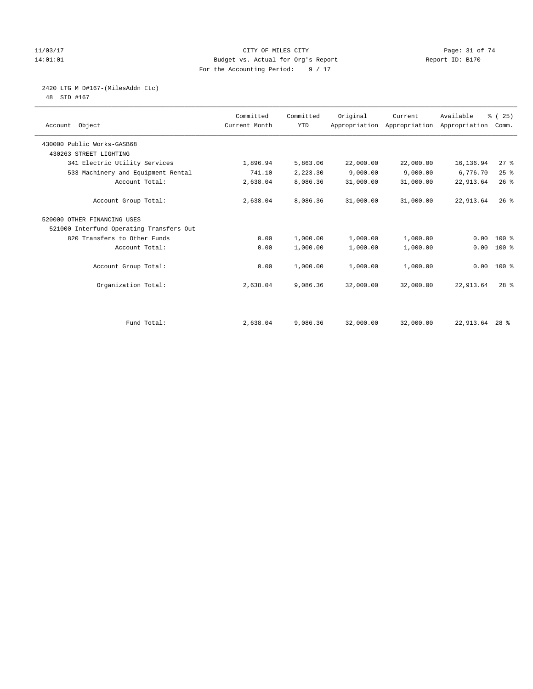#### 11/03/17 Page: 31 of 74 14:01:01 Budget vs. Actual for Org's Report Report ID: B170 For the Accounting Period: 9 / 17

# 2420 LTG M D#167-(MilesAddn Etc)

48 SID #167

| Account Object                           | Committed<br>Current Month | Committed<br><b>YTD</b> | Original  | Current<br>Appropriation Appropriation Appropriation | Available      | % (25)<br>Comm. |  |
|------------------------------------------|----------------------------|-------------------------|-----------|------------------------------------------------------|----------------|-----------------|--|
| 430000 Public Works-GASB68               |                            |                         |           |                                                      |                |                 |  |
| 430263 STREET LIGHTING                   |                            |                         |           |                                                      |                |                 |  |
| 341 Electric Utility Services            | 1,896.94                   | 5,863.06                | 22,000.00 | 22,000.00                                            | 16, 136.94     | 27%             |  |
| 533 Machinery and Equipment Rental       | 741.10                     | 2,223.30                | 9,000.00  | 9,000.00                                             | 6,776.70       | 25%             |  |
| Account Total:                           | 2,638.04                   | 8,086.36                | 31,000.00 | 31,000.00                                            | 22, 913.64     | 26%             |  |
| Account Group Total:                     | 2,638.04                   | 8,086.36                | 31,000.00 | 31,000.00                                            | 22,913.64      | $26$ $%$        |  |
| 520000 OTHER FINANCING USES              |                            |                         |           |                                                      |                |                 |  |
| 521000 Interfund Operating Transfers Out |                            |                         |           |                                                      |                |                 |  |
| 820 Transfers to Other Funds             | 0.00                       | 1,000.00                | 1,000.00  | 1,000.00                                             | 0.00           | $100*$          |  |
| Account Total:                           | 0.00                       | 1,000.00                | 1,000.00  | 1,000.00                                             | 0.00           | 100 %           |  |
| Account Group Total:                     | 0.00                       | 1,000.00                | 1,000.00  | 1,000.00                                             |                | $0.00 100$ %    |  |
| Organization Total:                      | 2,638.04                   | 9,086.36                | 32,000.00 | 32,000.00                                            | 22,913.64      | $28$ $%$        |  |
|                                          |                            |                         |           |                                                      |                |                 |  |
| Fund Total:                              | 2,638.04                   | 9,086.36                | 32,000.00 | 32,000.00                                            | 22,913.64 28 % |                 |  |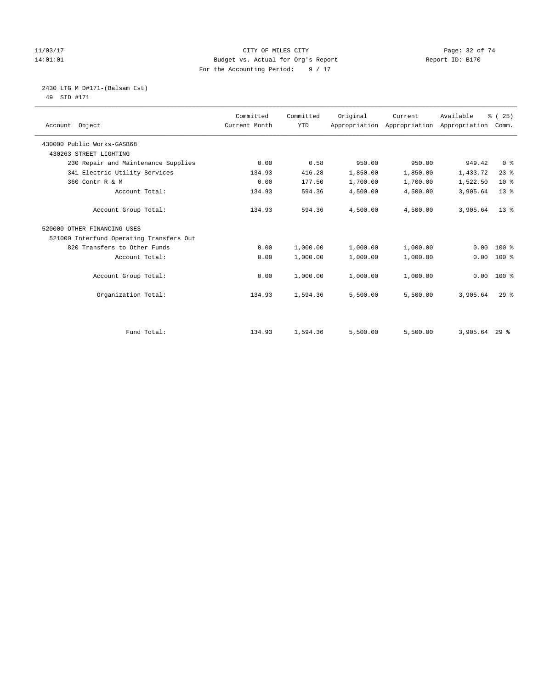#### 11/03/17 Page: 32 of 74 14:01:01 Budget vs. Actual for Org's Report Report ID: B170 For the Accounting Period: 9 / 17

 2430 LTG M D#171-(Balsam Est) 49 SID #171

| Account Object                           | Committed<br>Current Month | Committed<br><b>YTD</b> | Original | Current<br>Appropriation Appropriation | Available<br>Appropriation | % (25)<br>Comm. |
|------------------------------------------|----------------------------|-------------------------|----------|----------------------------------------|----------------------------|-----------------|
| 430000 Public Works-GASB68               |                            |                         |          |                                        |                            |                 |
| 430263 STREET LIGHTING                   |                            |                         |          |                                        |                            |                 |
| 230 Repair and Maintenance Supplies      | 0.00                       | 0.58                    | 950.00   | 950.00                                 | 949.42                     | 0 <sup>8</sup>  |
| 341 Electric Utility Services            | 134.93                     | 416.28                  | 1,850.00 | 1,850.00                               | 1,433.72                   | $23$ $%$        |
| 360 Contr R & M                          | 0.00                       | 177.50                  | 1,700.00 | 1,700.00                               | 1,522.50                   | $10*$           |
| Account Total:                           | 134.93                     | 594.36                  | 4,500.00 | 4,500.00                               | 3,905.64                   | $13*$           |
| Account Group Total:                     | 134.93                     | 594.36                  | 4,500.00 | 4,500.00                               | 3,905.64                   | $13*$           |
| 520000 OTHER FINANCING USES              |                            |                         |          |                                        |                            |                 |
| 521000 Interfund Operating Transfers Out |                            |                         |          |                                        |                            |                 |
| 820 Transfers to Other Funds             | 0.00                       | 1,000.00                | 1,000.00 | 1,000.00                               | 0.00                       | $100$ %         |
| Account Total:                           | 0.00                       | 1,000.00                | 1,000.00 | 1,000.00                               | 0.00                       | $100$ %         |
| Account Group Total:                     | 0.00                       | 1,000.00                | 1,000.00 | 1,000.00                               | 0.00                       | $100*$          |
| Organization Total:                      | 134.93                     | 1,594.36                | 5,500.00 | 5,500.00                               | 3,905.64                   | $29$ $%$        |
|                                          |                            |                         |          |                                        |                            |                 |
| Fund Total:                              | 134.93                     | 1,594.36                | 5,500.00 | 5,500.00                               | 3,905.64 29 %              |                 |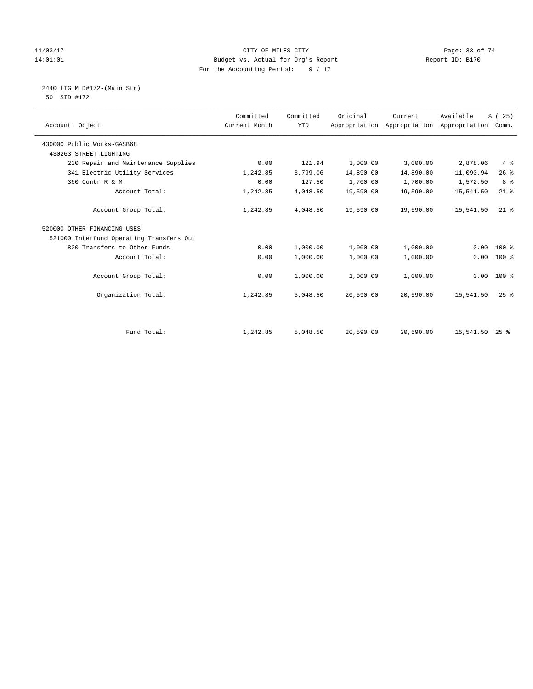#### $11/03/17$  Page: 33 of 74<br>
Budget vs. Actual for Org's Report  $\frac{11}{01 \cdot 01 \cdot 01}$  Page: 33 of 74 14:01:01 Budget vs. Actual for Org's Report For the Accounting Period: 9 / 17

 2440 LTG M D#172-(Main Str) 50 SID #172

| Account Object                           | Committed<br>Current Month | Committed<br><b>YTD</b> | Original  | Current<br>Appropriation Appropriation | Available<br>Appropriation | % (25)<br>Comm. |
|------------------------------------------|----------------------------|-------------------------|-----------|----------------------------------------|----------------------------|-----------------|
| 430000 Public Works-GASB68               |                            |                         |           |                                        |                            |                 |
| 430263 STREET LIGHTING                   |                            |                         |           |                                        |                            |                 |
| 230 Repair and Maintenance Supplies      | 0.00                       | 121.94                  | 3,000.00  | 3,000.00                               | 2,878.06                   | $4\degree$      |
| 341 Electric Utility Services            | 1,242.85                   | 3,799.06                | 14,890.00 | 14,890.00                              | 11,090.94                  | 26%             |
| 360 Contr R & M                          | 0.00                       | 127.50                  | 1,700.00  | 1,700.00                               | 1,572.50                   | 8 <sup>°</sup>  |
| Account Total:                           | 1,242.85                   | 4,048.50                | 19,590.00 | 19,590.00                              | 15,541.50                  | $21$ %          |
| Account Group Total:                     | 1,242.85                   | 4,048.50                | 19,590.00 | 19,590.00                              | 15,541.50                  | $21$ %          |
| 520000 OTHER FINANCING USES              |                            |                         |           |                                        |                            |                 |
| 521000 Interfund Operating Transfers Out |                            |                         |           |                                        |                            |                 |
| 820 Transfers to Other Funds             | 0.00                       | 1,000.00                | 1,000.00  | 1,000.00                               | 0.00                       | $100$ %         |
| Account Total:                           | 0.00                       | 1,000.00                | 1,000.00  | 1,000.00                               | 0.00                       | $100$ %         |
| Account Group Total:                     | 0.00                       | 1,000.00                | 1,000.00  | 1,000.00                               | 0.00                       | $100*$          |
| Organization Total:                      | 1,242.85                   | 5,048.50                | 20,590.00 | 20,590.00                              | 15,541.50                  | $25$ $%$        |
|                                          |                            |                         |           |                                        |                            |                 |
| Fund Total:                              | 1,242.85                   | 5,048.50                | 20,590.00 | 20,590.00                              | 15,541.50 25 %             |                 |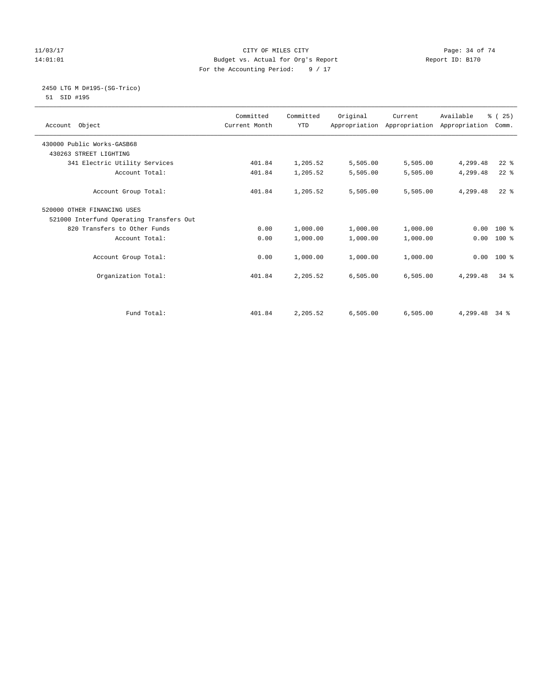#### 11/03/17 Page: 34 of 74 14:01:01 Budget vs. Actual for Org's Report Report ID: B170 For the Accounting Period: 9 / 17

#### 2450 LTG M D#195-(SG-Trico) 51 SID #195

| Account Object                           | Committed<br>Current Month | Committed<br><b>YTD</b> | Original | Current<br>Appropriation Appropriation Appropriation | Available | % (25)<br>Comm. |
|------------------------------------------|----------------------------|-------------------------|----------|------------------------------------------------------|-----------|-----------------|
| 430000 Public Works-GASB68               |                            |                         |          |                                                      |           |                 |
| 430263 STREET LIGHTING                   |                            |                         |          |                                                      |           |                 |
| 341 Electric Utility Services            | 401.84                     | 1,205.52                | 5,505.00 | 5,505.00                                             | 4,299.48  | $22$ %          |
| Account Total:                           | 401.84                     | 1,205.52                | 5,505.00 | 5,505.00                                             | 4,299.48  | $22$ $%$        |
| Account Group Total:                     | 401.84                     | 1,205.52                | 5,505.00 | 5,505.00                                             | 4,299.48  | $22$ $%$        |
| 520000 OTHER FINANCING USES              |                            |                         |          |                                                      |           |                 |
| 521000 Interfund Operating Transfers Out |                            |                         |          |                                                      |           |                 |
| 820 Transfers to Other Funds             | 0.00                       | 1,000.00                | 1,000.00 | 1,000.00                                             | 0.00      | $100*$          |
| Account Total:                           | 0.00                       | 1,000.00                | 1,000.00 | 1,000.00                                             | 0.00      | $100*$          |
| Account Group Total:                     | 0.00                       | 1,000.00                | 1,000.00 | 1,000.00                                             | 0.00      | $100*$          |
| Organization Total:                      | 401.84                     | 2,205.52                | 6,505.00 | 6,505.00                                             | 4,299.48  | $34$ $%$        |
|                                          |                            |                         |          |                                                      |           |                 |
| Fund Total:                              | 401.84                     | 2,205.52                | 6,505.00 | 6,505.00                                             | 4,299.48  | $34$ $%$        |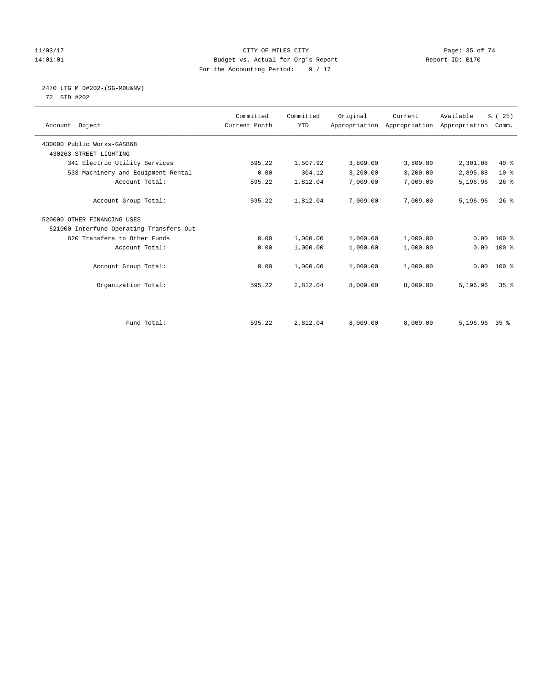#### 11/03/17 Page: 35 of 74 14:01:01 Budget vs. Actual for Org's Report Report ID: B170 For the Accounting Period: 9 / 17

# 2470 LTG M D#202-(SG-MDU&NV)

72 SID #202

| Account Object                           | Committed<br>Current Month | Committed<br><b>YTD</b> | Original | Current<br>Appropriation Appropriation Appropriation | Available       | % (25)<br>Comm. |  |
|------------------------------------------|----------------------------|-------------------------|----------|------------------------------------------------------|-----------------|-----------------|--|
| 430000 Public Works-GASB68               |                            |                         |          |                                                      |                 |                 |  |
| 430263 STREET LIGHTING                   |                            |                         |          |                                                      |                 |                 |  |
| 341 Electric Utility Services            | 595.22                     | 1,507.92                | 3,809.00 | 3,809.00                                             | 2,301.08        | $40*$           |  |
| 533 Machinery and Equipment Rental       | 0.00                       | 304.12                  | 3,200.00 | 3,200.00                                             | 2,895.88        | $10*$           |  |
| Account Total:                           | 595.22                     | 1,812.04                | 7,009.00 | 7,009.00                                             | 5,196.96        | $26$ %          |  |
| Account Group Total:                     | 595.22                     | 1,812.04                | 7,009.00 | 7,009.00                                             | 5,196.96        | $26$ %          |  |
| 520000 OTHER FINANCING USES              |                            |                         |          |                                                      |                 |                 |  |
| 521000 Interfund Operating Transfers Out |                            |                         |          |                                                      |                 |                 |  |
| 820 Transfers to Other Funds             | 0.00                       | 1,000.00                | 1,000.00 | 1,000.00                                             | 0.00            | 100 %           |  |
| Account Total:                           | 0.00                       | 1,000.00                | 1,000.00 | 1,000.00                                             | 0.00            | $100$ %         |  |
| Account Group Total:                     | 0.00                       | 1,000.00                | 1,000.00 | 1,000.00                                             | 0.00            | $100*$          |  |
| Organization Total:                      | 595.22                     | 2,812.04                | 8,009.00 | 8,009.00                                             | 5,196.96        | 35 <sup>8</sup> |  |
|                                          |                            |                         |          |                                                      |                 |                 |  |
| Fund Total:                              | 595.22                     | 2,812.04                | 8,009.00 | 8,009.00                                             | $5,196.96$ 35 % |                 |  |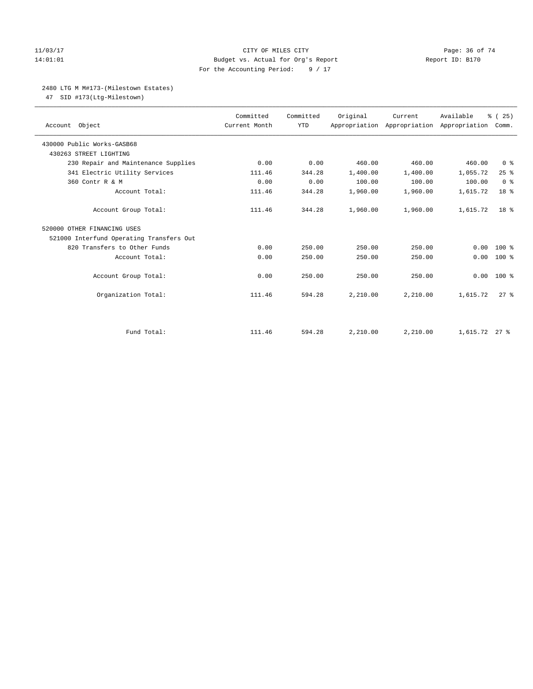#### 11/03/17 Page: 36 of 74 14:01:01 Budget vs. Actual for Org's Report Report ID: B170 For the Accounting Period: 9 / 17

#### 2480 LTG M M#173-(Milestown Estates)

47 SID #173(Ltg-Milestown)

| Account Object                           | Committed<br>Current Month | Committed<br><b>YTD</b> | Original | Current<br>Appropriation Appropriation Appropriation | Available     | % (25)<br>Comm. |
|------------------------------------------|----------------------------|-------------------------|----------|------------------------------------------------------|---------------|-----------------|
| 430000 Public Works-GASB68               |                            |                         |          |                                                      |               |                 |
| 430263 STREET LIGHTING                   |                            |                         |          |                                                      |               |                 |
| 230 Repair and Maintenance Supplies      | 0.00                       | 0.00                    | 460.00   | 460.00                                               | 460.00        | 0 <sup>8</sup>  |
| 341 Electric Utility Services            | 111.46                     | 344.28                  | 1,400.00 | 1,400.00                                             | 1,055.72      | 25%             |
| 360 Contr R & M                          | 0.00                       | 0.00                    | 100.00   | 100.00                                               | 100.00        | 0 <sup>8</sup>  |
| Account Total:                           | 111.46                     | 344.28                  | 1,960.00 | 1,960.00                                             | 1,615.72      | 18 %            |
| Account Group Total:                     | 111.46                     | 344.28                  | 1,960.00 | 1,960.00                                             | 1,615.72      | 18 <sup>8</sup> |
| 520000 OTHER FINANCING USES              |                            |                         |          |                                                      |               |                 |
| 521000 Interfund Operating Transfers Out |                            |                         |          |                                                      |               |                 |
| 820 Transfers to Other Funds             | 0.00                       | 250.00                  | 250.00   | 250.00                                               | 0.00          | $100*$          |
| Account Total:                           | 0.00                       | 250.00                  | 250.00   | 250.00                                               | 0.00          | $100*$          |
| Account Group Total:                     | 0.00                       | 250.00                  | 250.00   | 250.00                                               | 0.00          | $100*$          |
| Organization Total:                      | 111.46                     | 594.28                  | 2,210.00 | 2,210.00                                             | 1,615.72      | $27$ $%$        |
|                                          |                            |                         |          |                                                      |               |                 |
| Fund Total:                              | 111.46                     | 594.28                  | 2,210.00 | 2,210.00                                             | 1,615.72 27 % |                 |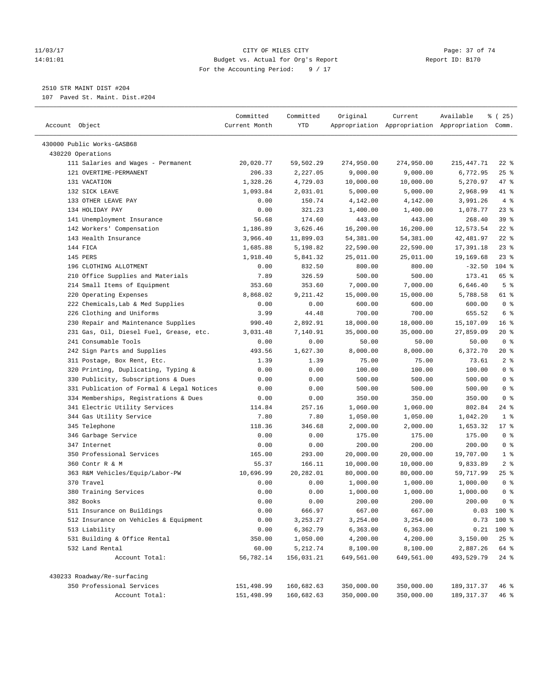#### 11/03/17 Page: 37 of 74 14:01:01 Budget vs. Actual for Org's Report Report ID: B170 For the Accounting Period: 9 / 17

————————————————————————————————————————————————————————————————————————————————————————————————————————————————————————————————————

# 2510 STR MAINT DIST #204

107 Paved St. Maint. Dist.#204

|                                           | Committed     | Committed  | Original   | Current    | Available                                       | 8 (25)          |
|-------------------------------------------|---------------|------------|------------|------------|-------------------------------------------------|-----------------|
| Account Object                            | Current Month | YTD        |            |            | Appropriation Appropriation Appropriation Comm. |                 |
|                                           |               |            |            |            |                                                 |                 |
| 430000 Public Works-GASB68                |               |            |            |            |                                                 |                 |
| 430220 Operations                         |               |            |            |            |                                                 |                 |
| 111 Salaries and Wages - Permanent        | 20,020.77     | 59,502.29  | 274,950.00 | 274,950.00 | 215,447.71                                      | $22$ %          |
| 121 OVERTIME-PERMANENT                    | 206.33        | 2,227.05   | 9,000.00   | 9,000.00   | 6,772.95                                        | $25$ %          |
| 131 VACATION                              | 1,328.26      | 4,729.03   | 10,000.00  | 10,000.00  | 5,270.97                                        | 47 %            |
| 132 SICK LEAVE                            | 1,093.84      | 2,031.01   | 5,000.00   | 5,000.00   | 2,968.99                                        | 41 %            |
| 133 OTHER LEAVE PAY                       | 0.00          | 150.74     | 4,142.00   | 4,142.00   | 3,991.26                                        | 4%              |
| 134 HOLIDAY PAY                           | 0.00          | 321.23     | 1,400.00   | 1,400.00   | 1,078.77                                        | $23$ $%$        |
| 141 Unemployment Insurance                | 56.68         | 174.60     | 443.00     | 443.00     | 268.40                                          | 39%             |
| 142 Workers' Compensation                 | 1,186.89      | 3,626.46   | 16,200.00  | 16,200.00  | 12,573.54                                       | $22$ %          |
| 143 Health Insurance                      | 3,966.40      | 11,899.03  | 54,381.00  | 54,381.00  | 42,481.97                                       | $22$ %          |
| 144 FICA                                  | 1,685.88      | 5,198.82   | 22,590.00  | 22,590.00  | 17,391.18                                       | 23%             |
| 145 PERS                                  | 1,918.40      | 5,841.32   | 25,011.00  | 25,011.00  | 19,169.68                                       | $23$ %          |
| 196 CLOTHING ALLOTMENT                    | 0.00          | 832.50     | 800.00     | 800.00     | $-32.50$                                        | $104$ %         |
| 210 Office Supplies and Materials         | 7.89          | 326.59     | 500.00     | 500.00     | 173.41                                          | 65 %            |
| 214 Small Items of Equipment              | 353.60        | 353.60     | 7,000.00   | 7,000.00   | 6,646.40                                        | 5 <sup>°</sup>  |
| 220 Operating Expenses                    | 8,868.02      | 9,211.42   | 15,000.00  | 15,000.00  | 5,788.58                                        | 61 %            |
| 222 Chemicals, Lab & Med Supplies         | 0.00          | 0.00       | 600.00     | 600.00     | 600.00                                          | 0 <sup>8</sup>  |
| 226 Clothing and Uniforms                 | 3.99          | 44.48      | 700.00     | 700.00     | 655.52                                          | 6 %             |
| 230 Repair and Maintenance Supplies       | 990.40        | 2,892.91   | 18,000.00  | 18,000.00  | 15,107.09                                       | 16 <sup>8</sup> |
| 231 Gas, Oil, Diesel Fuel, Grease, etc.   | 3,031.48      | 7,140.91   | 35,000.00  | 35,000.00  | 27,859.09                                       | $20*$           |
| 241 Consumable Tools                      | 0.00          | 0.00       | 50.00      | 50.00      | 50.00                                           | 0 <sup>8</sup>  |
| 242 Sign Parts and Supplies               | 493.56        | 1,627.30   | 8,000.00   | 8,000.00   | 6,372.70                                        | $20*$           |
| 311 Postage, Box Rent, Etc.               | 1.39          | 1.39       | 75.00      | 75.00      | 73.61                                           | 2 <sup>°</sup>  |
| 320 Printing, Duplicating, Typing &       | 0.00          | 0.00       | 100.00     | 100.00     | 100.00                                          | 0 <sup>8</sup>  |
| 330 Publicity, Subscriptions & Dues       | 0.00          | 0.00       | 500.00     | 500.00     | 500.00                                          | 0 <sup>8</sup>  |
| 331 Publication of Formal & Legal Notices | 0.00          | 0.00       | 500.00     | 500.00     | 500.00                                          | 0 <sup>8</sup>  |
| 334 Memberships, Registrations & Dues     | 0.00          | 0.00       | 350.00     | 350.00     | 350.00                                          | 0 <sup>8</sup>  |
| 341 Electric Utility Services             | 114.84        | 257.16     | 1,060.00   | 1,060.00   | 802.84                                          | $24$ %          |
| 344 Gas Utility Service                   | 7.80          | 7.80       | 1,050.00   | 1,050.00   | 1,042.20                                        | 1 <sup>8</sup>  |
| 345 Telephone                             | 118.36        | 346.68     | 2,000.00   | 2,000.00   | 1,653.32                                        | $17$ %          |
| 346 Garbage Service                       | 0.00          | 0.00       | 175.00     | 175.00     | 175.00                                          | 0 <sup>8</sup>  |
| 347 Internet                              | 0.00          | 0.00       | 200.00     | 200.00     | 200.00                                          | 0 <sup>°</sup>  |
| 350 Professional Services                 | 165.00        | 293.00     | 20,000.00  | 20,000.00  | 19,707.00                                       | 1 <sup>8</sup>  |
| 360 Contr R & M                           | 55.37         | 166.11     | 10,000.00  | 10,000.00  | 9,833.89                                        | 2 <sup>8</sup>  |
| 363 R&M Vehicles/Equip/Labor-PW           | 10,696.99     | 20,282.01  | 80,000.00  | 80,000.00  | 59,717.99                                       | $25$ %          |
| 370 Travel                                | 0.00          | 0.00       | 1,000.00   | 1,000.00   | 1,000.00                                        | 0 <sup>8</sup>  |
| 380 Training Services                     | 0.00          | 0.00       | 1,000.00   | 1,000.00   | 1,000.00                                        | 0 <sup>8</sup>  |
| 382 Books                                 | 0.00          | 0.00       | 200.00     | 200.00     | 200.00                                          | 0 <sup>8</sup>  |
| 511 Insurance on Buildings                | 0.00          | 666.97     | 667.00     | 667.00     |                                                 | $0.03$ 100 %    |
| 512 Insurance on Vehicles & Equipment     | 0.00          | 3, 253. 27 | 3,254.00   | 3,254.00   |                                                 | $0.73$ 100 %    |
| 513 Liability                             | 0.00          | 6,362.79   | 6,363.00   | 6,363.00   |                                                 | $0.21$ 100 %    |
| 531 Building & Office Rental              | 350.00        | 1,050.00   | 4,200.00   | 4,200.00   | 3,150.00                                        | 25%             |
| 532 Land Rental                           | 60.00         | 5,212.74   | 8,100.00   | 8,100.00   | 2,887.26                                        | 64 %            |
| Account Total:                            | 56,782.14     | 156,031.21 | 649,561.00 | 649,561.00 | 493,529.79                                      | $24$ %          |
| 430233 Roadway/Re-surfacing               |               |            |            |            |                                                 |                 |
| 350 Professional Services                 | 151,498.99    | 160,682.63 | 350,000.00 | 350,000.00 | 189, 317.37                                     | 46%             |
| Account Total:                            | 151,498.99    | 160,682.63 | 350,000.00 | 350,000.00 | 189, 317.37                                     | 46 %            |
|                                           |               |            |            |            |                                                 |                 |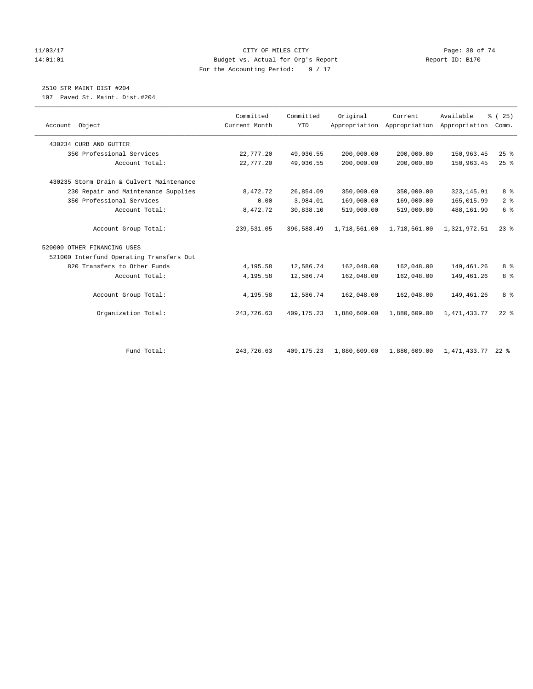#### 11/03/17 Page: 38 of 74 14:01:01 Budget vs. Actual for Org's Report Report ID: B170 For the Accounting Period: 9 / 17

# 2510 STR MAINT DIST #204

107 Paved St. Maint. Dist.#204

| Account Object                           | Committed<br>Current Month | Committed<br><b>YTD</b> | Original     | Current<br>Appropriation Appropriation | Available<br>Appropriation | % (25)<br>Comm. |
|------------------------------------------|----------------------------|-------------------------|--------------|----------------------------------------|----------------------------|-----------------|
|                                          |                            |                         |              |                                        |                            |                 |
| 430234 CURB AND GUTTER                   |                            |                         |              |                                        |                            |                 |
| 350 Professional Services                | 22,777.20                  | 49,036.55               | 200,000.00   | 200,000.00                             | 150,963.45                 | 25%             |
| Account Total:                           | 22,777.20                  | 49,036.55               | 200,000.00   | 200,000.00                             | 150,963.45                 | $25$ $%$        |
| 430235 Storm Drain & Culvert Maintenance |                            |                         |              |                                        |                            |                 |
| 230 Repair and Maintenance Supplies      | 8,472.72                   | 26,854.09               | 350,000.00   | 350,000.00                             | 323, 145.91                | 8 %             |
| 350 Professional Services                | 0.00                       | 3,984.01                | 169,000.00   | 169,000.00                             | 165,015.99                 | 2 <sup>°</sup>  |
| Account Total:                           | 8,472.72                   | 30,838.10               | 519,000.00   | 519,000.00                             | 488,161.90                 | 6 <sup>°</sup>  |
| Account Group Total:                     | 239,531.05                 | 396,588.49              | 1,718,561.00 | 1,718,561.00                           | 1,321,972.51               | $23$ $%$        |
| 520000 OTHER FINANCING USES              |                            |                         |              |                                        |                            |                 |
| 521000 Interfund Operating Transfers Out |                            |                         |              |                                        |                            |                 |
| 820 Transfers to Other Funds             | 4,195.58                   | 12,586.74               | 162,048.00   | 162,048.00                             | 149,461.26                 | 8 %             |
| Account Total:                           | 4,195.58                   | 12,586.74               | 162,048.00   | 162,048.00                             | 149,461.26                 | 8%              |
| Account Group Total:                     | 4,195.58                   | 12,586.74               | 162,048.00   | 162,048.00                             | 149,461.26                 | 8 %             |
| Organization Total:                      | 243,726.63                 | 409, 175. 23            | 1,880,609.00 | 1,880,609.00                           | 1, 471, 433.77             | $22$ %          |
|                                          |                            |                         |              |                                        |                            |                 |
| Fund Total:                              | 243,726.63                 | 409, 175. 23            | 1,880,609.00 | 1,880,609.00                           | 1,471,433.77 22 %          |                 |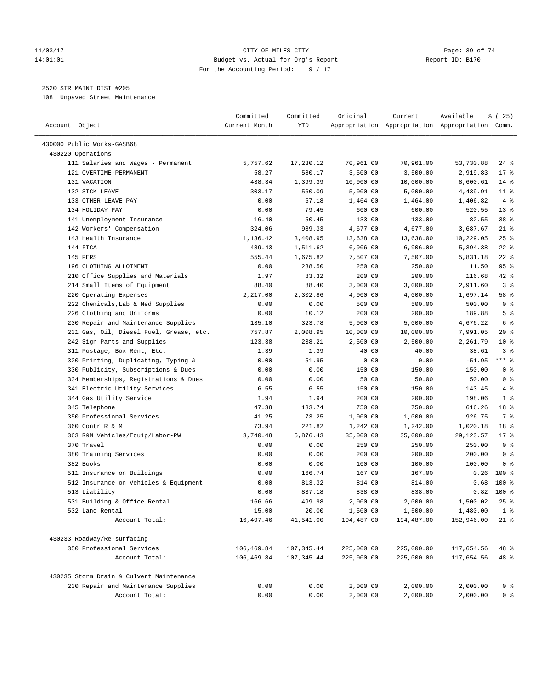#### 11/03/17 Page: 39 of 74 14:01:01 Budget vs. Actual for Org's Report Report ID: B170 For the Accounting Period: 9 / 17

————————————————————————————————————————————————————————————————————————————————————————————————————————————————————————————————————

# 2520 STR MAINT DIST #205

108 Unpaved Street Maintenance

|                                          | Committed     | Committed   | Original   | Current    | Available                                       | $*(25)$          |
|------------------------------------------|---------------|-------------|------------|------------|-------------------------------------------------|------------------|
| Account Object                           | Current Month | YTD         |            |            | Appropriation Appropriation Appropriation Comm. |                  |
|                                          |               |             |            |            |                                                 |                  |
| 430000 Public Works-GASB68               |               |             |            |            |                                                 |                  |
| 430220 Operations                        |               |             |            |            |                                                 |                  |
| 111 Salaries and Wages - Permanent       | 5,757.62      | 17,230.12   | 70,961.00  | 70,961.00  | 53,730.88                                       | $24$ %           |
| 121 OVERTIME-PERMANENT                   | 58.27         | 580.17      | 3,500.00   | 3,500.00   | 2,919.83                                        | $17*$            |
| 131 VACATION                             | 438.34        | 1,399.39    | 10,000.00  | 10,000.00  | 8,600.61                                        | $14$ %           |
| 132 SICK LEAVE<br>133 OTHER LEAVE PAY    | 303.17        | 560.09      | 5,000.00   | 5,000.00   | 4,439.91                                        | $11$ %           |
| 134 HOLIDAY PAY                          | 0.00          | 57.18       | 1,464.00   | 1,464.00   | 1,406.82                                        | 4%<br>$13*$      |
|                                          | 0.00          | 79.45       | 600.00     | 600.00     | 520.55                                          | 38 %             |
| 141 Unemployment Insurance               | 16.40         | 50.45       | 133.00     | 133.00     | 82.55                                           | $21$ %           |
| 142 Workers' Compensation                | 324.06        | 989.33      | 4,677.00   | 4,677.00   | 3,687.67                                        |                  |
| 143 Health Insurance                     | 1,136.42      | 3,408.95    | 13,638.00  | 13,638.00  | 10,229.05                                       | $25$ %           |
| 144 FICA                                 | 489.43        | 1,511.62    | 6,906.00   | 6,906.00   | 5,394.38                                        | $22$ %<br>$22$ % |
| 145 PERS                                 | 555.44        | 1,675.82    | 7,507.00   | 7,507.00   | 5,831.18                                        |                  |
| 196 CLOTHING ALLOTMENT                   | 0.00          | 238.50      | 250.00     | 250.00     | 11.50                                           | 95%              |
| 210 Office Supplies and Materials        | 1.97          | 83.32       | 200.00     | 200.00     | 116.68                                          | 42 %             |
| 214 Small Items of Equipment             | 88.40         | 88.40       | 3,000.00   | 3,000.00   | 2,911.60                                        | 3 <sup>8</sup>   |
| 220 Operating Expenses                   | 2,217.00      | 2,302.86    | 4,000.00   | 4,000.00   | 1,697.14                                        | 58 %             |
| 222 Chemicals, Lab & Med Supplies        | 0.00          | 0.00        | 500.00     | 500.00     | 500.00                                          | 0 <sup>8</sup>   |
| 226 Clothing and Uniforms                | 0.00          | 10.12       | 200.00     | 200.00     | 189.88                                          | 5 <sup>°</sup>   |
| 230 Repair and Maintenance Supplies      | 135.10        | 323.78      | 5,000.00   | 5,000.00   | 4,676.22                                        | 6 %              |
| 231 Gas, Oil, Diesel Fuel, Grease, etc.  | 757.87        | 2,008.95    | 10,000.00  | 10,000.00  | 7,991.05                                        | 20%              |
| 242 Sign Parts and Supplies              | 123.38        | 238.21      | 2,500.00   | 2,500.00   | 2,261.79                                        | $10*$            |
| 311 Postage, Box Rent, Etc.              | 1.39          | 1.39        | 40.00      | 40.00      | 38.61                                           | 3%               |
| 320 Printing, Duplicating, Typing &      | 0.00          | 51.95       | 0.00       | 0.00       | $-51.95$                                        | $***$ $_{8}$     |
| 330 Publicity, Subscriptions & Dues      | 0.00          | 0.00        | 150.00     | 150.00     | 150.00                                          | 0 <sup>8</sup>   |
| 334 Memberships, Registrations & Dues    | 0.00          | 0.00        | 50.00      | 50.00      | 50.00                                           | 0 <sup>8</sup>   |
| 341 Electric Utility Services            | 6.55          | 6.55        | 150.00     | 150.00     | 143.45                                          | 4%               |
| 344 Gas Utility Service                  | 1.94          | 1.94        | 200.00     | 200.00     | 198.06                                          | 1 <sup>°</sup>   |
| 345 Telephone                            | 47.38         | 133.74      | 750.00     | 750.00     | 616.26                                          | 18 %             |
| 350 Professional Services                | 41.25         | 73.25       | 1,000.00   | 1,000.00   | 926.75                                          | 7 %              |
| 360 Contr R & M                          | 73.94         | 221.82      | 1,242.00   | 1,242.00   | 1,020.18                                        | 18 %             |
| 363 R&M Vehicles/Equip/Labor-PW          | 3,740.48      | 5,876.43    | 35,000.00  | 35,000.00  | 29, 123.57                                      | $17*$            |
| 370 Travel                               | 0.00          | 0.00        | 250.00     | 250.00     | 250.00                                          | 0 <sup>°</sup>   |
| 380 Training Services                    | 0.00          | 0.00        | 200.00     | 200.00     | 200.00                                          | 0 <sup>8</sup>   |
| 382 Books                                | 0.00          | 0.00        | 100.00     | 100.00     | 100.00                                          | 0 <sup>8</sup>   |
| 511 Insurance on Buildings               | 0.00          | 166.74      | 167.00     | 167.00     | 0.26                                            | $100*$           |
| 512 Insurance on Vehicles & Equipment    | 0.00          | 813.32      | 814.00     | 814.00     | 0.68                                            | $100*$           |
| 513 Liability                            | 0.00          | 837.18      | 838.00     | 838.00     |                                                 | $0.82$ 100 %     |
| 531 Building & Office Rental             | 166.66        | 499.98      | 2,000.00   | 2,000.00   | 1,500.02                                        | 25%              |
| 532 Land Rental                          | 15.00         | 20.00       | 1,500.00   | 1,500.00   | 1,480.00                                        | 1 <sup>8</sup>   |
| Account Total:                           | 16,497.46     | 41,541.00   | 194,487.00 | 194,487.00 | 152,946.00                                      | $21$ %           |
| 430233 Roadway/Re-surfacing              |               |             |            |            |                                                 |                  |
| 350 Professional Services                | 106,469.84    | 107,345.44  | 225,000.00 | 225,000.00 | 117,654.56                                      | 48 %             |
| Account Total:                           | 106,469.84    | 107, 345.44 | 225,000.00 | 225,000.00 | 117,654.56                                      | 48 %             |
|                                          |               |             |            |            |                                                 |                  |
| 430235 Storm Drain & Culvert Maintenance |               |             |            |            |                                                 |                  |
| 230 Repair and Maintenance Supplies      | 0.00          | 0.00        | 2,000.00   | 2,000.00   | 2,000.00                                        | 0 <sup>8</sup>   |
| Account Total:                           | 0.00          | 0.00        | 2,000.00   | 2,000.00   | 2,000.00                                        | $0$ %            |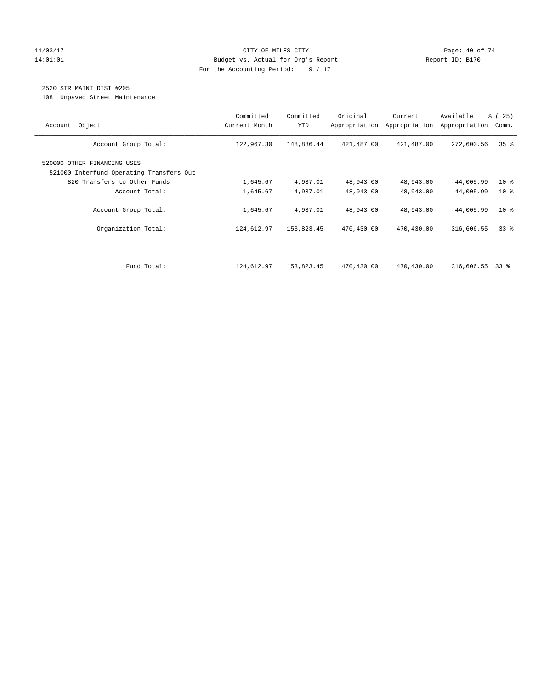#### 11/03/17 Page: 40 of 74 14:01:01 Budget vs. Actual for Org's Report Report ID: B170 For the Accounting Period: 9 / 17

# 2520 STR MAINT DIST #205

108 Unpaved Street Maintenance

| Object<br>Account                                                       | Committed<br>Current Month | Committed<br><b>YTD</b> | Original<br>Appropriation | Current<br>Appropriation | Available<br>Appropriation | % (25)<br>Comm. |
|-------------------------------------------------------------------------|----------------------------|-------------------------|---------------------------|--------------------------|----------------------------|-----------------|
| Account Group Total:                                                    | 122,967.30                 | 148,886.44              | 421,487.00                | 421,487.00               | 272,600.56                 | 35 <sup>8</sup> |
| 520000 OTHER FINANCING USES<br>521000 Interfund Operating Transfers Out |                            |                         |                           |                          |                            |                 |
| 820 Transfers to Other Funds                                            | 1,645.67                   | 4,937.01                | 48,943.00                 | 48,943.00                | 44,005.99                  | 10 <sub>8</sub> |
| Account Total:                                                          | 1,645.67                   | 4,937.01                | 48,943.00                 | 48,943.00                | 44,005.99                  | 10 <sup>8</sup> |
| Account Group Total:                                                    | 1,645.67                   | 4,937.01                | 48,943.00                 | 48,943.00                | 44,005.99                  | $10*$           |
| Organization Total:                                                     | 124,612.97                 | 153,823.45              | 470,430.00                | 470,430.00               | 316,606.55                 | 338             |
|                                                                         |                            |                         |                           |                          |                            |                 |
| Fund Total:                                                             | 124,612.97                 | 153,823.45              | 470,430.00                | 470,430.00               | 316,606.55                 | 33 %            |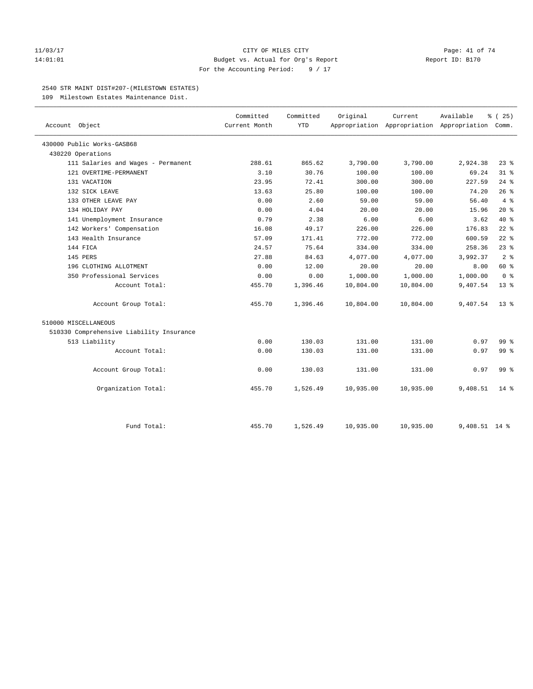#### 11/03/17 Page: 41 of 74 14:01:01 Budget vs. Actual for Org's Report Report ID: B170 For the Accounting Period: 9 / 17

#### 2540 STR MAINT DIST#207-(MILESTOWN ESTATES)

109 Milestown Estates Maintenance Dist.

| Account Object                           | Committed<br>Current Month | Committed<br><b>YTD</b> | Original  | Current   | Available<br>Appropriation Appropriation Appropriation Comm. | % (25)          |
|------------------------------------------|----------------------------|-------------------------|-----------|-----------|--------------------------------------------------------------|-----------------|
| 430000 Public Works-GASB68               |                            |                         |           |           |                                                              |                 |
| 430220 Operations                        |                            |                         |           |           |                                                              |                 |
| 111 Salaries and Wages - Permanent       | 288.61                     | 865.62                  | 3,790.00  | 3,790.00  | 2,924.38                                                     | $23$ %          |
| 121 OVERTIME-PERMANENT                   | 3.10                       | 30.76                   | 100.00    | 100.00    | 69.24                                                        | $31$ $%$        |
| 131 VACATION                             | 23.95                      | 72.41                   | 300.00    | 300.00    | 227.59                                                       | $24$ %          |
| 132 SICK LEAVE                           | 13.63                      | 25.80                   | 100.00    | 100.00    | 74.20                                                        | 26%             |
| 133 OTHER LEAVE PAY                      | 0.00                       | 2.60                    | 59.00     | 59.00     | 56.40                                                        | $4\degree$      |
| 134 HOLIDAY PAY                          | 0.00                       | 4.04                    | 20.00     | 20.00     | 15.96                                                        | $20*$           |
| 141 Unemployment Insurance               | 0.79                       | 2.38                    | 6.00      | 6.00      | 3.62                                                         | $40*$           |
| 142 Workers' Compensation                | 16.08                      | 49.17                   | 226.00    | 226.00    | 176.83                                                       | $22$ %          |
| 143 Health Insurance                     | 57.09                      | 171.41                  | 772.00    | 772.00    | 600.59                                                       | $22$ %          |
| 144 FICA                                 | 24.57                      | 75.64                   | 334.00    | 334.00    | 258.36                                                       | $23$ $%$        |
| 145 PERS                                 | 27.88                      | 84.63                   | 4,077.00  | 4,077.00  | 3,992.37                                                     | 2 <sup>°</sup>  |
| 196 CLOTHING ALLOTMENT                   | 0.00                       | 12.00                   | 20.00     | 20.00     | 8.00                                                         | 60 %            |
| 350 Professional Services                | 0.00                       | 0.00                    | 1,000.00  | 1,000.00  | 1,000.00                                                     | 0 <sup>8</sup>  |
| Account Total:                           | 455.70                     | 1,396.46                | 10,804.00 | 10,804.00 | 9,407.54                                                     | $13*$           |
| Account Group Total:                     | 455.70                     | 1,396.46                | 10,804.00 | 10,804.00 | 9,407.54                                                     | $13*$           |
| 510000 MISCELLANEOUS                     |                            |                         |           |           |                                                              |                 |
| 510330 Comprehensive Liability Insurance |                            |                         |           |           |                                                              |                 |
| 513 Liability                            | 0.00                       | 130.03                  | 131.00    | 131.00    | 0.97                                                         | 99 <sub>8</sub> |
| Account Total:                           | 0.00                       | 130.03                  | 131.00    | 131.00    | 0.97                                                         | 99%             |
| Account Group Total:                     | 0.00                       | 130.03                  | 131.00    | 131.00    | 0.97                                                         | 99 <sub>8</sub> |
| Organization Total:                      | 455.70                     | 1,526.49                | 10,935.00 | 10,935.00 | 9,408.51                                                     | $14*$           |
| Fund Total:                              | 455.70                     | 1,526.49                | 10,935.00 | 10,935.00 | $9.408.51$ 14 %                                              |                 |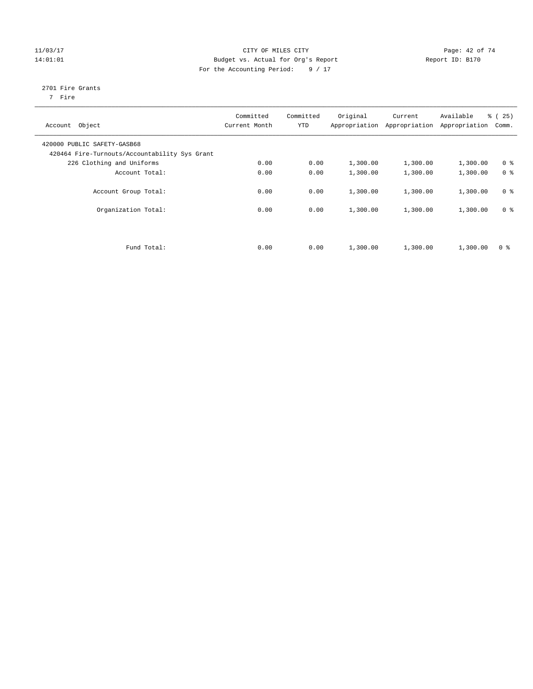#### $CITY$  OF MILES  $CITY$  and the contract of  $74$ 14:01:01 Budget vs. Actual for Org's Report Changer Report ID: B170 For the Accounting Period: 9 / 17

# 2701 Fire Grants

7 Fire

| Account Object                                                               | Committed<br>Current Month | Committed<br><b>YTD</b> | Original | Current<br>Appropriation Appropriation | Available<br>Appropriation | % (25)<br>Comm. |
|------------------------------------------------------------------------------|----------------------------|-------------------------|----------|----------------------------------------|----------------------------|-----------------|
| 420000 PUBLIC SAFETY-GASB68<br>420464 Fire-Turnouts/Accountability Sys Grant |                            |                         |          |                                        |                            |                 |
| 226 Clothing and Uniforms                                                    | 0.00                       | 0.00                    | 1,300.00 | 1,300.00                               | 1,300.00                   | 0 <sup>8</sup>  |
| Account Total:                                                               | 0.00                       | 0.00                    | 1,300.00 | 1,300.00                               | 1,300.00                   | 0 <sup>8</sup>  |
| Account Group Total:                                                         | 0.00                       | 0.00                    | 1,300.00 | 1,300.00                               | 1,300.00                   | 0 <sup>8</sup>  |
| Organization Total:                                                          | 0.00                       | 0.00                    | 1,300.00 | 1,300.00                               | 1,300.00                   | 0 <sup>8</sup>  |
|                                                                              |                            |                         |          |                                        |                            |                 |
| Fund Total:                                                                  | 0.00                       | 0.00                    | 1,300.00 | 1,300.00                               | 1,300.00                   | 0 <sup>8</sup>  |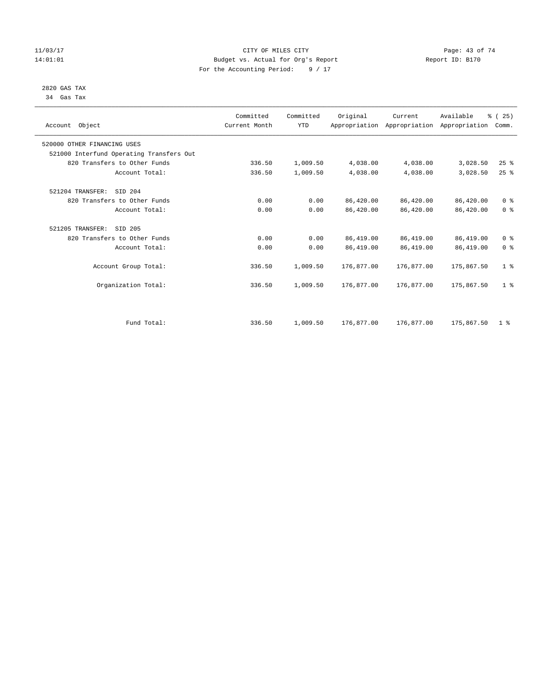#### 11/03/17 CITY OF MILES CITY Page: 43 of 74 14:01:01 Budget vs. Actual for Org's Report Report ID: B170 For the Accounting Period: 9 / 17

#### 2820 GAS TAX 34 Gas Tax

| Account Object                           | Committed<br>Current Month | Committed<br><b>YTD</b> | Original   | Current    | Available<br>Appropriation Appropriation Appropriation | % (25)<br>Comm. |
|------------------------------------------|----------------------------|-------------------------|------------|------------|--------------------------------------------------------|-----------------|
| 520000 OTHER FINANCING USES              |                            |                         |            |            |                                                        |                 |
| 521000 Interfund Operating Transfers Out |                            |                         |            |            |                                                        |                 |
| 820 Transfers to Other Funds             | 336.50                     | 1,009.50                | 4,038.00   | 4,038.00   | 3,028.50                                               | 25%             |
| Account Total:                           | 336.50                     | 1,009.50                | 4,038.00   | 4,038.00   | 3,028.50                                               | 25%             |
| 521204 TRANSFER:<br>SID 204              |                            |                         |            |            |                                                        |                 |
| 820 Transfers to Other Funds             | 0.00                       | 0.00                    | 86,420.00  | 86,420.00  | 86,420.00                                              | 0 <sup>8</sup>  |
| Account Total:                           | 0.00                       | 0.00                    | 86,420.00  | 86,420.00  | 86,420.00                                              | 0 <sup>8</sup>  |
| 521205 TRANSFER:<br>SID 205              |                            |                         |            |            |                                                        |                 |
| 820 Transfers to Other Funds             | 0.00                       | 0.00                    | 86,419.00  | 86,419.00  | 86,419.00                                              | 0 <sup>8</sup>  |
| Account Total:                           | 0.00                       | 0.00                    | 86,419.00  | 86,419.00  | 86, 419.00                                             | 0 <sup>8</sup>  |
| Account Group Total:                     | 336.50                     | 1,009.50                | 176,877.00 | 176,877.00 | 175,867.50                                             | 1 <sup>8</sup>  |
| Organization Total:                      | 336.50                     | 1,009.50                | 176,877.00 | 176,877.00 | 175,867.50                                             | 1 <sup>8</sup>  |
|                                          |                            |                         |            |            |                                                        |                 |
| Fund Total:                              | 336.50                     | 1,009.50                | 176,877.00 | 176,877.00 | 175,867.50                                             | 1 <sup>8</sup>  |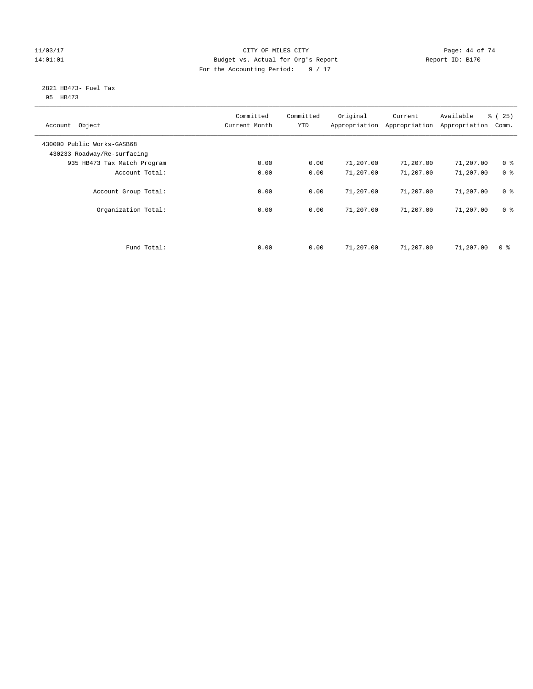#### 11/03/17 Page: 44 of 74 14:01:01 Budget vs. Actual for Org's Report Report ID: B170 For the Accounting Period: 9 / 17

#### 2821 HB473- Fuel Tax 95 HB473

| Account Object                                            | Committed<br>Current Month | Committed<br><b>YTD</b> | Original  | Current<br>Appropriation Appropriation | Available<br>Appropriation | % (25)<br>Comm. |
|-----------------------------------------------------------|----------------------------|-------------------------|-----------|----------------------------------------|----------------------------|-----------------|
| 430000 Public Works-GASB68<br>430233 Roadway/Re-surfacing |                            |                         |           |                                        |                            |                 |
| 935 HB473 Tax Match Program                               | 0.00                       | 0.00                    | 71,207.00 | 71,207.00                              | 71,207.00                  | 0 <sup>8</sup>  |
| Account Total:                                            | 0.00                       | 0.00                    | 71,207.00 | 71,207.00                              | 71,207.00                  | 0 <sup>8</sup>  |
| Account Group Total:                                      | 0.00                       | 0.00                    | 71,207.00 | 71,207.00                              | 71,207.00                  | 0 <sup>8</sup>  |
| Organization Total:                                       | 0.00                       | 0.00                    | 71,207.00 | 71,207.00                              | 71,207.00                  | 0 <sup>8</sup>  |
|                                                           |                            |                         |           |                                        |                            |                 |
| Fund Total:                                               | 0.00                       | 0.00                    | 71,207.00 | 71,207.00                              | 71,207.00                  | 0 %             |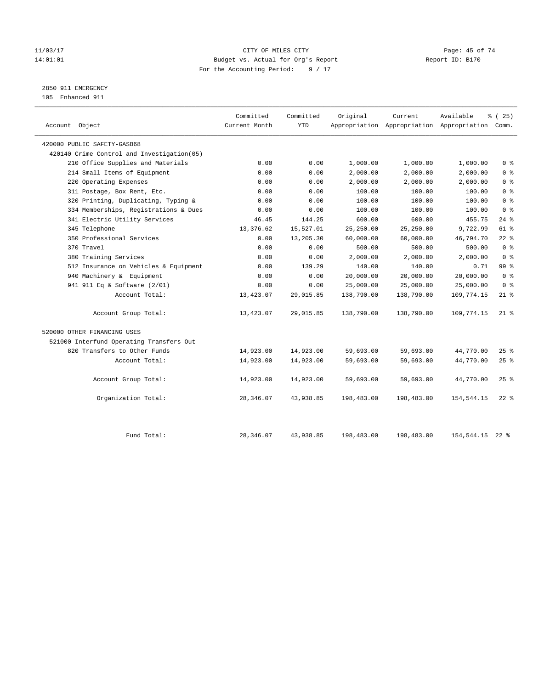#### 11/03/17 Page: 45 of 74 14:01:01 Budget vs. Actual for Org's Report Report ID: B170 For the Accounting Period: 9 / 17

2850 911 EMERGENCY

105 Enhanced 911

| Account Object                             | Committed<br>Current Month | Committed<br><b>YTD</b> | Original   | Current    | Available<br>Appropriation Appropriation Appropriation Comm. | % (25)          |
|--------------------------------------------|----------------------------|-------------------------|------------|------------|--------------------------------------------------------------|-----------------|
| 420000 PUBLIC SAFETY-GASB68                |                            |                         |            |            |                                                              |                 |
| 420140 Crime Control and Investigation(05) |                            |                         |            |            |                                                              |                 |
| 210 Office Supplies and Materials          | 0.00                       | 0.00                    | 1,000.00   | 1,000.00   | 1,000.00                                                     | 0 <sup>8</sup>  |
| 214 Small Items of Equipment               | 0.00                       | 0.00                    | 2,000.00   | 2,000.00   | 2,000.00                                                     | 0 <sup>8</sup>  |
| 220 Operating Expenses                     | 0.00                       | 0.00                    | 2,000.00   | 2,000.00   | 2,000.00                                                     | 0 <sup>8</sup>  |
| 311 Postage, Box Rent, Etc.                | 0.00                       | 0.00                    | 100.00     | 100.00     | 100.00                                                       | 0 <sup>°</sup>  |
| 320 Printing, Duplicating, Typing &        | 0.00                       | 0.00                    | 100.00     | 100.00     | 100.00                                                       | 0 <sup>8</sup>  |
| 334 Memberships, Registrations & Dues      | 0.00                       | 0.00                    | 100.00     | 100.00     | 100.00                                                       | 0 <sup>8</sup>  |
| 341 Electric Utility Services              | 46.45                      | 144.25                  | 600.00     | 600.00     | 455.75                                                       | $24$ %          |
| 345 Telephone                              | 13,376.62                  | 15,527.01               | 25,250.00  | 25,250.00  | 9,722.99                                                     | $61$ %          |
| 350 Professional Services                  | 0.00                       | 13,205.30               | 60,000.00  | 60,000.00  | 46,794.70                                                    | $22$ %          |
| 370 Travel                                 | 0.00                       | 0.00                    | 500.00     | 500.00     | 500.00                                                       | 0 <sup>8</sup>  |
| 380 Training Services                      | 0.00                       | 0.00                    | 2,000.00   | 2,000.00   | 2,000.00                                                     | 0 <sup>8</sup>  |
| 512 Insurance on Vehicles & Equipment      | 0.00                       | 139.29                  | 140.00     | 140.00     | 0.71                                                         | 99 <sub>8</sub> |
| 940 Machinery & Equipment                  | 0.00                       | 0.00                    | 20,000.00  | 20,000.00  | 20,000.00                                                    | 0 <sup>8</sup>  |
| 941 911 Eq & Software (2/01)               | 0.00                       | 0.00                    | 25,000.00  | 25,000.00  | 25,000.00                                                    | 0 <sup>8</sup>  |
| Account Total:                             | 13,423.07                  | 29,015.85               | 138,790.00 | 138,790.00 | 109,774.15                                                   | $21$ %          |
| Account Group Total:                       | 13,423.07                  | 29,015.85               | 138,790.00 | 138,790.00 | 109,774.15                                                   | $21$ %          |
| 520000 OTHER FINANCING USES                |                            |                         |            |            |                                                              |                 |
| 521000 Interfund Operating Transfers Out   |                            |                         |            |            |                                                              |                 |
| 820 Transfers to Other Funds               | 14,923.00                  | 14,923.00               | 59,693.00  | 59,693.00  | 44,770.00                                                    | $25$ %          |
| Account Total:                             | 14,923.00                  | 14,923.00               | 59,693.00  | 59,693.00  | 44,770.00                                                    | 25%             |
| Account Group Total:                       | 14,923.00                  | 14,923.00               | 59,693.00  | 59,693.00  | 44,770.00                                                    | 25%             |
| Organization Total:                        | 28,346.07                  | 43,938.85               | 198,483.00 | 198,483.00 | 154,544.15                                                   | $22$ %          |
|                                            |                            |                         |            |            |                                                              |                 |
| Fund Total:                                | 28, 346.07                 | 43,938.85               | 198,483.00 | 198,483.00 | 154,544.15                                                   | $22$ $%$        |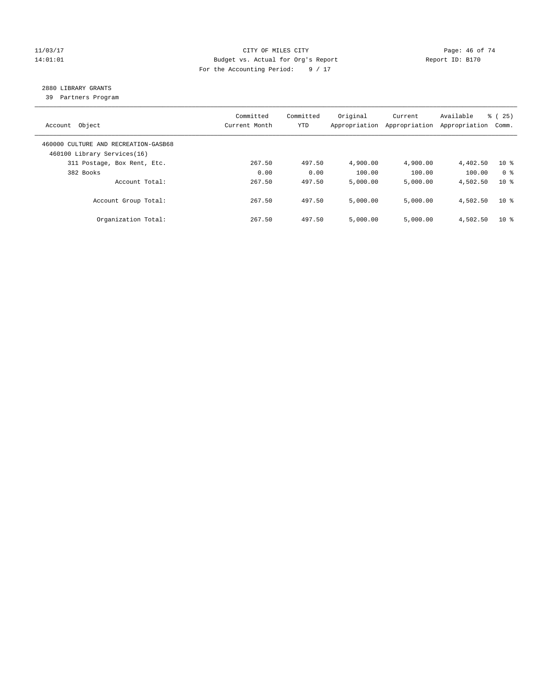#### 11/03/17 Page: 46 of 74 14:01:01 Budget vs. Actual for Org's Report Changer Report ID: B170 For the Accounting Period: 9 / 17

# 2880 LIBRARY GRANTS

39 Partners Program

| Account Object                                                      | Committed<br>Current Month | Committed<br><b>YTD</b> | Original<br>Appropriation | Current<br>Appropriation | Available<br>Appropriation | % (25)<br>Comm. |
|---------------------------------------------------------------------|----------------------------|-------------------------|---------------------------|--------------------------|----------------------------|-----------------|
| 460000 CULTURE AND RECREATION-GASB68<br>460100 Library Services(16) |                            |                         |                           |                          |                            |                 |
| 311 Postage, Box Rent, Etc.                                         | 267.50                     | 497.50                  | 4,900.00                  | 4,900.00                 | 4,402.50                   | $10*$           |
| 382 Books                                                           | 0.00                       | 0.00                    | 100.00                    | 100.00                   | 100.00                     | 0 <sup>8</sup>  |
| Account Total:                                                      | 267.50                     | 497.50                  | 5,000.00                  | 5,000.00                 | 4,502.50                   | $10*$           |
| Account Group Total:                                                | 267.50                     | 497.50                  | 5.000.00                  | 5.000.00                 | 4,502.50                   | 10 <sup>8</sup> |
| Organization Total:                                                 | 267.50                     | 497.50                  | 5.000.00                  | 5,000.00                 | 4,502.50                   | $10*$           |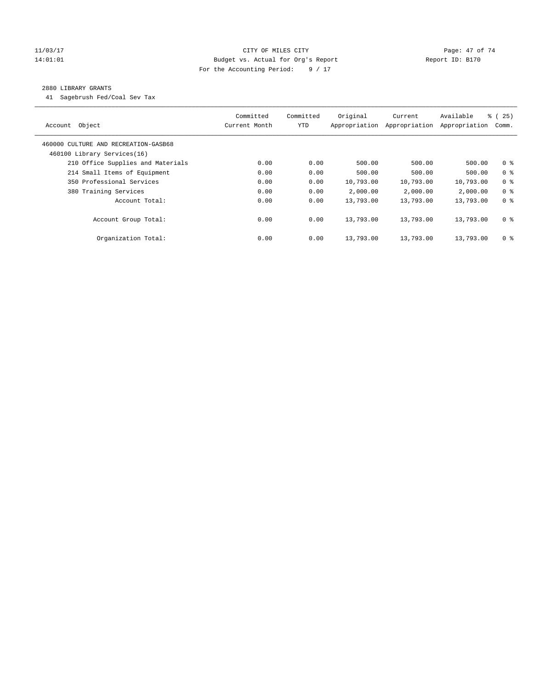#### 11/03/17 Page: 47 of 74 14:01:01 Budget vs. Actual for Org's Report Report ID: B170 For the Accounting Period: 9 / 17

#### 2880 LIBRARY GRANTS

41 Sagebrush Fed/Coal Sev Tax

| Object<br>Account                                                   | Committed<br>Current Month | Committed<br>YTD | Original<br>Appropriation | Current<br>Appropriation | Available<br>Appropriation | 8 (25)<br>Comm. |
|---------------------------------------------------------------------|----------------------------|------------------|---------------------------|--------------------------|----------------------------|-----------------|
| 460000 CULTURE AND RECREATION-GASB68<br>460100 Library Services(16) |                            |                  |                           |                          |                            |                 |
| 210 Office Supplies and Materials                                   | 0.00                       | 0.00             | 500.00                    | 500.00                   | 500.00                     | 0 <sup>8</sup>  |
| 214 Small Items of Equipment                                        | 0.00                       | 0.00             | 500.00                    | 500.00                   | 500.00                     | 0 <sup>8</sup>  |
| 350 Professional Services                                           | 0.00                       | 0.00             | 10,793.00                 | 10,793.00                | 10,793.00                  | 0 <sup>8</sup>  |
| 380 Training Services                                               | 0.00                       | 0.00             | 2,000.00                  | 2,000.00                 | 2,000.00                   | 0 <sup>8</sup>  |
| Account Total:                                                      | 0.00                       | 0.00             | 13,793.00                 | 13,793.00                | 13,793.00                  | 0 <sup>8</sup>  |
| Account Group Total:                                                | 0.00                       | 0.00             | 13,793.00                 | 13,793.00                | 13,793.00                  | 0 <sup>8</sup>  |
| Organization Total:                                                 | 0.00                       | 0.00             | 13,793.00                 | 13,793.00                | 13,793.00                  | 0 <sup>8</sup>  |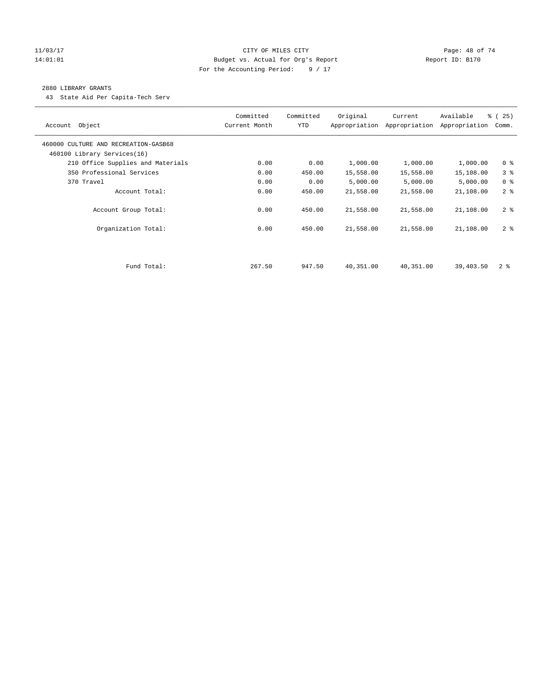#### 11/03/17 Page: 48 of 74 14:01:01 Budget vs. Actual for Org's Report Report ID: B170 For the Accounting Period: 9 / 17

#### 2880 LIBRARY GRANTS

43 State Aid Per Capita-Tech Serv

| Object<br>Account                                                   | Committed<br>Current Month | Committed<br><b>YTD</b> | Original  | Current<br>Appropriation Appropriation | Available<br>Appropriation | % (25)<br>Comm. |
|---------------------------------------------------------------------|----------------------------|-------------------------|-----------|----------------------------------------|----------------------------|-----------------|
| 460000 CULTURE AND RECREATION-GASB68<br>460100 Library Services(16) |                            |                         |           |                                        |                            |                 |
| 210 Office Supplies and Materials                                   | 0.00                       | 0.00                    | 1,000.00  | 1,000.00                               | 1,000.00                   | 0 <sup>8</sup>  |
| 350 Professional Services                                           | 0.00                       | 450.00                  | 15,558.00 | 15,558.00                              | 15,108.00                  | 3%              |
| 370 Travel                                                          | 0.00                       | 0.00                    | 5,000.00  | 5,000.00                               | 5,000.00                   | 0 <sup>8</sup>  |
| Account Total:                                                      | 0.00                       | 450.00                  | 21,558.00 | 21,558.00                              | 21,108.00                  | 2 <sup>8</sup>  |
| Account Group Total:                                                | 0.00                       | 450.00                  | 21,558.00 | 21,558.00                              | 21,108.00                  | 2 <sup>8</sup>  |
| Organization Total:                                                 | 0.00                       | 450.00                  | 21,558.00 | 21,558.00                              | 21,108.00                  | 2 <sup>8</sup>  |
|                                                                     |                            |                         |           |                                        |                            |                 |
| Fund Total:                                                         | 267.50                     | 947.50                  | 40,351.00 | 40,351.00                              | 39,403.50                  | 2 <sup>8</sup>  |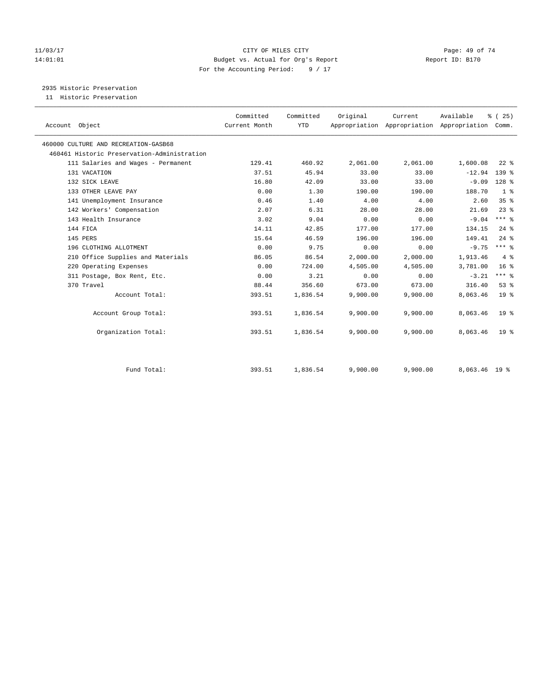#### 11/03/17 Page: 49 of 74 14:01:01 Budget vs. Actual for Org's Report Report ID: B170 For the Accounting Period: 9 / 17

# 2935 Historic Preservation

11 Historic Preservation

| Account Object                              | Committed<br>Current Month | Committed<br><b>YTD</b> | Original | Current<br>Appropriation Appropriation Appropriation | Available     | % (25)<br>Comm. |  |
|---------------------------------------------|----------------------------|-------------------------|----------|------------------------------------------------------|---------------|-----------------|--|
|                                             |                            |                         |          |                                                      |               |                 |  |
| 460000 CULTURE AND RECREATION-GASB68        |                            |                         |          |                                                      |               |                 |  |
| 460461 Historic Preservation-Administration |                            |                         |          |                                                      |               |                 |  |
| 111 Salaries and Wages - Permanent          | 129.41                     | 460.92                  | 2,061.00 | 2,061.00                                             | 1,600.08      | $22$ $%$        |  |
| 131 VACATION                                | 37.51                      | 45.94                   | 33.00    | 33.00                                                | $-12.94$      | 139 %           |  |
| 132 SICK LEAVE                              | 16.80                      | 42.09                   | 33.00    | 33.00                                                | $-9.09$       | $128$ %         |  |
| 133 OTHER LEAVE PAY                         | 0.00                       | 1.30                    | 190.00   | 190.00                                               | 188.70        | 1 <sup>8</sup>  |  |
| 141 Unemployment Insurance                  | 0.46                       | 1.40                    | 4.00     | 4.00                                                 | 2.60          | 35%             |  |
| 142 Workers' Compensation                   | 2.07                       | 6.31                    | 28.00    | 28.00                                                | 21.69         | $23$ $%$        |  |
| 143 Health Insurance                        | 3.02                       | 9.04                    | 0.00     | 0.00                                                 | $-9.04$       | $***$ 8         |  |
| 144 FICA                                    | 14.11                      | 42.85                   | 177.00   | 177.00                                               | 134.15        | $24$ $%$        |  |
| 145 PERS                                    | 15.64                      | 46.59                   | 196.00   | 196.00                                               | 149.41        | $24$ $%$        |  |
| 196 CLOTHING ALLOTMENT                      | 0.00                       | 9.75                    | 0.00     | 0.00                                                 | $-9.75$       | $***$ 8         |  |
| 210 Office Supplies and Materials           | 86.05                      | 86.54                   | 2,000.00 | 2,000.00                                             | 1,913.46      | 4%              |  |
| 220 Operating Expenses                      | 0.00                       | 724.00                  | 4,505.00 | 4,505.00                                             | 3,781.00      | 16 <sup>°</sup> |  |
| 311 Postage, Box Rent, Etc.                 | 0.00                       | 3.21                    | 0.00     | 0.00                                                 | $-3.21$       | $***$ $-$       |  |
| 370 Travel                                  | 88.44                      | 356.60                  | 673.00   | 673.00                                               | 316.40        | 53%             |  |
| Account Total:                              | 393.51                     | 1,836.54                | 9,900.00 | 9,900.00                                             | 8,063.46      | 19 <sup>8</sup> |  |
| Account Group Total:                        | 393.51                     | 1,836.54                | 9,900.00 | 9,900.00                                             | 8,063.46      | 19 <sup>°</sup> |  |
| Organization Total:                         | 393.51                     | 1,836.54                | 9,900.00 | 9,900.00                                             | 8,063.46      | 19 <sup>8</sup> |  |
| Fund Total:                                 | 393.51                     | 1,836.54                | 9,900.00 | 9,900.00                                             | 8,063.46 19 % |                 |  |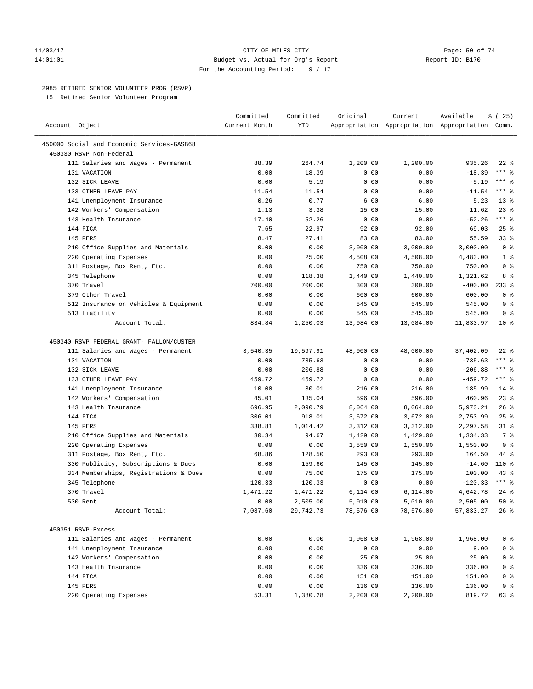#### 11/03/17 Page: 50 of 74 14:01:01 Budget vs. Actual for Org's Report Report ID: B170 For the Accounting Period: 9 / 17

————————————————————————————————————————————————————————————————————————————————————————————————————————————————————————————————————

#### 2985 RETIRED SENIOR VOLUNTEER PROG (RSVP)

15 Retired Senior Volunteer Program

|                                            | Committed     | Committed | Original  | Current                                         | Available | 8 (25)         |
|--------------------------------------------|---------------|-----------|-----------|-------------------------------------------------|-----------|----------------|
| Account Object                             | Current Month | YTD       |           | Appropriation Appropriation Appropriation Comm. |           |                |
| 450000 Social and Economic Services-GASB68 |               |           |           |                                                 |           |                |
| 450330 RSVP Non-Federal                    |               |           |           |                                                 |           |                |
| 111 Salaries and Wages - Permanent         | 88.39         | 264.74    | 1,200.00  | 1,200.00                                        | 935.26    | $22$ %         |
| 131 VACATION                               | 0.00          | 18.39     | 0.00      | 0.00                                            | $-18.39$  | $***$ $%$      |
| 132 SICK LEAVE                             | 0.00          | 5.19      | 0.00      | 0.00                                            | $-5.19$   | *** 응          |
| 133 OTHER LEAVE PAY                        | 11.54         | 11.54     | 0.00      | 0.00                                            | $-11.54$  | $***$ $-$      |
| 141 Unemployment Insurance                 | 0.26          | 0.77      | 6.00      | 6.00                                            | 5.23      | $13*$          |
| 142 Workers' Compensation                  | 1.13          | 3.38      | 15.00     | 15.00                                           | 11.62     | $23$ %         |
| 143 Health Insurance                       | 17.40         | 52.26     | 0.00      | 0.00                                            | $-52.26$  | $***$ $-$      |
| 144 FICA                                   | 7.65          | 22.97     | 92.00     | 92.00                                           | 69.03     | $25$ %         |
| 145 PERS                                   | 8.47          | 27.41     | 83.00     | 83.00                                           | 55.59     | 33%            |
| 210 Office Supplies and Materials          | 0.00          | 0.00      | 3,000.00  | 3,000.00                                        | 3,000.00  | 0 <sup>8</sup> |
| 220 Operating Expenses                     | 0.00          | 25.00     | 4,508.00  | 4,508.00                                        | 4,483.00  | 1 <sup>°</sup> |
| 311 Postage, Box Rent, Etc.                | 0.00          | 0.00      | 750.00    | 750.00                                          | 750.00    | 0 <sup>8</sup> |
| 345 Telephone                              | 0.00          | 118.38    | 1,440.00  | 1,440.00                                        | 1,321.62  | 8 %            |
| 370 Travel                                 | 700.00        | 700.00    | 300.00    | 300.00                                          | $-400.00$ | $233$ $%$      |
| 379 Other Travel                           | 0.00          | 0.00      | 600.00    | 600.00                                          | 600.00    | 0 <sup>8</sup> |
| 512 Insurance on Vehicles & Equipment      | 0.00          | 0.00      | 545.00    | 545.00                                          | 545.00    | 0 <sup>8</sup> |
| 513 Liability                              | 0.00          | 0.00      | 545.00    | 545.00                                          | 545.00    | 0 <sup>8</sup> |
| Account Total:                             | 834.84        | 1,250.03  | 13,084.00 | 13,084.00                                       | 11,833.97 | $10*$          |
|                                            |               |           |           |                                                 |           |                |
| 450340 RSVP FEDERAL GRANT- FALLON/CUSTER   |               |           |           |                                                 |           |                |
| 111 Salaries and Wages - Permanent         | 3,540.35      | 10,597.91 | 48,000.00 | 48,000.00                                       | 37,402.09 | $22$ %         |
| 131 VACATION                               | 0.00          | 735.63    | 0.00      | 0.00                                            | $-735.63$ | $***$ $-$      |
| 132 SICK LEAVE                             | 0.00          | 206.88    | 0.00      | 0.00                                            | $-206.88$ | $***$ $-$      |
| 133 OTHER LEAVE PAY                        | 459.72        | 459.72    | 0.00      | 0.00                                            | $-459.72$ | $***$ $%$      |
| 141 Unemployment Insurance                 | 10.00         | 30.01     | 216.00    | 216.00                                          | 185.99    | $14*$          |
| 142 Workers' Compensation                  | 45.01         | 135.04    | 596.00    | 596.00                                          | 460.96    | $23$ $%$       |
| 143 Health Insurance                       | 696.95        | 2,090.79  | 8,064.00  | 8,064.00                                        | 5,973.21  | 26%            |
| 144 FICA                                   | 306.01        | 918.01    | 3,672.00  | 3,672.00                                        | 2,753.99  | 25%            |
| 145 PERS                                   | 338.81        | 1,014.42  | 3,312.00  | 3,312.00                                        | 2,297.58  | $31$ %         |
| 210 Office Supplies and Materials          | 30.34         | 94.67     | 1,429.00  | 1,429.00                                        | 1,334.33  | 7 <sup>°</sup> |
| 220 Operating Expenses                     | 0.00          | 0.00      | 1,550.00  | 1,550.00                                        | 1,550.00  | 0 <sup>8</sup> |
| 311 Postage, Box Rent, Etc.                | 68.86         | 128.50    | 293.00    | 293.00                                          | 164.50    | 44 %           |
| 330 Publicity, Subscriptions & Dues        | 0.00          | 159.60    | 145.00    | 145.00                                          | $-14.60$  | 110 %          |
| 334 Memberships, Registrations & Dues      | 0.00          | 75.00     | 175.00    | 175.00                                          | 100.00    | $43$ %         |
| 345 Telephone                              | 120.33        | 120.33    | 0.00      | 0.00                                            | $-120.33$ | $***$ $%$      |
| 370 Travel                                 | 1,471.22      | 1,471.22  | 6,114.00  | 6,114.00                                        | 4,642.78  | $24$ %         |
| 530 Rent                                   | 0.00          | 2,505.00  | 5,010.00  | 5,010.00                                        | 2,505.00  | 50%            |
| Account Total:                             | 7,087.60      | 20,742.73 | 78,576.00 | 78,576.00                                       | 57,833.27 | 26 %           |
| 450351 RSVP-Excess                         |               |           |           |                                                 |           |                |
| 111 Salaries and Wages - Permanent         | 0.00          | 0.00      | 1,968.00  | 1,968.00                                        | 1,968.00  | 0 <sup>8</sup> |
| 141 Unemployment Insurance                 | 0.00          | 0.00      | 9.00      | 9.00                                            | 9.00      | 0 <sup>°</sup> |
| 142 Workers' Compensation                  | 0.00          | 0.00      | 25.00     | 25.00                                           | 25.00     | $0$ %          |
| 143 Health Insurance                       | 0.00          | 0.00      | 336.00    | 336.00                                          | 336.00    | 0 <sup>8</sup> |
| 144 FICA                                   | 0.00          | 0.00      | 151.00    | 151.00                                          | 151.00    | 0 <sup>8</sup> |
| 145 PERS                                   | 0.00          | 0.00      | 136.00    | 136.00                                          | 136.00    | $0$ %          |
| 220 Operating Expenses                     | 53.31         | 1,380.28  | 2,200.00  | 2,200.00                                        | 819.72    | 63 %           |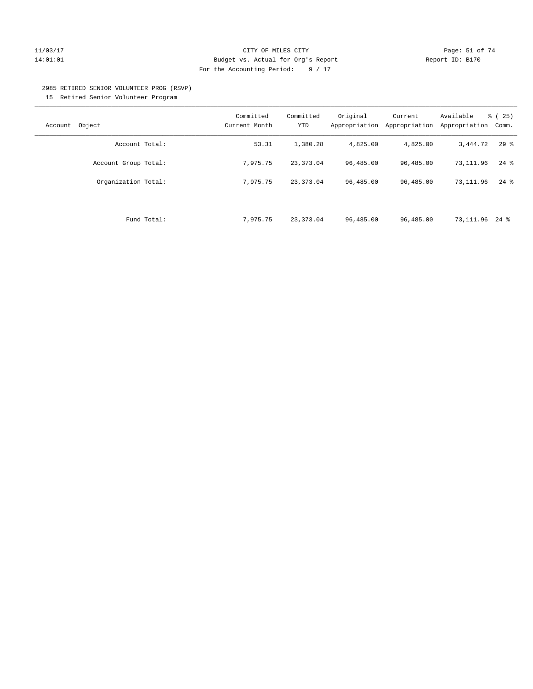#### 11/03/17 Page: 51 of 74 14:01:01 Budget vs. Actual for Org's Report Report ID: B170 For the Accounting Period: 9 / 17

#### 2985 RETIRED SENIOR VOLUNTEER PROG (RSVP)

15 Retired Senior Volunteer Program

| Object<br>Account    | Committed<br>Current Month | Committed<br>YTD | Original<br>Appropriation | Current<br>Appropriation | Available<br>Appropriation | $\frac{1}{6}$ ( 25 )<br>Comm. |
|----------------------|----------------------------|------------------|---------------------------|--------------------------|----------------------------|-------------------------------|
| Account Total:       | 53.31                      | 1,380.28         | 4,825.00                  | 4,825.00                 | 3,444.72                   | 298                           |
| Account Group Total: | 7,975.75                   | 23, 373.04       | 96,485.00                 | 96,485.00                | 73,111.96                  | $24$ %                        |
| Organization Total:  | 7,975.75                   | 23, 373.04       | 96,485.00                 | 96,485.00                | 73, 111, 96                | $24$ $\frac{6}{6}$            |
|                      |                            |                  |                           |                          |                            |                               |
| Fund Total:          | 7.975.75                   | 23, 373.04       | 96,485.00                 | 96,485.00                | 73,111.96                  | 24 %                          |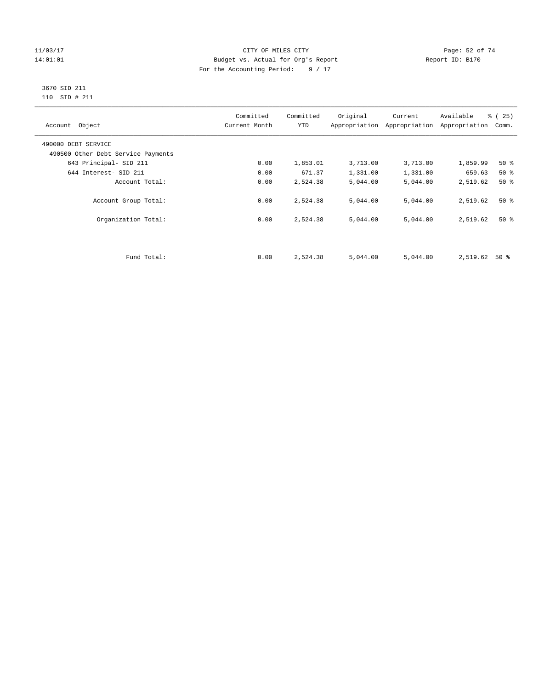#### 11/03/17 Page: 52 of 74 14:01:01 Budget vs. Actual for Org's Report Report ID: B170 For the Accounting Period: 9 / 17

#### 3670 SID 211 110 SID # 211

| Account Object                     | Committed<br>Current Month | Committed<br><b>YTD</b> | Original | Current<br>Appropriation Appropriation | Available<br>Appropriation | % (25)<br>Comm. |
|------------------------------------|----------------------------|-------------------------|----------|----------------------------------------|----------------------------|-----------------|
| 490000 DEBT SERVICE                |                            |                         |          |                                        |                            |                 |
| 490500 Other Debt Service Payments |                            |                         |          |                                        |                            |                 |
| 643 Principal- SID 211             | 0.00                       | 1,853.01                | 3,713.00 | 3,713.00                               | 1,859.99                   | $50*$           |
| 644 Interest- SID 211              | 0.00                       | 671.37                  | 1,331.00 | 1,331.00                               | 659.63                     | $50*$           |
| Account Total:                     | 0.00                       | 2,524.38                | 5,044.00 | 5,044.00                               | 2,519.62                   | $50*$           |
| Account Group Total:               | 0.00                       | 2,524.38                | 5,044.00 | 5,044.00                               | 2,519.62                   | $50*$           |
| Organization Total:                | 0.00                       | 2,524.38                | 5,044.00 | 5,044.00                               | 2,519.62                   | $50*$           |
|                                    |                            |                         |          |                                        |                            |                 |
| Fund Total:                        | 0.00                       | 2,524.38                | 5,044.00 | 5,044.00                               | 2,519.62                   | $50*$           |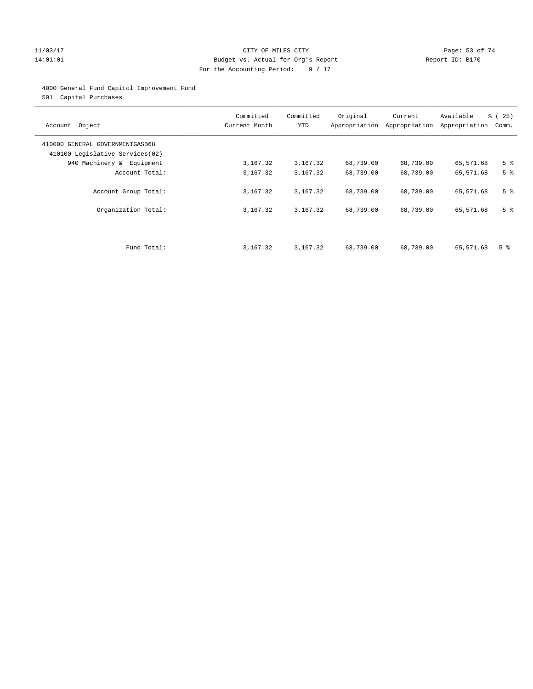#### 11/03/17 Page: 53 of 74 14:01:01 Budget vs. Actual for Org's Report Report ID: B170 For the Accounting Period: 9 / 17

#### 4000 General Fund Capitol Improvement Fund

501 Capital Purchases

| Account Object                                                     | Committed<br>Current Month | Committed<br><b>YTD</b> | Original  | Current<br>Appropriation Appropriation | Available<br>Appropriation | % (25)<br>Comm. |
|--------------------------------------------------------------------|----------------------------|-------------------------|-----------|----------------------------------------|----------------------------|-----------------|
| 410000 GENERAL GOVERNMENTGASB68<br>410100 Legislative Services(02) |                            |                         |           |                                        |                            |                 |
| 940 Machinery & Equipment                                          | 3,167.32                   | 3,167.32                | 68,739.00 | 68,739.00                              | 65,571.68                  | 5 <sup>8</sup>  |
| Account Total:                                                     | 3,167.32                   | 3,167.32                | 68,739.00 | 68,739.00                              | 65,571.68                  | 5 <sup>8</sup>  |
| Account Group Total:                                               | 3,167.32                   | 3,167.32                | 68,739.00 | 68,739.00                              | 65,571.68                  | 5 <sup>8</sup>  |
| Organization Total:                                                | 3,167.32                   | 3,167.32                | 68,739.00 | 68,739.00                              | 65,571.68                  | 5 <sup>8</sup>  |
|                                                                    |                            |                         |           |                                        |                            |                 |
| Fund Total:                                                        | 3,167.32                   | 3,167.32                | 68,739.00 | 68,739.00                              | 65,571.68                  | 5 <sup>8</sup>  |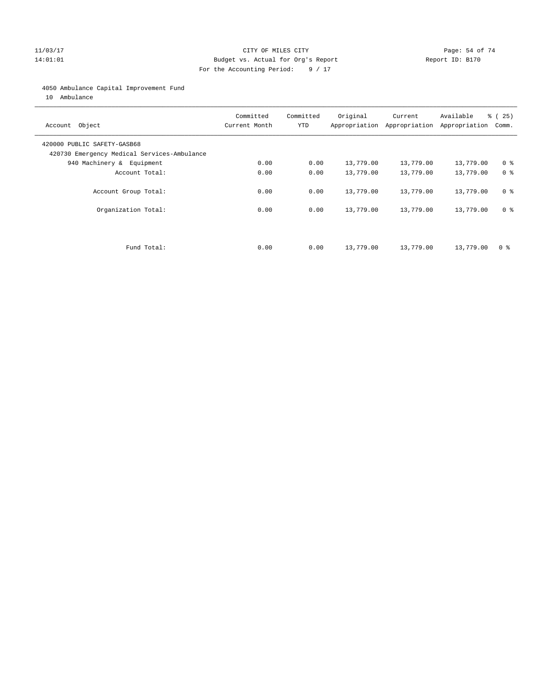#### 11/03/17 Page: 54 of 74 14:01:01 Budget vs. Actual for Org's Report Report ID: B170 For the Accounting Period: 9 / 17

#### 4050 Ambulance Capital Improvement Fund

10 Ambulance

| Account Object                                                             | Committed<br>Current Month | Committed<br><b>YTD</b> | Original  | Current<br>Appropriation Appropriation | Available<br>Appropriation | % (25)<br>Comm. |
|----------------------------------------------------------------------------|----------------------------|-------------------------|-----------|----------------------------------------|----------------------------|-----------------|
| 420000 PUBLIC SAFETY-GASB68<br>420730 Emergency Medical Services-Ambulance |                            |                         |           |                                        |                            |                 |
| 940 Machinery & Equipment                                                  | 0.00                       | 0.00                    | 13,779.00 | 13,779.00                              | 13,779.00                  | 0 <sup>8</sup>  |
| Account Total:                                                             | 0.00                       | 0.00                    | 13,779.00 | 13,779.00                              | 13,779.00                  | 0 <sup>8</sup>  |
| Account Group Total:                                                       | 0.00                       | 0.00                    | 13,779.00 | 13,779.00                              | 13,779.00                  | 0 <sup>8</sup>  |
| Organization Total:                                                        | 0.00                       | 0.00                    | 13,779.00 | 13,779.00                              | 13,779.00                  | 0 <sup>8</sup>  |
|                                                                            |                            |                         |           |                                        |                            |                 |
| Fund Total:                                                                | 0.00                       | 0.00                    | 13,779.00 | 13,779.00                              | 13,779.00                  | 0 %             |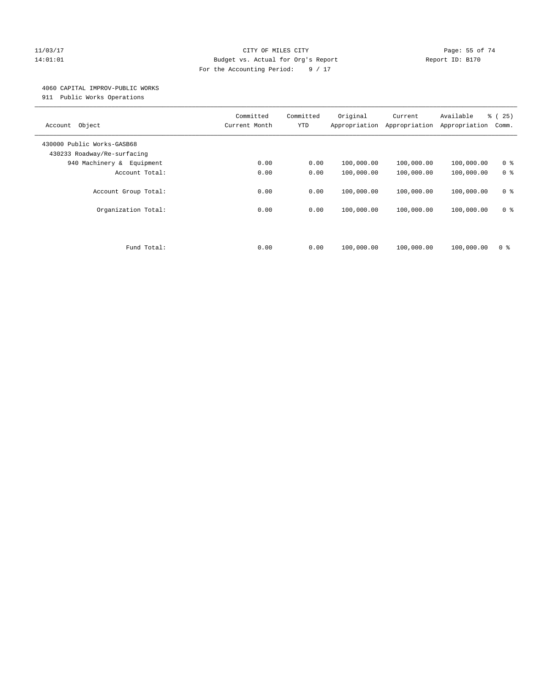#### 11/03/17 Page: 55 of 74 14:01:01 Budget vs. Actual for Org's Report Report ID: B170 For the Accounting Period: 9 / 17

#### 4060 CAPITAL IMPROV-PUBLIC WORKS

911 Public Works Operations

| Object<br>Account                                         | Committed<br>Current Month | Committed<br><b>YTD</b> | Original<br>Appropriation | Current<br>Appropriation | Available<br>Appropriation | % (25)<br>Comm.                  |
|-----------------------------------------------------------|----------------------------|-------------------------|---------------------------|--------------------------|----------------------------|----------------------------------|
| 430000 Public Works-GASB68<br>430233 Roadway/Re-surfacing |                            |                         |                           |                          |                            |                                  |
| 940 Machinery & Equipment                                 | 0.00                       | 0.00                    | 100,000.00                | 100,000.00               | 100,000.00                 | 0 <sup>8</sup>                   |
| Account Total:                                            | 0.00                       | 0.00                    | 100,000.00                | 100,000.00               | 100,000.00                 | 0 <sup>8</sup>                   |
| Account Group Total:<br>Organization Total:               | 0.00<br>0.00               | 0.00<br>0.00            | 100,000.00<br>100,000.00  | 100,000.00<br>100,000.00 | 100,000.00<br>100,000.00   | 0 <sup>8</sup><br>0 <sup>8</sup> |
|                                                           |                            |                         |                           |                          |                            |                                  |
| Fund Total:                                               | 0.00                       | 0.00                    | 100,000.00                | 100,000.00               | 100,000.00                 | 0 %                              |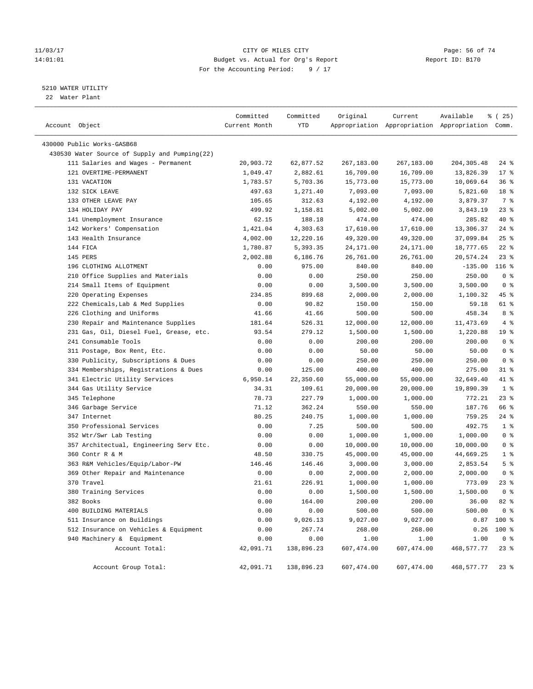#### 11/03/17 Page: 56 of 74 14:01:01 Budget vs. Actual for Org's Report Report ID: B170 For the Accounting Period: 9 / 17

————————————————————————————————————————————————————————————————————————————————————————————————————————————————————————————————————

#### 5210 WATER UTILITY

22 Water Plant

|                                               | Committed     | Committed  | Original   | Current    | Available                                       | 8 (25)          |
|-----------------------------------------------|---------------|------------|------------|------------|-------------------------------------------------|-----------------|
| Account Object                                | Current Month | YTD        |            |            | Appropriation Appropriation Appropriation Comm. |                 |
| 430000 Public Works-GASB68                    |               |            |            |            |                                                 |                 |
| 430530 Water Source of Supply and Pumping(22) |               |            |            |            |                                                 |                 |
| 111 Salaries and Wages - Permanent            | 20,903.72     | 62,877.52  | 267,183.00 | 267,183.00 | 204, 305.48                                     | 24 %            |
| 121 OVERTIME-PERMANENT                        | 1,049.47      | 2,882.61   | 16,709.00  | 16,709.00  | 13,826.39                                       | $17*$           |
| 131 VACATION                                  | 1,783.57      | 5,703.36   | 15,773.00  | 15,773.00  | 10,069.64                                       | 36%             |
| 132 SICK LEAVE                                | 497.63        | 1,271.40   | 7,093.00   | 7,093.00   | 5,821.60                                        | 18 %            |
| 133 OTHER LEAVE PAY                           | 105.65        | 312.63     | 4,192.00   | 4,192.00   | 3,879.37                                        | 7 %             |
| 134 HOLIDAY PAY                               | 499.92        | 1,158.81   | 5,002.00   | 5,002.00   | 3,843.19                                        | $23$ $%$        |
| 141 Unemployment Insurance                    | 62.15         | 188.18     | 474.00     | 474.00     | 285.82                                          | 40 %            |
| 142 Workers' Compensation                     | 1,421.04      | 4,303.63   | 17,610.00  | 17,610.00  | 13,306.37                                       | $24$ %          |
| 143 Health Insurance                          | 4,002.00      | 12,220.16  | 49,320.00  | 49,320.00  | 37,099.84                                       | $25$ %          |
| 144 FICA                                      | 1,780.87      | 5,393.35   | 24,171.00  | 24,171.00  | 18,777.65                                       | $22$ %          |
| 145 PERS                                      | 2,002.88      | 6,186.76   | 26,761.00  | 26,761.00  | 20,574.24                                       | $23$ %          |
| 196 CLOTHING ALLOTMENT                        | 0.00          | 975.00     | 840.00     | 840.00     | $-135.00$                                       | $116$ %         |
| 210 Office Supplies and Materials             | 0.00          | 0.00       | 250.00     | 250.00     | 250.00                                          | 0 <sup>8</sup>  |
| 214 Small Items of Equipment                  | 0.00          | 0.00       | 3,500.00   | 3,500.00   | 3,500.00                                        | 0 <sup>8</sup>  |
| 220 Operating Expenses                        | 234.85        | 899.68     | 2,000.00   | 2,000.00   | 1,100.32                                        | 45 %            |
| 222 Chemicals, Lab & Med Supplies             | 0.00          | 90.82      | 150.00     | 150.00     | 59.18                                           | 61 %            |
| 226 Clothing and Uniforms                     | 41.66         | 41.66      | 500.00     | 500.00     | 458.34                                          | 8 %             |
| 230 Repair and Maintenance Supplies           | 181.64        | 526.31     | 12,000.00  | 12,000.00  | 11,473.69                                       | 4%              |
| 231 Gas, Oil, Diesel Fuel, Grease, etc.       | 93.54         | 279.12     | 1,500.00   | 1,500.00   | 1,220.88                                        | 19 <sup>8</sup> |
| 241 Consumable Tools                          | 0.00          | 0.00       | 200.00     | 200.00     | 200.00                                          | 0 <sup>8</sup>  |
| 311 Postage, Box Rent, Etc.                   | 0.00          | 0.00       | 50.00      | 50.00      | 50.00                                           | 0 <sup>8</sup>  |
| 330 Publicity, Subscriptions & Dues           | 0.00          | 0.00       | 250.00     | 250.00     | 250.00                                          | 0 <sup>8</sup>  |
| 334 Memberships, Registrations & Dues         | 0.00          | 125.00     | 400.00     | 400.00     | 275.00                                          | $31$ %          |
| 341 Electric Utility Services                 | 6,950.14      | 22,350.60  | 55,000.00  | 55,000.00  | 32,649.40                                       | 41 %            |
| 344 Gas Utility Service                       | 34.31         | 109.61     | 20,000.00  | 20,000.00  | 19,890.39                                       | 1 <sup>8</sup>  |
| 345 Telephone                                 | 78.73         | 227.79     | 1,000.00   | 1,000.00   | 772.21                                          | $23$ %          |
| 346 Garbage Service                           | 71.12         | 362.24     | 550.00     | 550.00     | 187.76                                          | 66 %            |
| 347 Internet                                  | 80.25         | 240.75     | 1,000.00   | 1,000.00   | 759.25                                          | $24$ %          |
| 350 Professional Services                     | 0.00          | 7.25       | 500.00     | 500.00     | 492.75                                          | 1 <sup>°</sup>  |
| 352 Wtr/Swr Lab Testing                       | 0.00          | 0.00       | 1,000.00   | 1,000.00   | 1,000.00                                        | 0 <sup>8</sup>  |
| 357 Architectual, Engineering Serv Etc.       | 0.00          | 0.00       | 10,000.00  | 10,000.00  | 10,000.00                                       | 0 <sup>8</sup>  |
| 360 Contr R & M                               | 48.50         | 330.75     | 45,000.00  | 45,000.00  | 44,669.25                                       | 1 <sup>8</sup>  |
| 363 R&M Vehicles/Equip/Labor-PW               | 146.46        | 146.46     | 3,000.00   | 3,000.00   | 2,853.54                                        | 5 <sup>8</sup>  |
| 369 Other Repair and Maintenance              | 0.00          | 0.00       | 2,000.00   | 2,000.00   | 2,000.00                                        | 0 <sup>8</sup>  |
| 370 Travel                                    | 21.61         | 226.91     | 1,000.00   | 1,000.00   | 773.09                                          | 23 %            |
| 380 Training Services                         | 0.00          | 0.00       | 1,500.00   | 1,500.00   | 1,500.00                                        | 0 <sup>8</sup>  |
| 382 Books                                     | 0.00          | 164.00     | 200.00     | 200.00     | 36.00                                           | $82$ $%$        |
| 400 BUILDING MATERIALS                        | 0.00          | 0.00       | 500.00     | 500.00     | 500.00                                          | 0 <sup>8</sup>  |
| 511 Insurance on Buildings                    | 0.00          | 9,026.13   | 9,027.00   | 9,027.00   |                                                 | $0.87$ 100 %    |
| 512 Insurance on Vehicles & Equipment         | 0.00          | 267.74     | 268.00     | 268.00     | 0.26                                            | 100 %           |
| 940 Machinery & Equipment                     | 0.00          | 0.00       | 1.00       | 1.00       | 1.00                                            | 0 <sup>8</sup>  |
| Account Total:                                | 42,091.71     | 138,896.23 | 607,474.00 | 607,474.00 | 468,577.77                                      | $23$ %          |
| Account Group Total:                          | 42,091.71     | 138,896.23 | 607,474.00 | 607,474.00 | 468,577.77 23 %                                 |                 |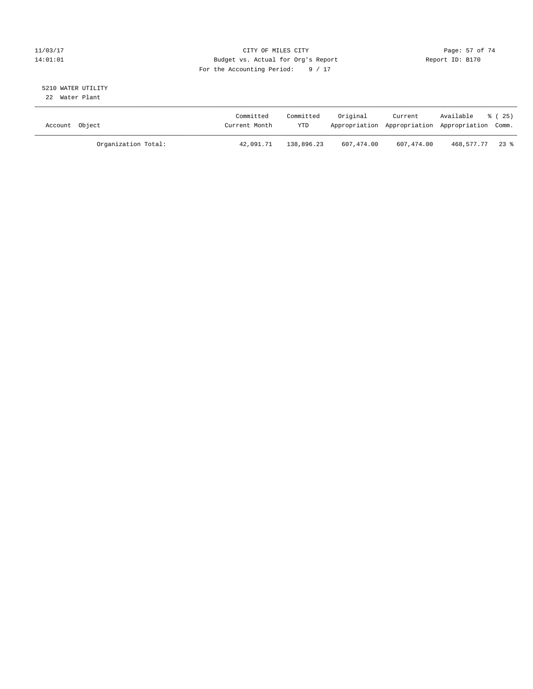#### 11/03/17 Page: 57 of 74 14:01:01 Budget vs. Actual for Org's Report Report ID: B170 For the Accounting Period: 9 / 17

#### 5210 WATER UTILITY 22 Water Plant

| Account Object |                     | Committed<br>Current Month | Committed<br>YTD | Original   | Current    | Available<br>Appropriation Appropriation Appropriation Comm. | 8 ( 25 ) |
|----------------|---------------------|----------------------------|------------------|------------|------------|--------------------------------------------------------------|----------|
|                | Organization Total: | 42,091.71                  | 138,896.23       | 607,474.00 | 607,474.00 | 468,577.77 23 %                                              |          |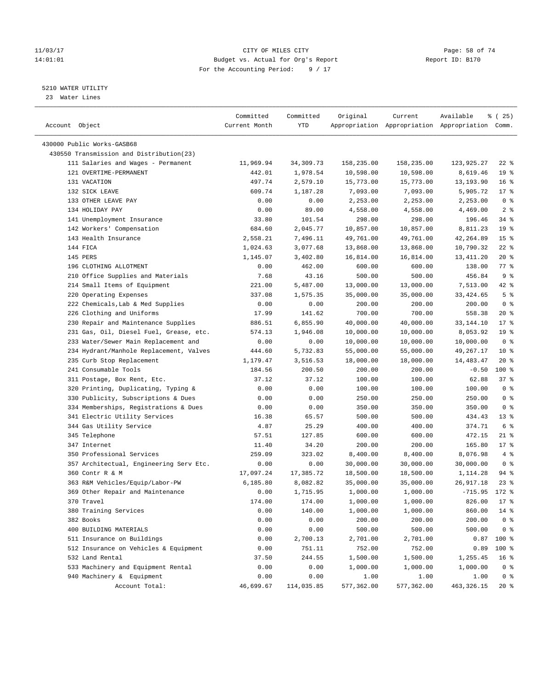#### 11/03/17 Page: 58 of 74 14:01:01 Budget vs. Actual for Org's Report Report ID: B170 For the Accounting Period: 9 / 17

————————————————————————————————————————————————————————————————————————————————————————————————————————————————————————————————————

#### 5210 WATER UTILITY

23 Water Lines

|                                          | Committed     | Committed  | Original   | Current    | Available                                       | 8 (25)             |
|------------------------------------------|---------------|------------|------------|------------|-------------------------------------------------|--------------------|
| Account Object                           | Current Month | YTD        |            |            | Appropriation Appropriation Appropriation Comm. |                    |
|                                          |               |            |            |            |                                                 |                    |
| 430000 Public Works-GASB68               |               |            |            |            |                                                 |                    |
| 430550 Transmission and Distribution(23) |               |            |            |            |                                                 |                    |
| 111 Salaries and Wages - Permanent       | 11,969.94     | 34,309.73  | 158,235.00 | 158,235.00 | 123,925.27                                      | $22$ %             |
| 121 OVERTIME-PERMANENT                   | 442.01        | 1,978.54   | 10,598.00  | 10,598.00  | 8,619.46                                        | 19 <sup>°</sup>    |
| 131 VACATION                             | 497.74        | 2,579.10   | 15,773.00  | 15,773.00  | 13,193.90                                       | 16 <sup>°</sup>    |
| 132 SICK LEAVE                           | 609.74        | 1,187.28   | 7,093.00   | 7,093.00   | 5,905.72                                        | $17*$              |
| 133 OTHER LEAVE PAY                      | 0.00          | 0.00       | 2,253.00   | 2,253.00   | 2,253.00                                        | 0 <sup>8</sup>     |
| 134 HOLIDAY PAY                          | 0.00          | 89.00      | 4,558.00   | 4,558.00   | 4,469.00                                        | 2 <sup>°</sup>     |
| 141 Unemployment Insurance               | 33.80         | 101.54     | 298.00     | 298.00     | 196.46                                          | $34$ $%$           |
| 142 Workers' Compensation                | 684.60        | 2,045.77   | 10,857.00  | 10,857.00  | 8,811.23                                        | 19 <sup>°</sup>    |
| 143 Health Insurance                     | 2,558.21      | 7,496.11   | 49,761.00  | 49,761.00  | 42,264.89                                       | 15 <sup>°</sup>    |
| 144 FICA                                 | 1,024.63      | 3,077.68   | 13,868.00  | 13,868.00  | 10,790.32                                       | $22$ %             |
| 145 PERS                                 | 1,145.07      | 3,402.80   | 16,814.00  | 16,814.00  | 13,411.20                                       | $20*$              |
| 196 CLOTHING ALLOTMENT                   | 0.00          | 462.00     | 600.00     | 600.00     | 138.00                                          | $77$ $\frac{6}{9}$ |
| 210 Office Supplies and Materials        | 7.68          | 43.16      | 500.00     | 500.00     | 456.84                                          | 9 <sup>°</sup>     |
| 214 Small Items of Equipment             | 221.00        | 5,487.00   | 13,000.00  | 13,000.00  | 7,513.00                                        | $42$ %             |
| 220 Operating Expenses                   | 337.08        | 1,575.35   | 35,000.00  | 35,000.00  | 33, 424.65                                      | 5 <sup>°</sup>     |
| 222 Chemicals, Lab & Med Supplies        | 0.00          | 0.00       | 200.00     | 200.00     | 200.00                                          | 0 <sup>8</sup>     |
| 226 Clothing and Uniforms                | 17.99         | 141.62     | 700.00     | 700.00     | 558.38                                          | $20*$              |
| 230 Repair and Maintenance Supplies      | 886.51        | 6,855.90   | 40,000.00  | 40,000.00  | 33, 144. 10                                     | $17*$              |
| 231 Gas, Oil, Diesel Fuel, Grease, etc.  | 574.13        | 1,946.08   | 10,000.00  | 10,000.00  | 8,053.92                                        | 19 <sup>°</sup>    |
| 233 Water/Sewer Main Replacement and     | 0.00          | 0.00       | 10,000.00  | 10,000.00  | 10,000.00                                       | 0 <sup>8</sup>     |
| 234 Hydrant/Manhole Replacement, Valves  | 444.60        | 5,732.83   | 55,000.00  | 55,000.00  | 49,267.17                                       | $10*$              |
| 235 Curb Stop Replacement                | 1,179.47      | 3,516.53   | 18,000.00  | 18,000.00  | 14,483.47                                       | $20*$              |
| 241 Consumable Tools                     | 184.56        | 200.50     | 200.00     | 200.00     | $-0.50$                                         | 100 %              |
| 311 Postage, Box Rent, Etc.              | 37.12         | 37.12      | 100.00     | 100.00     | 62.88                                           | 37%                |
| 320 Printing, Duplicating, Typing &      | 0.00          | 0.00       | 100.00     | 100.00     | 100.00                                          | 0 <sup>8</sup>     |
| 330 Publicity, Subscriptions & Dues      | 0.00          | 0.00       | 250.00     | 250.00     | 250.00                                          | 0 <sup>°</sup>     |
| 334 Memberships, Registrations & Dues    | 0.00          | 0.00       | 350.00     | 350.00     | 350.00                                          | 0 <sup>8</sup>     |
| 341 Electric Utility Services            | 16.38         | 65.57      | 500.00     | 500.00     | 434.43                                          | $13*$              |
| 344 Gas Utility Service                  | 4.87          | 25.29      | 400.00     | 400.00     | 374.71                                          | 6 %                |
| 345 Telephone                            | 57.51         | 127.85     | 600.00     | 600.00     | 472.15                                          | $21$ %             |
| 347 Internet                             | 11.40         | 34.20      | 200.00     | 200.00     | 165.80                                          | $17*$              |
| 350 Professional Services                | 259.09        | 323.02     | 8,400.00   | 8,400.00   | 8,076.98                                        | $4\degree$         |
| 357 Architectual, Engineering Serv Etc.  | 0.00          | 0.00       | 30,000.00  | 30,000.00  | 30,000.00                                       | 0 <sup>8</sup>     |
| 360 Contr R & M                          | 17,097.24     | 17,385.72  | 18,500.00  | 18,500.00  | 1,114.28                                        | $94$ %             |
| 363 R&M Vehicles/Equip/Labor-PW          | 6,185.80      | 8,082.82   | 35,000.00  | 35,000.00  | 26,917.18                                       | $23$ $%$           |
| 369 Other Repair and Maintenance         | 0.00          | 1,715.95   | 1,000.00   | 1,000.00   | $-715.95$ 172 %                                 |                    |
| 370 Travel                               | 174.00        | 174.00     | 1,000.00   | 1,000.00   | 826.00 17 %                                     |                    |
| 380 Training Services                    | 0.00          | 140.00     | 1,000.00   | 1,000.00   | 860.00                                          | 14 %               |
| 382 Books                                | 0.00          | 0.00       | 200.00     | 200.00     | 200.00                                          | 0 <sup>8</sup>     |
| 400 BUILDING MATERIALS                   | 0.00          | 0.00       | 500.00     | 500.00     | 500.00                                          | $0$ %              |
| 511 Insurance on Buildings               | 0.00          | 2,700.13   | 2,701.00   | 2,701.00   | 0.87                                            | 100 %              |
| 512 Insurance on Vehicles & Equipment    | 0.00          | 751.11     | 752.00     | 752.00     | 0.89                                            | 100 %              |
| 532 Land Rental                          | 37.50         | 244.55     | 1,500.00   | 1,500.00   | 1,255.45                                        | 16 <sup>8</sup>    |
| 533 Machinery and Equipment Rental       | 0.00          | 0.00       | 1,000.00   | 1,000.00   | 1,000.00                                        | 0 <sup>8</sup>     |
| 940 Machinery & Equipment                | 0.00          | 0.00       | 1.00       | 1.00       | 1.00                                            | 0 <sup>8</sup>     |
| Account Total:                           | 46,699.67     | 114,035.85 | 577,362.00 | 577,362.00 | 463, 326. 15                                    | $20*$              |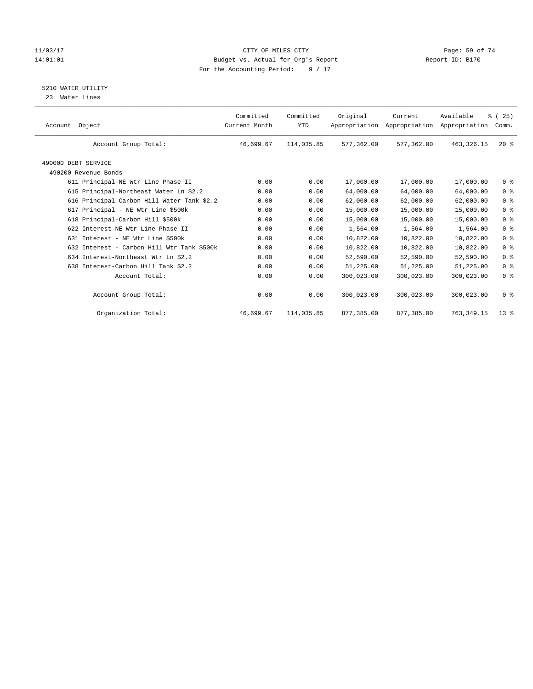#### 11/03/17 Page: 59 of 74 14:01:01 Budget vs. Actual for Org's Report Report ID: B170 For the Accounting Period: 9 / 17

#### 5210 WATER UTILITY

23 Water Lines

| Object<br>Account                           | Committed<br>Current Month | Committed<br><b>YTD</b> | Original   | Current<br>Appropriation Appropriation | Available<br>Appropriation | % (25)<br>Comm. |
|---------------------------------------------|----------------------------|-------------------------|------------|----------------------------------------|----------------------------|-----------------|
| Account Group Total:                        | 46,699.67                  | 114,035.85              | 577,362.00 | 577,362.00                             | 463, 326. 15               | $20*$           |
| 490000 DEBT SERVICE<br>490200 Revenue Bonds |                            |                         |            |                                        |                            |                 |
| 611 Principal-NE Wtr Line Phase II          | 0.00                       | 0.00                    | 17,000.00  | 17,000.00                              | 17,000.00                  | 0 <sup>8</sup>  |
| 615 Principal-Northeast Water Ln \$2.2      | 0.00                       | 0.00                    | 64,000.00  | 64,000.00                              | 64,000.00                  | 0 <sup>8</sup>  |
| 616 Principal-Carbon Hill Water Tank \$2.2  | 0.00                       | 0.00                    | 62,000.00  | 62,000.00                              | 62,000.00                  | 0 <sup>8</sup>  |
| 617 Principal - NE Wtr Line \$500k          | 0.00                       | 0.00                    | 15,000.00  | 15,000.00                              | 15,000.00                  | 0 <sup>8</sup>  |
| 618 Principal-Carbon Hill \$500k            | 0.00                       | 0.00                    | 15,000.00  | 15,000.00                              | 15,000.00                  | 0 <sup>8</sup>  |
| 622 Interest-NE Wtr Line Phase II           | 0.00                       | 0.00                    | 1,564.00   | 1,564.00                               | 1,564.00                   | 0 <sup>8</sup>  |
| 631 Interest - NE Wtr Line \$500k           | 0.00                       | 0.00                    | 10,822.00  | 10,822.00                              | 10,822.00                  | 0 <sup>8</sup>  |
| 632 Interest - Carbon Hill Wtr Tank \$500k  | 0.00                       | 0.00                    | 10,822.00  | 10,822.00                              | 10,822.00                  | 0 <sup>8</sup>  |
| 634 Interest-Northeast Wtr Ln \$2.2         | 0.00                       | 0.00                    | 52,590.00  | 52,590.00                              | 52,590.00                  | 0 <sup>8</sup>  |
| 638 Interest-Carbon Hill Tank \$2.2         | 0.00                       | 0.00                    | 51,225.00  | 51,225.00                              | 51,225.00                  | 0 <sup>8</sup>  |
| Account Total:                              | 0.00                       | 0.00                    | 300,023.00 | 300,023.00                             | 300,023.00                 | 0 <sup>8</sup>  |
| Account Group Total:                        | 0.00                       | 0.00                    | 300,023.00 | 300,023.00                             | 300,023.00                 | 0 <sup>8</sup>  |
| Organization Total:                         | 46,699.67                  | 114,035.85              | 877,385.00 | 877,385.00                             | 763, 349.15                | $13*$           |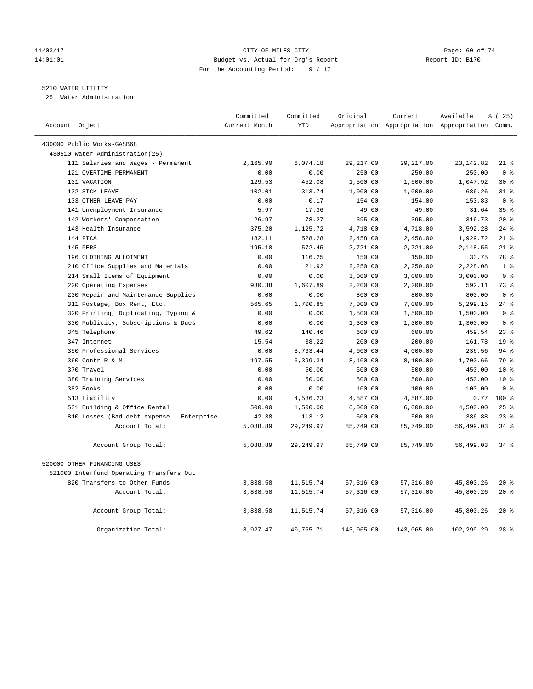#### 11/03/17 Page: 60 of 74 14:01:01 Budget vs. Actual for Org's Report Report ID: B170 For the Accounting Period: 9 / 17

#### 5210 WATER UTILITY

25 Water Administration

| Account Object |                                           | Committed<br>Current Month | Committed<br><b>YTD</b> | Original   | Current    | Available<br>Appropriation Appropriation Appropriation Comm. | % (25)           |
|----------------|-------------------------------------------|----------------------------|-------------------------|------------|------------|--------------------------------------------------------------|------------------|
|                |                                           |                            |                         |            |            |                                                              |                  |
|                | 430000 Public Works-GASB68                |                            |                         |            |            |                                                              |                  |
|                | 430510 Water Administration(25)           |                            |                         |            |            |                                                              |                  |
|                | 111 Salaries and Wages - Permanent        | 2,165.90                   | 6,074.18                | 29, 217.00 | 29, 217.00 | 23, 142.82                                                   | $21$ %           |
|                | 121 OVERTIME-PERMANENT                    | 0.00                       | 0.00                    | 250.00     | 250.00     | 250.00                                                       | 0 <sup>8</sup>   |
|                | 131 VACATION                              | 129.53                     | 452.08                  | 1,500.00   | 1,500.00   | 1,047.92                                                     | $30*$            |
|                | 132 SICK LEAVE                            | 102.01                     | 313.74                  | 1,000.00   | 1,000.00   | 686.26                                                       | 318              |
|                | 133 OTHER LEAVE PAY                       | 0.00                       | 0.17                    | 154.00     | 154.00     | 153.83                                                       | 0 <sup>8</sup>   |
|                | 141 Unemployment Insurance                | 5.97                       | 17.36                   | 49.00      | 49.00      | 31.64                                                        | 35 <sup>8</sup>  |
|                | 142 Workers' Compensation                 | 26.97                      | 78.27                   | 395.00     | 395.00     | 316.73                                                       | $20*$            |
|                | 143 Health Insurance                      | 375.20                     | 1,125.72                | 4,718.00   | 4,718.00   | 3,592.28                                                     | 24%              |
|                | 144 FICA                                  | 182.11                     | 528.28                  | 2,458.00   | 2,458.00   | 1,929.72                                                     | $21$ %           |
|                | 145 PERS                                  | 195.18                     | 572.45                  | 2,721.00   | 2,721.00   | 2,148.55                                                     | $21$ %           |
|                | 196 CLOTHING ALLOTMENT                    | 0.00                       | 116.25                  | 150.00     | 150.00     | 33.75                                                        | 78 %             |
|                | 210 Office Supplies and Materials         | 0.00                       | 21.92                   | 2,250.00   | 2,250.00   | 2,228.08                                                     | 1 <sup>°</sup>   |
|                | 214 Small Items of Equipment              | 0.00                       | 0.00                    | 3,000.00   | 3,000.00   | 3,000.00                                                     | 0 <sup>8</sup>   |
|                | 220 Operating Expenses                    | 930.38                     | 1,607.89                | 2,200.00   | 2,200.00   | 592.11                                                       | 73.8             |
|                | 230 Repair and Maintenance Supplies       | 0.00                       | 0.00                    | 800.00     | 800.00     | 800.00                                                       | 0 <sup>8</sup>   |
|                | 311 Postage, Box Rent, Etc.               | 565.65                     | 1,700.85                | 7,000.00   | 7,000.00   | 5,299.15                                                     | $24$ %           |
|                | 320 Printing, Duplicating, Typing &       | 0.00                       | 0.00                    | 1,500.00   | 1,500.00   | 1,500.00                                                     | 0 <sup>8</sup>   |
|                | 330 Publicity, Subscriptions & Dues       | 0.00                       | 0.00                    | 1,300.00   | 1,300.00   | 1,300.00                                                     | 0 <sup>8</sup>   |
|                | 345 Telephone                             | 49.62                      | 140.46                  | 600.00     | 600.00     | 459.54                                                       | $23$ $%$         |
|                | 347 Internet                              | 15.54                      | 38.22                   | 200.00     | 200.00     | 161.78                                                       | 19 <sup>°</sup>  |
|                | 350 Professional Services                 | 0.00                       | 3,763.44                | 4,000.00   | 4,000.00   | 236.56                                                       | 94%              |
|                | 360 Contr R & M                           | $-197.55$                  | 6,399.34                | 8,100.00   | 8,100.00   | 1,700.66                                                     | 79 %             |
|                | 370 Travel                                | 0.00                       | 50.00                   | 500.00     | 500.00     | 450.00                                                       | 10 <sup>°</sup>  |
|                | 380 Training Services                     | 0.00                       | 50.00                   | 500.00     | 500.00     | 450.00                                                       | $10*$            |
|                | 382 Books                                 | 0.00                       | 0.00                    | 100.00     | 100.00     | 100.00                                                       | 0 <sup>8</sup>   |
|                | 513 Liability                             | 0.00                       | 4,586.23                | 4,587.00   | 4,587.00   | 0.77                                                         | 100 <sub>8</sub> |
|                | 531 Building & Office Rental              | 500.00                     | 1,500.00                | 6,000.00   | 6,000.00   | 4,500.00                                                     | 25%              |
|                | 810 Losses (Bad debt expense - Enterprise | 42.38                      | 113.12                  | 500.00     | 500.00     | 386.88                                                       | $23$ $%$         |
|                | Account Total:                            | 5,088.89                   | 29, 249.97              | 85,749.00  | 85,749.00  | 56,499.03                                                    | $34$ $%$         |
|                | Account Group Total:                      | 5,088.89                   | 29, 249.97              | 85,749.00  | 85,749.00  | 56,499.03                                                    | $34$ $%$         |
|                | 520000 OTHER FINANCING USES               |                            |                         |            |            |                                                              |                  |
|                | 521000 Interfund Operating Transfers Out  |                            |                         |            |            |                                                              |                  |
|                | 820 Transfers to Other Funds              | 3,838.58                   | 11,515.74               | 57,316.00  | 57,316.00  | 45,800.26                                                    | $20*$            |
|                | Account Total:                            | 3,838.58                   | 11,515.74               | 57,316.00  | 57,316.00  | 45,800.26                                                    | $20*$            |
|                | Account Group Total:                      | 3,838.58                   | 11,515.74               | 57,316.00  | 57,316.00  | 45,800.26                                                    | $20*$            |
|                | Organization Total:                       | 8,927.47                   | 40,765.71               | 143,065.00 | 143,065.00 | 102,299.29                                                   | $28$ %           |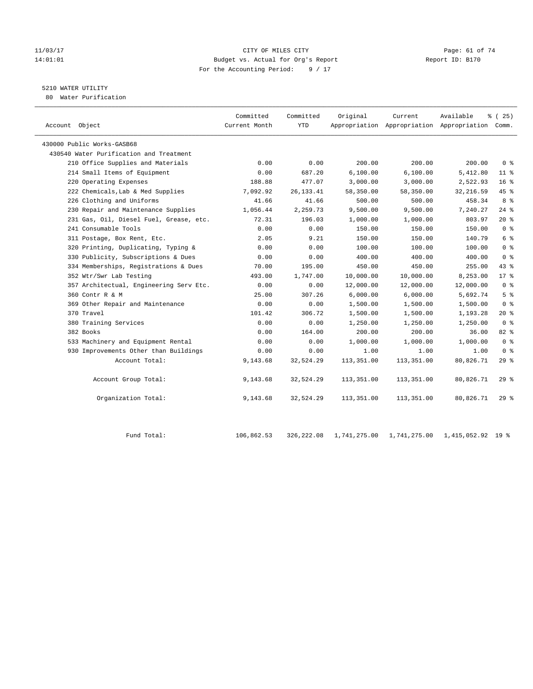#### 11/03/17 Page: 61 of 74 14:01:01 Budget vs. Actual for Org's Report Changer Report ID: B170 For the Accounting Period: 9 / 17

# 5210 WATER UTILITY

80 Water Purification

| Account Object                          | Committed<br>Current Month | Committed<br><b>YTD</b> | Original   | Current    | Available<br>Appropriation Appropriation Appropriation Comm. | % (25)          |
|-----------------------------------------|----------------------------|-------------------------|------------|------------|--------------------------------------------------------------|-----------------|
| 430000 Public Works-GASB68              |                            |                         |            |            |                                                              |                 |
| 430540 Water Purification and Treatment |                            |                         |            |            |                                                              |                 |
| 210 Office Supplies and Materials       | 0.00                       | 0.00                    | 200.00     | 200.00     | 200.00                                                       | 0 <sup>8</sup>  |
| 214 Small Items of Equipment            | 0.00                       | 687.20                  | 6,100.00   | 6,100.00   | 5,412.80                                                     | $11$ %          |
| 220 Operating Expenses                  | 188.88                     | 477.07                  | 3,000.00   | 3,000.00   | 2,522.93                                                     | 16 <sup>8</sup> |
| 222 Chemicals, Lab & Med Supplies       | 7,092.92                   | 26, 133. 41             | 58,350.00  | 58,350.00  | 32, 216.59                                                   | 45 %            |
| 226 Clothing and Uniforms               | 41.66                      | 41.66                   | 500.00     | 500.00     | 458.34                                                       | 8 %             |
| 230 Repair and Maintenance Supplies     | 1,056.44                   | 2,259.73                | 9,500.00   | 9,500.00   | 7,240.27                                                     | $24$ %          |
| 231 Gas, Oil, Diesel Fuel, Grease, etc. | 72.31                      | 196.03                  | 1,000.00   | 1,000.00   | 803.97                                                       | $20*$           |
| 241 Consumable Tools                    | 0.00                       | 0.00                    | 150.00     | 150.00     | 150.00                                                       | 0 <sup>8</sup>  |
| 311 Postage, Box Rent, Etc.             | 2.05                       | 9.21                    | 150.00     | 150.00     | 140.79                                                       | 6 %             |
| 320 Printing, Duplicating, Typing &     | 0.00                       | 0.00                    | 100.00     | 100.00     | 100.00                                                       | 0 <sup>8</sup>  |
| 330 Publicity, Subscriptions & Dues     | 0.00                       | 0.00                    | 400.00     | 400.00     | 400.00                                                       | 0 <sup>8</sup>  |
| 334 Memberships, Registrations & Dues   | 70.00                      | 195.00                  | 450.00     | 450.00     | 255.00                                                       | 43.8            |
| 352 Wtr/Swr Lab Testing                 | 493.00                     | 1,747.00                | 10,000.00  | 10,000.00  | 8,253.00                                                     | $17*$           |
| 357 Architectual, Engineering Serv Etc. | 0.00                       | 0.00                    | 12,000.00  | 12,000.00  | 12,000.00                                                    | 0 <sup>8</sup>  |
| 360 Contr R & M                         | 25.00                      | 307.26                  | 6,000.00   | 6,000.00   | 5,692.74                                                     | 5 <sup>8</sup>  |
| 369 Other Repair and Maintenance        | 0.00                       | 0.00                    | 1,500.00   | 1,500.00   | 1,500.00                                                     | 0 <sup>8</sup>  |
| 370 Travel                              | 101.42                     | 306.72                  | 1,500.00   | 1,500.00   | 1,193.28                                                     | $20*$           |
| 380 Training Services                   | 0.00                       | 0.00                    | 1,250.00   | 1,250.00   | 1,250.00                                                     | 0 <sup>8</sup>  |
| 382 Books                               | 0.00                       | 164.00                  | 200.00     | 200.00     | 36.00                                                        | 82%             |
| 533 Machinery and Equipment Rental      | 0.00                       | 0.00                    | 1,000.00   | 1,000.00   | 1,000.00                                                     | 0 <sup>8</sup>  |
| 930 Improvements Other than Buildings   | 0.00                       | 0.00                    | 1.00       | 1.00       | 1.00                                                         | 0 <sup>8</sup>  |
| Account Total:                          | 9,143.68                   | 32,524.29               | 113,351.00 | 113,351.00 | 80,826.71                                                    | 29%             |
| Account Group Total:                    | 9,143.68                   | 32,524.29               | 113,351.00 | 113,351.00 | 80,826.71                                                    | 29%             |
| Organization Total:                     | 9,143.68                   | 32,524.29               | 113,351.00 | 113,351.00 | 80,826.71                                                    | 298             |
|                                         |                            |                         |            |            |                                                              |                 |

| Fund Total: | 106,862.53 | 326,222.08 1,741,275.00 i | 1,741,275.00 1,415,052.92 19 % |  |
|-------------|------------|---------------------------|--------------------------------|--|
|             |            |                           |                                |  |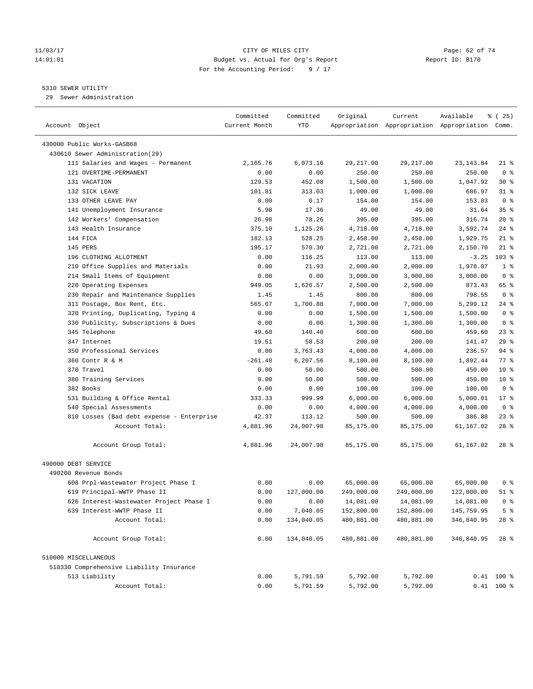#### 11/03/17 Page: 62 of 74 14:01:01 Budget vs. Actual for Org's Report Report ID: B170 For the Accounting Period: 9 / 17

————————————————————————————————————————————————————————————————————————————————————————————————————————————————————————————————————

#### 5310 SEWER UTILITY

29 Sewer Administration

|                                             | Committed     | Committed  | Original   | Current                                         | Available  | १८२ ( <del>२</del> ५) |
|---------------------------------------------|---------------|------------|------------|-------------------------------------------------|------------|-----------------------|
| Account Object                              | Current Month | <b>YTD</b> |            | Appropriation Appropriation Appropriation Comm. |            |                       |
|                                             |               |            |            |                                                 |            |                       |
| 430000 Public Works-GASB68                  |               |            |            |                                                 |            |                       |
| 430610 Sewer Administration(29)             |               |            |            |                                                 |            |                       |
| 111 Salaries and Wages - Permanent          | 2,165.76      | 6,073.16   | 29,217.00  | 29, 217.00                                      | 23, 143.84 | $21$ %                |
| 121 OVERTIME-PERMANENT                      | 0.00          | 0.00       | 250.00     | 250.00                                          | 250.00     | 0 <sup>8</sup>        |
| 131 VACATION                                | 129.53        | 452.08     | 1,500.00   | 1,500.00                                        | 1,047.92   | $30*$                 |
| 132 SICK LEAVE                              | 101.81        | 313.03     | 1,000.00   | 1,000.00                                        | 686.97     | $31$ %                |
| 133 OTHER LEAVE PAY                         | 0.00          | 0.17       | 154.00     | 154.00                                          | 153.83     | 0 <sup>8</sup>        |
| 141 Unemployment Insurance                  | 5.98          | 17.36      | 49.00      | 49.00                                           | 31.64      | 35%                   |
| 142 Workers' Compensation                   | 26.98         | 78.26      | 395.00     | 395.00                                          | 316.74     | $20*$                 |
| 143 Health Insurance                        | 375.10        | 1,125.26   | 4,718.00   | 4,718.00                                        | 3,592.74   | $24$ %                |
| 144 FICA                                    | 182.13        | 528.25     | 2,458.00   | 2,458.00                                        | 1,929.75   | $21$ %                |
| 145 PERS                                    | 195.17        | 570.30     | 2,721.00   | 2,721.00                                        | 2,150.70   | $21$ %                |
| 196 CLOTHING ALLOTMENT                      | 0.00          | 116.25     | 113.00     | 113.00                                          | $-3.25$    | $103$ %               |
| 210 Office Supplies and Materials           | 0.00          | 21.93      | 2,000.00   | 2,000.00                                        | 1,978.07   | 1 <sup>°</sup>        |
| 214 Small Items of Equipment                | 0.00          | 0.00       | 3,000.00   | 3,000.00                                        | 3,000.00   | 0 <sup>8</sup>        |
| 220 Operating Expenses                      | 949.05        | 1,626.57   | 2,500.00   | 2,500.00                                        | 873.43     | 65 %                  |
| 230 Repair and Maintenance Supplies         | 1.45          | 1.45       | 800.00     | 800.00                                          | 798.55     | 0 <sup>8</sup>        |
| 311 Postage, Box Rent, Etc.                 | 565.67        | 1,700.88   | 7,000.00   | 7,000.00                                        | 5,299.12   | $24$ %                |
| 320 Printing, Duplicating, Typing &         | 0.00          | 0.00       | 1,500.00   | 1,500.00                                        | 1,500.00   | 0 <sup>8</sup>        |
| 330 Publicity, Subscriptions & Dues         | 0.00          | 0.00       | 1,300.00   | 1,300.00                                        | 1,300.00   | 0 <sup>8</sup>        |
| 345 Telephone                               | 49.60         | 140.40     | 600.00     | 600.00                                          | 459.60     | $23$ %                |
| 347 Internet                                | 19.51         | 58.53      | 200.00     | 200.00                                          | 141.47     | 29%                   |
| 350 Professional Services                   | 0.00          | 3,763.43   | 4,000.00   | 4,000.00                                        | 236.57     | $94$ %                |
| 360 Contr R & M                             | $-261.48$     | 6,207.56   | 8,100.00   | 8,100.00                                        | 1,892.44   | 77.8                  |
| 370 Travel                                  | 0.00          | 50.00      | 500.00     | 500.00                                          | 450.00     | $10*$                 |
| 380 Training Services                       | 0.00          | 50.00      | 500.00     | 500.00                                          | 450.00     | $10*$                 |
| 382 Books                                   | 0.00          | 0.00       | 100.00     | 100.00                                          | 100.00     | 0 <sup>8</sup>        |
| 531 Building & Office Rental                | 333.33        | 999.99     | 6,000.00   | 6,000.00                                        | 5,000.01   | $17*$                 |
| 540 Special Assessments                     | 0.00          | 0.00       | 4,000.00   | 4,000.00                                        | 4,000.00   | 0 <sup>8</sup>        |
| 810 Losses (Bad debt expense - Enterprise   | 42.37         | 113.12     | 500.00     | 500.00                                          | 386.88     | $23$ %                |
| Account Total:                              | 4,881.96      | 24,007.98  | 85,175.00  | 85,175.00                                       | 61,167.02  | $28$ %                |
| Account Group Total:                        | 4,881.96      | 24,007.98  | 85,175.00  | 85,175.00                                       | 61,167.02  | $28$ %                |
|                                             |               |            |            |                                                 |            |                       |
| 490000 DEBT SERVICE<br>490200 Revenue Bonds |               |            |            |                                                 |            |                       |
| 608 Prpl-Wastewater Project Phase I         | 0.00          | 0.00       | 65,000.00  | 65,000.00                                       | 65,000.00  | 0 <sup>8</sup>        |
| 619 Principal-WWTP Phase II                 | 0.00          | 127,000.00 | 249,000.00 | 249,000.00                                      | 122,000.00 | $51$ %                |
| 626 Interest-Wastewater Project Phase I     | 0.00          | 0.00       | 14,081.00  | 14,081.00                                       | 14,081.00  | 0 <sup>8</sup>        |
| 639 Interest-WWTP Phase II                  | 0.00          | 7,040.05   | 152,800.00 | 152,800.00                                      | 145,759.95 | 5 <sup>8</sup>        |
| Account Total:                              | 0.00          | 134,040.05 | 480,881.00 | 480,881.00                                      | 346,840.95 | 28 %                  |
|                                             |               |            |            |                                                 |            |                       |
| Account Group Total:                        | 0.00          | 134,040.05 | 480,881.00 | 480,881.00                                      | 346,840.95 | $28$ %                |
| 510000 MISCELLANEOUS                        |               |            |            |                                                 |            |                       |
| 510330 Comprehensive Liability Insurance    |               |            |            |                                                 |            |                       |
| 513 Liability                               | 0.00          | 5,791.59   | 5,792.00   | 5,792.00                                        |            | $0.41$ 100 %          |
| Account Total:                              | 0.00          | 5,791.59   | 5,792.00   | 5,792.00                                        |            | $0.41$ 100 %          |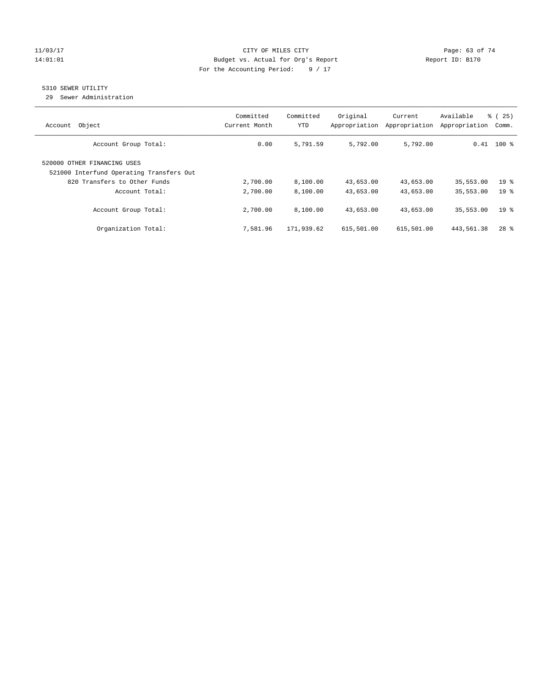#### 11/03/17 CITY OF MILES CITY Page: 63 of 74 14:01:01 Budget vs. Actual for Org's Report Report ID: B170 For the Accounting Period: 9 / 17

## 5310 SEWER UTILITY

29 Sewer Administration

| Object<br>Account                                                       | Committed<br>Current Month | Committed<br>YTD | Original<br>Appropriation | Current<br>Appropriation | Available<br>Appropriation | ී (<br>25)<br>Comm. |
|-------------------------------------------------------------------------|----------------------------|------------------|---------------------------|--------------------------|----------------------------|---------------------|
| Account Group Total:                                                    | 0.00                       | 5,791.59         | 5,792.00                  | 5,792.00                 |                            | $0.41$ 100 %        |
| 520000 OTHER FINANCING USES<br>521000 Interfund Operating Transfers Out |                            |                  |                           |                          |                            |                     |
| 820 Transfers to Other Funds                                            | 2,700.00                   | 8,100.00         | 43,653.00                 | 43,653.00                | 35,553.00                  | 19 <sup>°</sup>     |
| Account Total:                                                          | 2,700.00                   | 8,100.00         | 43,653.00                 | 43,653.00                | 35,553.00                  | 19 <sup>8</sup>     |
| Account Group Total:                                                    | 2,700.00                   | 8,100.00         | 43,653.00                 | 43,653.00                | 35,553.00                  | 19 <sup>8</sup>     |
| Organization Total:                                                     | 7,581.96                   | 171,939.62       | 615,501.00                | 615,501.00               | 443,561.38                 | $28$ $%$            |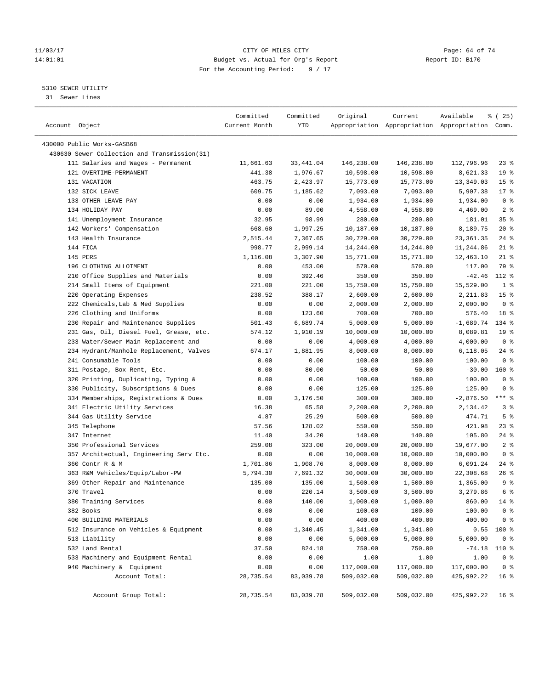#### 11/03/17 Page: 64 of 74 14:01:01 Budget vs. Actual for Org's Report Report ID: B170 For the Accounting Period: 9 / 17

————————————————————————————————————————————————————————————————————————————————————————————————————————————————————————————————————

#### 5310 SEWER UTILITY

31 Sewer Lines

| Account Object                               | Committed<br>Current Month | Committed<br>YTD | Original   | Current    | Available<br>Appropriation Appropriation Appropriation Comm. | ៖ (25)          |
|----------------------------------------------|----------------------------|------------------|------------|------------|--------------------------------------------------------------|-----------------|
|                                              |                            |                  |            |            |                                                              |                 |
| 430000 Public Works-GASB68                   |                            |                  |            |            |                                                              |                 |
| 430630 Sewer Collection and Transmission(31) |                            |                  |            |            |                                                              |                 |
| 111 Salaries and Wages - Permanent           | 11,661.63                  | 33, 441.04       | 146,238.00 | 146,238.00 | 112,796.96                                                   | $23$ %          |
| 121 OVERTIME-PERMANENT                       | 441.38                     | 1,976.67         | 10,598.00  | 10,598.00  | 8,621.33                                                     | 19 <sup>°</sup> |
| 131 VACATION                                 | 463.75                     | 2,423.97         | 15,773.00  | 15,773.00  | 13,349.03                                                    | 15 <sup>°</sup> |
| 132 SICK LEAVE                               | 609.75                     | 1,185.62         | 7,093.00   | 7,093.00   | 5,907.38                                                     | $17*$           |
| 133 OTHER LEAVE PAY                          | 0.00                       | 0.00             | 1,934.00   | 1,934.00   | 1,934.00                                                     | 0 <sup>8</sup>  |
| 134 HOLIDAY PAY                              | 0.00                       | 89.00            | 4,558.00   | 4,558.00   | 4,469.00                                                     | 2 <sup>°</sup>  |
| 141 Unemployment Insurance                   | 32.95                      | 98.99            | 280.00     | 280.00     | 181.01                                                       | 35%             |
| 142 Workers' Compensation                    | 668.60                     | 1,997.25         | 10,187.00  | 10,187.00  | 8,189.75                                                     | $20*$           |
| 143 Health Insurance                         | 2,515.44                   | 7,367.65         | 30,729.00  | 30,729.00  | 23, 361.35                                                   | $24$ %          |
| 144 FICA                                     | 998.77                     | 2,999.14         | 14,244.00  | 14,244.00  | 11,244.86                                                    | $21$ %          |
| 145 PERS                                     | 1,116.08                   | 3,307.90         | 15,771.00  | 15,771.00  | 12,463.10                                                    | $21$ %          |
| 196 CLOTHING ALLOTMENT                       | 0.00                       | 453.00           | 570.00     | 570.00     | 117.00                                                       | 79 %            |
| 210 Office Supplies and Materials            | 0.00                       | 392.46           | 350.00     | 350.00     | $-42.46$                                                     | 112 %           |
| 214 Small Items of Equipment                 | 221.00                     | 221.00           | 15,750.00  | 15,750.00  | 15,529.00                                                    | 1 <sup>8</sup>  |
| 220 Operating Expenses                       | 238.52                     | 388.17           | 2,600.00   | 2,600.00   | 2,211.83                                                     | 15 <sup>8</sup> |
| 222 Chemicals, Lab & Med Supplies            | 0.00                       | 0.00             | 2,000.00   | 2,000.00   | 2,000.00                                                     | 0 <sup>8</sup>  |
| 226 Clothing and Uniforms                    | 0.00                       | 123.60           | 700.00     | 700.00     | 576.40                                                       | 18 <sup>°</sup> |
| 230 Repair and Maintenance Supplies          | 501.43                     | 6,689.74         | 5,000.00   | 5,000.00   | $-1,689.74$                                                  | 134 %           |
| 231 Gas, Oil, Diesel Fuel, Grease, etc.      | 574.12                     | 1,910.19         | 10,000.00  | 10,000.00  | 8,089.81                                                     | 19 <sup>°</sup> |
| 233 Water/Sewer Main Replacement and         | 0.00                       | 0.00             | 4,000.00   | 4,000.00   | 4,000.00                                                     | 0 <sup>8</sup>  |
| 234 Hydrant/Manhole Replacement, Valves      | 674.17                     | 1,881.95         | 8,000.00   | 8,000.00   | 6,118.05                                                     | $24$ %          |
| 241 Consumable Tools                         | 0.00                       | 0.00             | 100.00     | 100.00     | 100.00                                                       | 0 <sup>8</sup>  |
| 311 Postage, Box Rent, Etc.                  | 0.00                       | 80.00            | 50.00      | 50.00      | $-30.00$                                                     | $160*$          |
| 320 Printing, Duplicating, Typing &          | 0.00                       | 0.00             | 100.00     | 100.00     | 100.00                                                       | 0 <sup>8</sup>  |
| 330 Publicity, Subscriptions & Dues          | 0.00                       | 0.00             | 125.00     | 125.00     | 125.00                                                       | 0 <sup>8</sup>  |
| 334 Memberships, Registrations & Dues        | 0.00                       | 3,176.50         | 300.00     | 300.00     | $-2,876.50$                                                  | $***$ $-$       |
| 341 Electric Utility Services                | 16.38                      | 65.58            | 2,200.00   | 2,200.00   | 2,134.42                                                     | 3%              |
| 344 Gas Utility Service                      | 4.87                       | 25.29            | 500.00     | 500.00     | 474.71                                                       | 5 <sup>°</sup>  |
| 345 Telephone                                | 57.56                      | 128.02           | 550.00     | 550.00     | 421.98                                                       | 23 %            |
| 347 Internet                                 | 11.40                      | 34.20            | 140.00     | 140.00     | 105.80                                                       | $24$ %          |
| 350 Professional Services                    | 259.08                     | 323.00           | 20,000.00  | 20,000.00  | 19,677.00                                                    | 2 <sup>8</sup>  |
| 357 Architectual, Engineering Serv Etc.      | 0.00                       | 0.00             | 10,000.00  | 10,000.00  | 10,000.00                                                    | 0 <sup>8</sup>  |
| 360 Contr R & M                              | 1,701.86                   | 1,908.76         | 8,000.00   | 8,000.00   | 6,091.24                                                     | $24$ %          |
| 363 R&M Vehicles/Equip/Labor-PW              | 5,794.30                   | 7,691.32         | 30,000.00  | 30,000.00  | 22,308.68                                                    | 26%             |
| 369 Other Repair and Maintenance             | 135.00                     | 135.00           | 1,500.00   | 1,500.00   | 1,365.00                                                     | 9 <sup>°</sup>  |
| 370 Travel                                   | 0.00                       | 220.14           | 3,500.00   | 3,500.00   | 3,279.86                                                     | 6 <sup>°</sup>  |
| 380 Training Services                        | 0.00                       | 140.00           | 1,000.00   | 1,000.00   | 860.00                                                       | 14 %            |
| 382 Books                                    | 0.00                       | 0.00             | 100.00     | 100.00     | 100.00                                                       | 0 <sup>8</sup>  |
| 400 BUILDING MATERIALS                       | 0.00                       | 0.00             | 400.00     | 400.00     | 400.00                                                       | 0 <sup>8</sup>  |
| 512 Insurance on Vehicles & Equipment        | 0.00                       | 1,340.45         | 1,341.00   | 1,341.00   | 0.55                                                         | $100$ %         |
| 513 Liability                                | 0.00                       | 0.00             | 5,000.00   | 5,000.00   | 5,000.00                                                     | 0 <sup>8</sup>  |
| 532 Land Rental                              | 37.50                      | 824.18           | 750.00     | 750.00     | $-74.18$                                                     | 110 %           |
| 533 Machinery and Equipment Rental           | 0.00                       | 0.00             | 1.00       | 1.00       | 1.00                                                         | 0 <sup>8</sup>  |
| 940 Machinery & Equipment                    | 0.00                       | 0.00             | 117,000.00 | 117,000.00 | 117,000.00                                                   | 0 <sup>8</sup>  |
| Account Total:                               | 28,735.54                  | 83,039.78        | 509,032.00 | 509,032.00 | 425,992.22                                                   | 16 <sup>°</sup> |
| Account Group Total:                         | 28,735.54                  | 83,039.78        | 509,032.00 | 509,032.00 | 425,992.22                                                   | 16 <sup>8</sup> |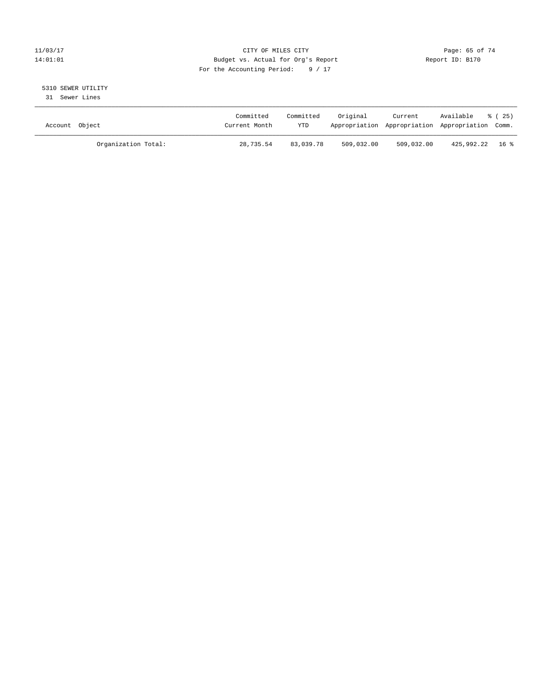#### 11/03/17 Page: 65 of 74 14:01:01 Budget vs. Actual for Org's Report Report ID: B170 For the Accounting Period: 9 / 17

# 5310 SEWER UTILITY

31 Sewer Lines

| Account Object |                     | Committed<br>Current Month | Committed<br>YTD | Original   | Current    | Available<br>Appropriation Appropriation Appropriation Comm. | ී (25) |
|----------------|---------------------|----------------------------|------------------|------------|------------|--------------------------------------------------------------|--------|
|                | Organization Total: | 28,735.54                  | 83,039.78        | 509,032.00 | 509,032.00 | 425,992.22 16 %                                              |        |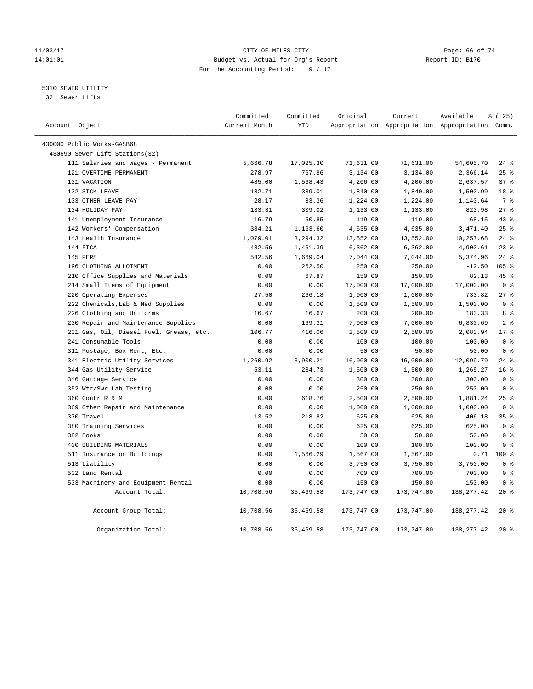#### 11/03/17 Page: 66 of 74 14:01:01 Budget vs. Actual for Org's Report Report ID: B170 For the Accounting Period: 9 / 17

5310 SEWER UTILITY

32 Sewer Lifts

|                |                                         | Committed<br>Current Month | Committed<br><b>YTD</b> | Original   | Current    | Available                                       | % (25)          |
|----------------|-----------------------------------------|----------------------------|-------------------------|------------|------------|-------------------------------------------------|-----------------|
| Account Object |                                         |                            |                         |            |            | Appropriation Appropriation Appropriation Comm. |                 |
|                | 430000 Public Works-GASB68              |                            |                         |            |            |                                                 |                 |
|                | 430690 Sewer Lift Stations(32)          |                            |                         |            |            |                                                 |                 |
|                | 111 Salaries and Wages - Permanent      | 5,666.78                   | 17,025.30               | 71,631.00  | 71,631.00  | 54,605.70                                       | $24$ %          |
|                | 121 OVERTIME-PERMANENT                  | 278.97                     | 767.86                  | 3,134.00   | 3,134.00   | 2,366.14                                        | 25%             |
|                | 131 VACATION                            | 485.00                     | 1,568.43                | 4,206.00   | 4,206.00   | 2,637.57                                        | 37%             |
|                | 132 SICK LEAVE                          | 132.71                     | 339.01                  | 1,840.00   | 1,840.00   | 1,500.99                                        | 18 <sup>8</sup> |
|                | 133 OTHER LEAVE PAY                     | 28.17                      | 83.36                   | 1,224.00   | 1,224.00   | 1,140.64                                        | 7 %             |
|                | 134 HOLIDAY PAY                         | 133.31                     | 309.02                  | 1,133.00   | 1,133.00   | 823.98                                          | 278             |
|                | 141 Unemployment Insurance              | 16.79                      | 50.85                   | 119.00     | 119.00     | 68.15                                           | 43%             |
|                | 142 Workers' Compensation               | 384.21                     | 1,163.60                | 4,635.00   | 4,635.00   | 3,471.40                                        | 25%             |
|                | 143 Health Insurance                    | 1,079.01                   | 3,294.32                | 13,552.00  | 13,552.00  | 10,257.68                                       | $24$ %          |
|                | 144 FICA                                | 482.56                     | 1,461.39                | 6,362.00   | 6, 362.00  | 4,900.61                                        | $23$ $%$        |
|                | 145 PERS                                | 542.56                     | 1,669.04                | 7,044.00   | 7,044.00   | 5,374.96                                        | $24$ %          |
|                | 196 CLOTHING ALLOTMENT                  | 0.00                       | 262.50                  | 250.00     | 250.00     | $-12.50$                                        | $105$ %         |
|                | 210 Office Supplies and Materials       | 0.00                       | 67.87                   | 150.00     | 150.00     | 82.13                                           | 45 %            |
|                | 214 Small Items of Equipment            | 0.00                       | 0.00                    | 17,000.00  | 17,000.00  | 17,000.00                                       | 0 <sup>8</sup>  |
|                | 220 Operating Expenses                  | 27.50                      | 266.18                  | 1,000.00   | 1,000.00   | 733.82                                          | 278             |
|                | 222 Chemicals, Lab & Med Supplies       | 0.00                       | 0.00                    | 1,500.00   | 1,500.00   | 1,500.00                                        | 0 <sup>8</sup>  |
|                | 226 Clothing and Uniforms               | 16.67                      | 16.67                   | 200.00     | 200.00     | 183.33                                          | 8 %             |
|                | 230 Repair and Maintenance Supplies     | 0.00                       | 169.31                  | 7,000.00   | 7,000.00   | 6,830.69                                        | 2 <sup>°</sup>  |
|                | 231 Gas, Oil, Diesel Fuel, Grease, etc. | 106.77                     | 416.06                  | 2,500.00   | 2,500.00   | 2,083.94                                        | $17*$           |
|                | 241 Consumable Tools                    | 0.00                       | 0.00                    | 100.00     | 100.00     | 100.00                                          | 0 <sup>8</sup>  |
|                | 311 Postage, Box Rent, Etc.             | 0.00                       | 0.00                    | 50.00      | 50.00      | 50.00                                           | 0 <sup>8</sup>  |
|                | 341 Electric Utility Services           | 1,260.92                   | 3,900.21                | 16,000.00  | 16,000.00  | 12,099.79                                       | $24$ %          |
|                | 344 Gas Utility Service                 | 53.11                      | 234.73                  | 1,500.00   | 1,500.00   | 1,265.27                                        | 16 <sup>°</sup> |
|                | 346 Garbage Service                     | 0.00                       | 0.00                    | 300.00     | 300.00     | 300.00                                          | 0 <sup>8</sup>  |
|                | 352 Wtr/Swr Lab Testing                 | 0.00                       | 0.00                    | 250.00     | 250.00     | 250.00                                          | 0 <sup>8</sup>  |
|                | 360 Contr R & M                         | 0.00                       | 618.76                  | 2,500.00   | 2,500.00   | 1,881.24                                        | 25%             |
|                | 369 Other Repair and Maintenance        | 0.00                       | 0.00                    | 1,000.00   | 1,000.00   | 1,000.00                                        | 0 <sup>8</sup>  |
|                | 370 Travel                              | 13.52                      | 218.82                  | 625.00     | 625.00     | 406.18                                          | 35 <sup>8</sup> |
|                | 380 Training Services                   | 0.00                       | 0.00                    | 625.00     | 625.00     | 625.00                                          | 0 <sup>8</sup>  |
|                | 382 Books                               | 0.00                       | 0.00                    | 50.00      | 50.00      | 50.00                                           | 0 <sup>8</sup>  |
|                | 400 BUILDING MATERIALS                  | 0.00                       | 0.00                    | 100.00     | 100.00     | 100.00                                          | 0 <sup>8</sup>  |
|                | 511 Insurance on Buildings              | 0.00                       | 1,566.29                | 1,567.00   | 1,567.00   |                                                 | $0.71$ 100 %    |
|                | 513 Liability                           | 0.00                       | 0.00                    | 3,750.00   | 3,750.00   | 3,750.00                                        | 0 <sup>8</sup>  |
|                | 532 Land Rental                         | 0.00                       | 0.00                    | 700.00     | 700.00     | 700.00                                          | 0 <sup>8</sup>  |
|                | 533 Machinery and Equipment Rental      | 0.00                       | 0.00                    | 150.00     | 150.00     | 150.00                                          | 0 <sup>8</sup>  |
|                | Account Total:                          | 10,708.56                  | 35, 469.58              | 173,747.00 | 173,747.00 | 138, 277.42                                     | $20*$           |
|                | Account Group Total:                    | 10,708.56                  | 35,469.58               | 173,747.00 | 173,747.00 | 138, 277.42                                     | $20*$           |
|                | Organization Total:                     | 10,708.56                  | 35,469.58               | 173,747.00 | 173,747.00 | 138, 277.42                                     | $20*$           |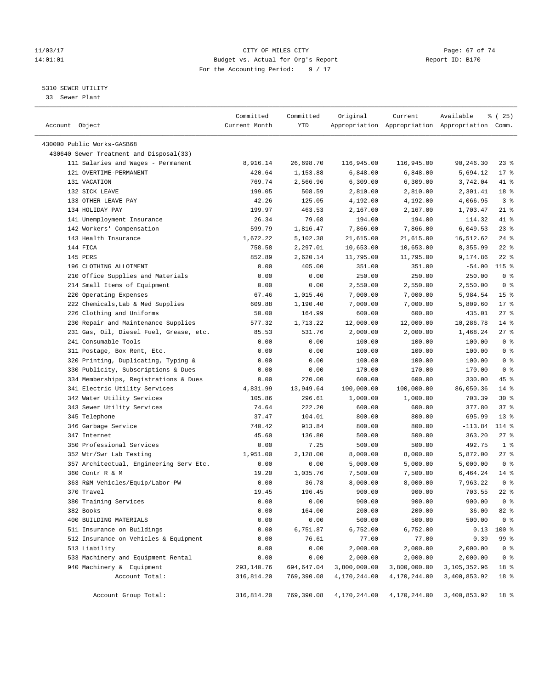#### 11/03/17 Page: 67 of 74 14:01:01 Budget vs. Actual for Org's Report Report ID: B170 For the Accounting Period: 9 / 17

————————————————————————————————————————————————————————————————————————————————————————————————————————————————————————————————————

#### 5310 SEWER UTILITY

33 Sewer Plant

|                                         | Committed        | Committed  | Original     | Current      | Available                                       | % (25)          |
|-----------------------------------------|------------------|------------|--------------|--------------|-------------------------------------------------|-----------------|
| Account Object                          | Current Month    | YTD        |              |              | Appropriation Appropriation Appropriation Comm. |                 |
| 430000 Public Works-GASB68              |                  |            |              |              |                                                 |                 |
| 430640 Sewer Treatment and Disposal(33) |                  |            |              |              |                                                 |                 |
| 111 Salaries and Wages - Permanent      | 8,916.14         | 26,698.70  | 116,945.00   | 116,945.00   | 90,246.30                                       | 23 %            |
| 121 OVERTIME-PERMANENT                  | 420.64           | 1,153.88   | 6,848.00     | 6,848.00     | 5,694.12                                        | $17*$           |
| 131 VACATION                            | 769.74           | 2,566.96   | 6,309.00     | 6,309.00     | 3,742.04                                        | 41 %            |
| 132 SICK LEAVE                          | 199.05           | 508.59     | 2,810.00     | 2,810.00     | 2,301.41                                        | 18 %            |
| 133 OTHER LEAVE PAY                     | 42.26            | 125.05     | 4,192.00     | 4,192.00     | 4,066.95                                        | 3 <sup>8</sup>  |
| 134 HOLIDAY PAY                         | 199.97           | 463.53     | 2,167.00     | 2,167.00     | 1,703.47                                        | $21$ %          |
| 141 Unemployment Insurance              | 26.34            | 79.68      | 194.00       | 194.00       | 114.32                                          | 41 %            |
| 142 Workers' Compensation               | 599.79           | 1,816.47   | 7,866.00     | 7,866.00     | 6,049.53                                        | $23$ $%$        |
| 143 Health Insurance                    | 1,672.22         | 5,102.38   | 21,615.00    | 21,615.00    | 16,512.62                                       | $24$ %          |
| 144 FICA                                | 758.58           | 2,297.01   | 10,653.00    | 10,653.00    | 8,355.99                                        | $22$ %          |
| 145 PERS                                | 852.89           | 2,620.14   | 11,795.00    | 11,795.00    | 9,174.86                                        | $22$ %          |
| 196 CLOTHING ALLOTMENT                  | 0.00             | 405.00     | 351.00       | 351.00       | $-54.00$                                        | $115$ %         |
| 210 Office Supplies and Materials       | 0.00             | 0.00       | 250.00       | 250.00       | 250.00                                          | 0 <sup>8</sup>  |
| 214 Small Items of Equipment            | 0.00             | 0.00       | 2,550.00     | 2,550.00     | 2,550.00                                        | 0 <sup>8</sup>  |
| 220 Operating Expenses                  | 67.46            | 1,015.46   | 7,000.00     | 7,000.00     | 5,984.54                                        | 15 <sup>°</sup> |
| 222 Chemicals, Lab & Med Supplies       | 609.88           | 1,190.40   | 7,000.00     | 7,000.00     | 5,809.60                                        | $17*$           |
| 226 Clothing and Uniforms               | 50.00            | 164.99     | 600.00       | 600.00       | 435.01                                          | $27$ %          |
| 230 Repair and Maintenance Supplies     | 577.32           | 1,713.22   | 12,000.00    | 12,000.00    | 10,286.78                                       | $14*$           |
| 231 Gas, Oil, Diesel Fuel, Grease, etc. | 85.53            | 531.76     | 2,000.00     | 2,000.00     | 1,468.24                                        | 27%             |
| 241 Consumable Tools                    | 0.00             | 0.00       | 100.00       | 100.00       | 100.00                                          | 0 <sup>8</sup>  |
| 311 Postage, Box Rent, Etc.             | 0.00             | 0.00       | 100.00       | 100.00       | 100.00                                          | 0 <sup>8</sup>  |
| 320 Printing, Duplicating, Typing &     | 0.00             | 0.00       | 100.00       | 100.00       | 100.00                                          | 0 <sup>8</sup>  |
| 330 Publicity, Subscriptions & Dues     | 0.00             | 0.00       | 170.00       | 170.00       | 170.00                                          | 0 <sup>8</sup>  |
| 334 Memberships, Registrations & Dues   |                  | 270.00     | 600.00       | 600.00       | 330.00                                          | 45 %            |
| 341 Electric Utility Services           | 0.00<br>4,831.99 | 13,949.64  | 100,000.00   | 100,000.00   | 86,050.36                                       | $14*$           |
| 342 Water Utility Services              | 105.86           | 296.61     | 1,000.00     | 1,000.00     | 703.39                                          | $30*$           |
| 343 Sewer Utility Services              | 74.64            | 222.20     | 600.00       | 600.00       | 377.80                                          | 37%             |
| 345 Telephone                           | 37.47            | 104.01     | 800.00       | 800.00       | 695.99                                          | $13*$           |
| 346 Garbage Service                     | 740.42           | 913.84     | 800.00       | 800.00       | $-113.84$                                       | 114 %           |
| 347 Internet                            | 45.60            | 136.80     | 500.00       | 500.00       | 363.20                                          | $27$ %          |
| 350 Professional Services               | 0.00             | 7.25       | 500.00       | 500.00       | 492.75                                          | 1 <sup>8</sup>  |
| 352 Wtr/Swr Lab Testing                 | 1,951.00         | 2,128.00   | 8,000.00     | 8,000.00     | 5,872.00                                        | $27$ %          |
| 357 Architectual, Engineering Serv Etc. | 0.00             | 0.00       | 5,000.00     | 5,000.00     | 5,000.00                                        | 0 <sup>8</sup>  |
| 360 Contr R & M                         | 19.20            | 1,035.76   | 7,500.00     | 7,500.00     | 6,464.24                                        | $14*$           |
| 363 R&M Vehicles/Equip/Labor-PW         | 0.00             | 36.78      | 8,000.00     | 8,000.00     | 7,963.22                                        | 0 <sup>8</sup>  |
| 370 Travel                              | 19.45            | 196.45     | 900.00       | 900.00       | 703.55                                          | $22$ %          |
| 380 Training Services                   | 0.00             | 0.00       | 900.00       | 900.00       | 900.00                                          | 0 <sup>8</sup>  |
| 382 Books                               | 0.00             | 164.00     | 200.00       | 200.00       | 36.00                                           | 82 %            |
| 400 BUILDING MATERIALS                  | 0.00             | 0.00       | 500.00       | 500.00       | 500.00                                          | $0$ %           |
| 511 Insurance on Buildings              | 0.00             | 6,751.87   | 6,752.00     | 6,752.00     | 0.13                                            | 100 %           |
| 512 Insurance on Vehicles & Equipment   | 0.00             | 76.61      | 77.00        | 77.00        | 0.39                                            | 99 %            |
| 513 Liability                           | 0.00             | 0.00       | 2,000.00     | 2,000.00     | 2,000.00                                        | 0 <sup>8</sup>  |
| 533 Machinery and Equipment Rental      | 0.00             | 0.00       | 2,000.00     | 2,000.00     | 2,000.00                                        | 0 <sup>8</sup>  |
| 940 Machinery & Equipment               | 293,140.76       | 694,647.04 | 3,800,000.00 | 3,800,000.00 | 3,105,352.96                                    | 18 %            |
| Account Total:                          | 316,814.20       | 769,390.08 | 4,170,244.00 | 4,170,244.00 | 3,400,853.92                                    | 18 %            |
|                                         |                  |            |              |              |                                                 |                 |
| Account Group Total:                    | 316,814.20       | 769,390.08 | 4,170,244.00 | 4,170,244.00 | 3,400,853.92                                    | 18 %            |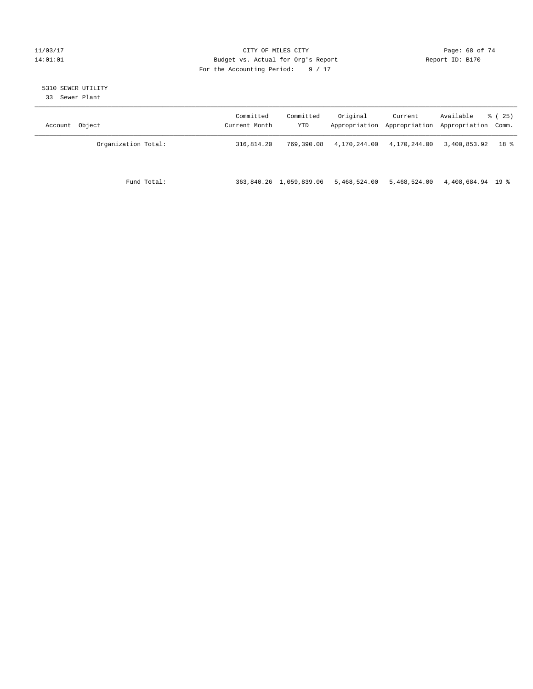#### 11/03/17 Page: 68 of 74 14:01:01 Budget vs. Actual for Org's Report Changer Report ID: B170 For the Accounting Period: 9 / 17

# 5310 SEWER UTILITY

33 Sewer Plant

| Account Object      | Committed<br>Current Month | Committed<br>YTD        | Original     | Current<br>Appropriation Appropriation | Available<br>Appropriation Comm. | 8 (25) |
|---------------------|----------------------------|-------------------------|--------------|----------------------------------------|----------------------------------|--------|
| Organization Total: | 316,814.20                 | 769,390.08              | 4,170,244.00 | 4,170,244.00                           | 3,400,853.92                     | 18 %   |
| Fund Total:         |                            | 363,840.26 1,059,839.06 | 5,468,524.00 | 5,468,524.00                           | 4,408,684.94 19 %                |        |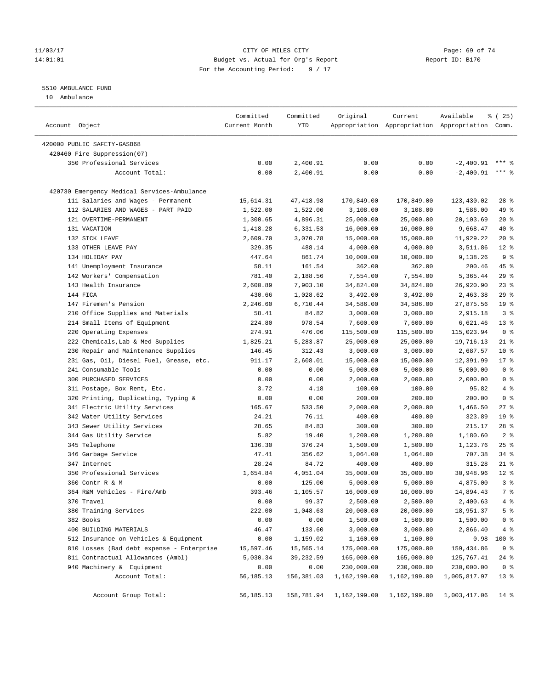#### 11/03/17 Page: 69 of 74 14:01:01 Budget vs. Actual for Org's Report Report ID: B170 For the Accounting Period: 9 / 17

### 5510 AMBULANCE FUND

10 Ambulance

| Account Object                              | Committed<br>Current Month | Committed<br>YTD | Original     | Current      | Available<br>Appropriation Appropriation Appropriation Comm. | $*(25)$         |
|---------------------------------------------|----------------------------|------------------|--------------|--------------|--------------------------------------------------------------|-----------------|
| 420000 PUBLIC SAFETY-GASB68                 |                            |                  |              |              |                                                              |                 |
| 420460 Fire Suppression(07)                 |                            |                  |              |              |                                                              |                 |
| 350 Professional Services                   | 0.00                       | 2,400.91         | 0.00         | 0.00         | $-2,400.91$                                                  |                 |
| Account Total:                              | 0.00                       | 2,400.91         | 0.00         | 0.00         | $-2,400.91$                                                  | $***$ $%$       |
|                                             |                            |                  |              |              |                                                              |                 |
| 420730 Emergency Medical Services-Ambulance |                            |                  |              |              |                                                              |                 |
| 111 Salaries and Wages - Permanent          | 15,614.31                  | 47, 418.98       | 170,849.00   | 170,849.00   | 123,430.02                                                   | $28$ %          |
| 112 SALARIES AND WAGES - PART PAID          | 1,522.00                   | 1,522.00         | 3,108.00     | 3,108.00     | 1,586.00                                                     | 49 %            |
| 121 OVERTIME-PERMANENT                      | 1,300.65                   | 4,896.31         | 25,000.00    | 25,000.00    | 20,103.69                                                    | $20*$           |
| 131 VACATION                                | 1,418.28                   | 6,331.53         | 16,000.00    | 16,000.00    | 9,668.47                                                     | 40 %            |
| 132 SICK LEAVE                              | 2,609.70                   | 3,070.78         | 15,000.00    | 15,000.00    | 11,929.22                                                    | $20*$           |
| 133 OTHER LEAVE PAY                         | 329.35                     | 488.14           | 4,000.00     | 4,000.00     | 3,511.86                                                     | $12*$           |
| 134 HOLIDAY PAY                             | 447.64                     | 861.74           | 10,000.00    | 10,000.00    | 9,138.26                                                     | 9 <sub>8</sub>  |
| 141 Unemployment Insurance                  | 58.11                      | 161.54           | 362.00       | 362.00       | 200.46                                                       | 45 %            |
| 142 Workers' Compensation                   | 781.40                     | 2,188.56         | 7,554.00     | 7,554.00     | 5,365.44                                                     | 29%             |
| 143 Health Insurance                        | 2,600.89                   | 7,903.10         | 34,824.00    | 34,824.00    | 26,920.90                                                    | 23%             |
| 144 FICA                                    | 430.66                     | 1,028.62         | 3,492.00     | 3,492.00     | 2,463.38                                                     | 29%             |
| 147 Firemen's Pension                       | 2,246.60                   | 6,710.44         | 34,586.00    | 34,586.00    | 27,875.56                                                    | 19 <sup>°</sup> |
| 210 Office Supplies and Materials           | 58.41                      | 84.82            | 3,000.00     | 3,000.00     | 2,915.18                                                     | 3 <sup>8</sup>  |
| 214 Small Items of Equipment                | 224.80                     | 978.54           | 7,600.00     | 7,600.00     | 6,621.46                                                     | $13*$           |
| 220 Operating Expenses                      | 274.91                     | 476.06           | 115,500.00   | 115,500.00   | 115,023.94                                                   | 0 <sup>8</sup>  |
| 222 Chemicals, Lab & Med Supplies           | 1,825.21                   | 5,283.87         | 25,000.00    | 25,000.00    | 19,716.13                                                    | $21$ %          |
| 230 Repair and Maintenance Supplies         | 146.45                     | 312.43           | 3,000.00     | 3,000.00     | 2,687.57                                                     | $10*$           |
| 231 Gas, Oil, Diesel Fuel, Grease, etc.     | 911.17                     | 2,608.01         | 15,000.00    | 15,000.00    | 12,391.99                                                    | $17*$           |
| 241 Consumable Tools                        | 0.00                       | 0.00             | 5,000.00     | 5,000.00     | 5,000.00                                                     | 0 <sup>8</sup>  |
| 300 PURCHASED SERVICES                      | 0.00                       | 0.00             | 2,000.00     | 2,000.00     | 2,000.00                                                     | 0 <sup>8</sup>  |
| 311 Postage, Box Rent, Etc.                 | 3.72                       | 4.18             | 100.00       | 100.00       | 95.82                                                        | $4\degree$      |
| 320 Printing, Duplicating, Typing &         | 0.00                       | 0.00             | 200.00       | 200.00       | 200.00                                                       | 0 <sup>8</sup>  |
| 341 Electric Utility Services               | 165.67                     | 533.50           | 2,000.00     | 2,000.00     | 1,466.50                                                     | 27%             |
| 342 Water Utility Services                  | 24.21                      | 76.11            | 400.00       | 400.00       | 323.89                                                       | 19 <sup>°</sup> |
| 343 Sewer Utility Services                  | 28.65                      | 84.83            | 300.00       | 300.00       | 215.17                                                       | $28$ %          |
| 344 Gas Utility Service                     | 5.82                       | 19.40            | 1,200.00     | 1,200.00     | 1,180.60                                                     | 2 <sup>8</sup>  |
| 345 Telephone                               | 136.30                     | 376.24           | 1,500.00     | 1,500.00     | 1,123.76                                                     | $25$ %          |
| 346 Garbage Service                         | 47.41                      | 356.62           | 1,064.00     | 1,064.00     | 707.38                                                       | 34%             |
| 347 Internet                                | 28.24                      | 84.72            | 400.00       | 400.00       | 315.28                                                       | $21$ %          |
| 350 Professional Services                   | 1,654.84                   | 4,051.04         | 35,000.00    | 35,000.00    | 30,948.96                                                    | $12*$           |
| 360 Contr R & M                             | 0.00                       | 125.00           | 5,000.00     | 5,000.00     | 4,875.00                                                     | 3 <sup>8</sup>  |
| 364 R&M Vehicles - Fire/Amb                 | 393.46                     | 1,105.57         | 16,000.00    | 16,000.00    | 14,894.43                                                    | 7 <sup>°</sup>  |
| 370 Travel                                  | 0.00                       | 99.37            | 2,500.00     | 2,500.00     | 2,400.63                                                     | $4\degree$      |
| 380 Training Services                       | 222.00                     | 1,048.63         | 20,000.00    | 20,000.00    | 18,951.37                                                    | 5 <sup>°</sup>  |
| 382 Books                                   | 0.00                       | 0.00             | 1,500.00     | 1,500.00     | 1,500.00                                                     | 0 <sup>8</sup>  |
| 400 BUILDING MATERIALS                      | 46.47                      | 133.60           | 3,000.00     | 3,000.00     | 2,866.40                                                     | 4%              |
| 512 Insurance on Vehicles & Equipment       | 0.00                       | 1,159.02         | 1,160.00     | 1,160.00     | 0.98                                                         | 100 %           |
| 810 Losses (Bad debt expense - Enterprise   | 15,597.46                  | 15,565.14        | 175,000.00   | 175,000.00   | 159,434.86                                                   | 9 <sup>8</sup>  |
| 811 Contractual Allowances (Ambl)           | 5,030.34                   | 39,232.59        | 165,000.00   | 165,000.00   | 125,767.41                                                   | $24$ %          |
| 940 Machinery & Equipment                   | 0.00                       | 0.00             | 230,000.00   | 230,000.00   | 230,000.00                                                   | 0 <sup>8</sup>  |
| Account Total:                              | 56,185.13                  | 156,381.03       | 1,162,199.00 | 1,162,199.00 | 1,005,817.97                                                 | $13*$           |
| Account Group Total:                        | 56,185.13                  | 158,781.94       | 1,162,199.00 | 1,162,199.00 | 1,003,417.06                                                 | $14*$           |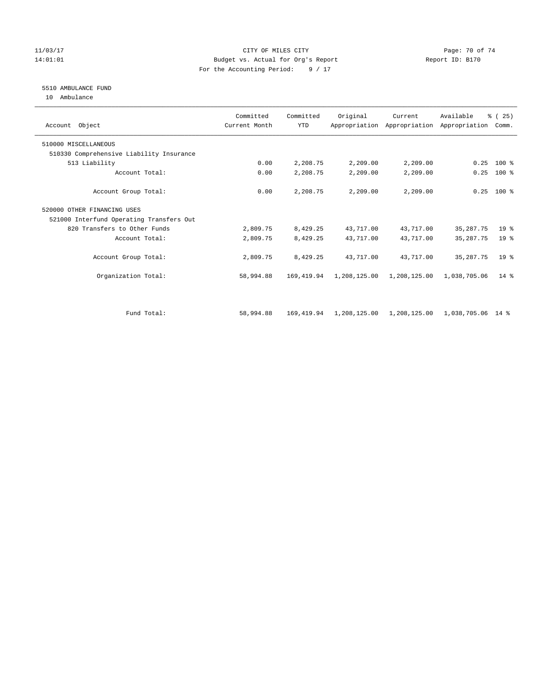#### 11/03/17 Page: 70 of 74 14:01:01 Budget vs. Actual for Org's Report Report ID: B170 For the Accounting Period: 9 / 17

#### 5510 AMBULANCE FUND

10 Ambulance

| Account Object                           | Committed<br>Current Month | Committed<br><b>YTD</b> | Original     | Current      | Available<br>Appropriation Appropriation Appropriation | % (25)<br>Comm. |  |
|------------------------------------------|----------------------------|-------------------------|--------------|--------------|--------------------------------------------------------|-----------------|--|
| 510000 MISCELLANEOUS                     |                            |                         |              |              |                                                        |                 |  |
| 510330 Comprehensive Liability Insurance |                            |                         |              |              |                                                        |                 |  |
| 513 Liability                            | 0.00                       | 2,208.75                | 2,209.00     | 2,209.00     | 0.25                                                   | $100*$          |  |
| Account Total:                           | 0.00                       | 2,208.75                | 2,209.00     | 2,209.00     | 0.25                                                   | $100$ %         |  |
| Account Group Total:                     | 0.00                       | 2,208.75                | 2,209.00     | 2,209.00     | 0.25                                                   | $100*$          |  |
| 520000 OTHER FINANCING USES              |                            |                         |              |              |                                                        |                 |  |
| 521000 Interfund Operating Transfers Out |                            |                         |              |              |                                                        |                 |  |
| 820 Transfers to Other Funds             | 2,809.75                   | 8,429.25                | 43,717.00    | 43,717.00    | 35, 287. 75                                            | 19 <sup>°</sup> |  |
| Account Total:                           | 2,809.75                   | 8,429.25                | 43,717.00    | 43,717.00    | 35, 287. 75                                            | 19 <sup>8</sup> |  |
| Account Group Total:                     | 2,809.75                   | 8,429.25                | 43,717.00    | 43,717.00    | 35, 287. 75                                            | 19 <sup>8</sup> |  |
| Organization Total:                      | 58,994.88                  | 169, 419.94             | 1,208,125.00 | 1,208,125.00 | 1,038,705.06                                           | $14*$           |  |
| Fund Total:                              | 58,994.88                  | 169,419.94              | 1,208,125.00 | 1,208,125.00 | 1,038,705.06 14 %                                      |                 |  |
|                                          |                            |                         |              |              |                                                        |                 |  |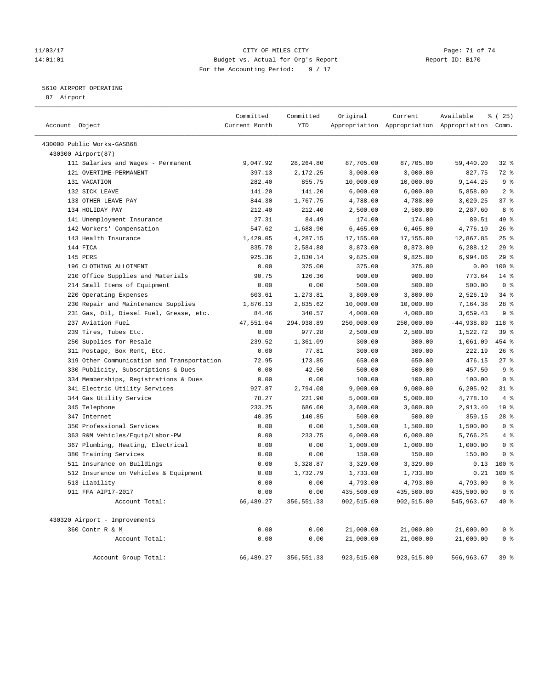#### 11/03/17 Page: 71 of 74 14:01:01 Budget vs. Actual for Org's Report Report ID: B170 For the Accounting Period: 9 / 17

#### 5610 AIRPORT OPERATING

87 Airport

| Account Object |                                            | Committed<br>Current Month | Committed<br>YTD | Original               | Current                | Available<br>Appropriation Appropriation Appropriation Comm. | $*(25)$                  |
|----------------|--------------------------------------------|----------------------------|------------------|------------------------|------------------------|--------------------------------------------------------------|--------------------------|
|                | 430000 Public Works-GASB68                 |                            |                  |                        |                        |                                                              |                          |
|                | 430300 Airport (87)                        |                            |                  |                        |                        |                                                              |                          |
|                | 111 Salaries and Wages - Permanent         | 9,047.92                   | 28, 264.80       | 87,705.00              | 87,705.00              | 59,440.20                                                    | $32$ $%$                 |
|                | 121 OVERTIME-PERMANENT                     | 397.13                     | 2,172.25         | 3,000.00               | 3,000.00               | 827.75                                                       | 72 %                     |
|                | 131 VACATION                               | 282.40                     | 855.75           | 10,000.00              | 10,000.00              | 9,144.25                                                     | 9 <sup>°</sup>           |
|                | 132 SICK LEAVE                             | 141.20                     | 141.20           | 6,000.00               | 6,000.00               | 5,858.80                                                     | 2 <sup>8</sup>           |
|                | 133 OTHER LEAVE PAY                        | 844.30                     | 1,767.75         | 4,788.00               | 4,788.00               | 3,020.25                                                     | 37%                      |
|                | 134 HOLIDAY PAY                            | 212.40                     | 212.40           | 2,500.00               | 2,500.00               | 2,287.60                                                     | 8 %                      |
|                | 141 Unemployment Insurance                 | 27.31                      | 84.49            | 174.00                 | 174.00                 | 89.51                                                        | 49 %                     |
|                | 142 Workers' Compensation                  | 547.62                     | 1,688.90         | 6,465.00               | 6,465.00               | 4,776.10                                                     | 26%                      |
|                | 143 Health Insurance                       | 1,429.05                   | 4,287.15         | 17,155.00              | 17,155.00              | 12,867.85                                                    | $25$ %                   |
|                | 144 FICA                                   | 835.78                     | 2,584.88         | 8,873.00               | 8,873.00               | 6,288.12                                                     | 29%                      |
|                | 145 PERS                                   | 925.36                     | 2,830.14         | 9,825.00               | 9,825.00               | 6,994.86                                                     | 29%                      |
|                | 196 CLOTHING ALLOTMENT                     | 0.00                       | 375.00           | 375.00                 | 375.00                 | 0.00                                                         | 100 %                    |
|                | 210 Office Supplies and Materials          | 90.75                      | 126.36           | 900.00                 | 900.00                 | 773.64                                                       | $14*$                    |
|                | 214 Small Items of Equipment               | 0.00                       | 0.00             | 500.00                 | 500.00                 | 500.00                                                       | 0 <sup>8</sup>           |
|                | 220 Operating Expenses                     | 603.61                     | 1,273.81         | 3,800.00               | 3,800.00               | 2,526.19                                                     | 34%                      |
|                | 230 Repair and Maintenance Supplies        | 1,876.13                   | 2,835.62         | 10,000.00              | 10,000.00              | 7,164.38                                                     | $28$ %                   |
|                | 231 Gas, Oil, Diesel Fuel, Grease, etc.    | 84.46                      | 340.57           | 4,000.00               | 4,000.00               | 3,659.43                                                     | 9 <sup>°</sup>           |
|                | 237 Aviation Fuel                          | 47,551.64                  | 294,938.89       | 250,000.00             | 250,000.00             | $-44,938.89$                                                 | $118*$                   |
|                | 239 Tires, Tubes Etc.                      | 0.00                       | 977.28           | 2,500.00               | 2,500.00               | 1,522.72                                                     | 39%                      |
|                | 250 Supplies for Resale                    | 239.52                     | 1,361.09         | 300.00                 | 300.00                 | $-1,061.09$                                                  | 454 %                    |
|                | 311 Postage, Box Rent, Etc.                | 0.00                       | 77.81            | 300.00                 | 300.00                 | 222.19                                                       | $26$ %                   |
|                | 319 Other Communication and Transportation | 72.95                      | 173.85           | 650.00                 | 650.00                 | 476.15                                                       | 27%                      |
|                | 330 Publicity, Subscriptions & Dues        | 0.00                       | 42.50            | 500.00                 | 500.00                 | 457.50                                                       | 9 <sup>°</sup>           |
|                | 334 Memberships, Registrations & Dues      | 0.00                       | 0.00             | 100.00                 | 100.00                 | 100.00                                                       | 0 <sup>8</sup>           |
|                | 341 Electric Utility Services              | 927.87                     | 2,794.08         | 9,000.00               | 9,000.00               | 6,205.92                                                     | $31$ %                   |
|                | 344 Gas Utility Service                    | 78.27                      | 221.90           | 5,000.00               | 5,000.00               | 4,778.10                                                     | 4%                       |
|                | 345 Telephone                              | 233.25                     | 686.60           | 3,600.00               | 3,600.00               | 2,913.40                                                     | 19 <sup>°</sup>          |
|                | 347 Internet                               | 40.35                      | 140.85           | 500.00                 | 500.00                 | 359.15                                                       | $28$ %                   |
|                | 350 Professional Services                  | 0.00                       | 0.00             | 1,500.00               | 1,500.00               | 1,500.00                                                     | 0 <sup>8</sup>           |
|                | 363 R&M Vehicles/Equip/Labor-PW            | 0.00                       | 233.75           | 6,000.00               | 6,000.00               | 5,766.25                                                     | 4%                       |
|                | 367 Plumbing, Heating, Electrical          | 0.00                       | 0.00             | 1,000.00               | 1,000.00               | 1,000.00                                                     | 0 <sup>8</sup>           |
|                | 380 Training Services                      | 0.00                       | 0.00             | 150.00                 | 150.00                 | 150.00                                                       | 0 <sup>8</sup>           |
|                | 511 Insurance on Buildings                 | 0.00                       | 3,328.87         | 3,329.00               | 3,329.00               | 0.13                                                         | 100 %                    |
|                | 512 Insurance on Vehicles & Equipment      | 0.00                       | 1,732.79         | 1,733.00               | 1,733.00               | 0.21                                                         | $100*$<br>0 <sup>8</sup> |
|                | 513 Liability<br>911 FFA AIP17-2017        | 0.00<br>0.00               | 0.00<br>0.00     | 4,793.00<br>435,500.00 | 4,793.00<br>435,500.00 | 4,793.00<br>435,500.00                                       | 0 <sup>8</sup>           |
|                | Account Total:                             | 66,489.27                  |                  | 902,515.00             |                        |                                                              | $40*$                    |
|                |                                            |                            | 356,551.33       |                        | 902,515.00             | 545,963.67                                                   |                          |
|                | 430320 Airport - Improvements              |                            |                  |                        |                        |                                                              |                          |
|                | 360 Contr R & M                            | 0.00                       | 0.00             | 21,000.00              | 21,000.00              | 21,000.00                                                    | 0 <sup>8</sup>           |
|                | Account Total:                             | 0.00                       | 0.00             | 21,000.00              | 21,000.00              | 21,000.00                                                    | 0 <sup>8</sup>           |
|                | Account Group Total:                       | 66,489.27                  | 356,551.33       | 923,515.00             | 923,515.00             | 566,963.67                                                   | 39%                      |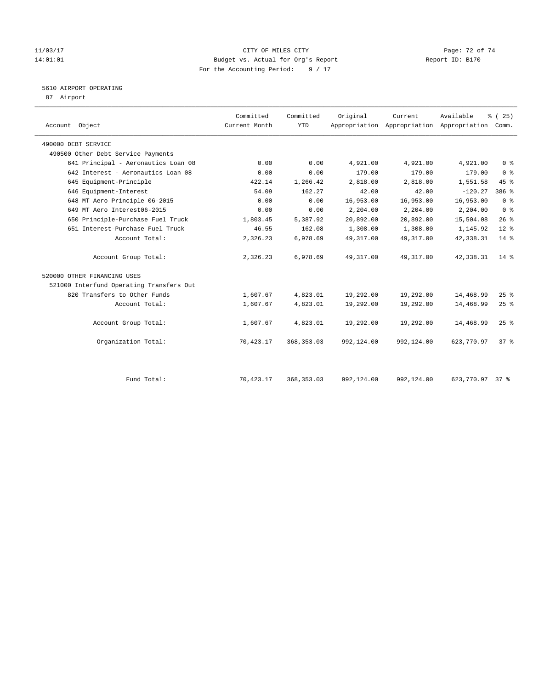#### 11/03/17 Page: 72 of 74 14:01:01 Budget vs. Actual for Org's Report Changer Report ID: B170 For the Accounting Period: 9 / 17

#### 5610 AIRPORT OPERATING

87 Airport

| Account Object                           | Committed<br>Current Month | Committed<br><b>YTD</b> | Original   | Current    | Available<br>Appropriation Appropriation Appropriation Comm. | % (25)          |
|------------------------------------------|----------------------------|-------------------------|------------|------------|--------------------------------------------------------------|-----------------|
| 490000 DEBT SERVICE                      |                            |                         |            |            |                                                              |                 |
| 490500 Other Debt Service Payments       |                            |                         |            |            |                                                              |                 |
| 641 Principal - Aeronautics Loan 08      | 0.00                       | 0.00                    | 4,921.00   | 4,921.00   | 4,921.00                                                     | 0 <sup>8</sup>  |
| 642 Interest - Aeronautics Loan 08       | 0.00                       | 0.00                    | 179.00     | 179.00     | 179.00                                                       | 0 <sup>8</sup>  |
| 645 Equipment-Principle                  | 422.14                     | 1,266.42                | 2,818.00   | 2,818.00   | 1,551.58                                                     | 45%             |
| 646 Equipment-Interest                   | 54.09                      | 162.27                  | 42.00      | 42.00      | $-120.27$                                                    | 386 %           |
| 648 MT Aero Principle 06-2015            | 0.00                       | 0.00                    | 16,953.00  | 16,953.00  | 16,953.00                                                    | 0 <sup>8</sup>  |
| 649 MT Aero Interest06-2015              | 0.00                       | 0.00                    | 2,204.00   | 2,204.00   | 2,204.00                                                     | 0 <sup>8</sup>  |
| 650 Principle-Purchase Fuel Truck        | 1,803.45                   | 5,387.92                | 20,892.00  | 20,892.00  | 15,504.08                                                    | $26$ %          |
| 651 Interest-Purchase Fuel Truck         | 46.55                      | 162.08                  | 1,308.00   | 1,308.00   | 1,145.92                                                     | $12*$           |
| Account Total:                           | 2,326.23                   | 6,978.69                | 49, 317.00 | 49, 317.00 | 42, 338.31                                                   | $14$ %          |
| Account Group Total:                     | 2,326.23                   | 6,978.69                | 49, 317.00 | 49, 317.00 | 42, 338.31                                                   | $14*$           |
| 520000 OTHER FINANCING USES              |                            |                         |            |            |                                                              |                 |
| 521000 Interfund Operating Transfers Out |                            |                         |            |            |                                                              |                 |
| 820 Transfers to Other Funds             | 1,607.67                   | 4,823.01                | 19,292.00  | 19,292.00  | 14,468.99                                                    | 25%             |
| Account Total:                           | 1,607.67                   | 4,823.01                | 19,292.00  | 19,292.00  | 14,468.99                                                    | 25%             |
| Account Group Total:                     | 1,607.67                   | 4,823.01                | 19,292.00  | 19,292.00  | 14,468.99                                                    | $25$ $%$        |
| Organization Total:                      | 70,423.17                  | 368, 353.03             | 992,124.00 | 992,124.00 | 623,770.97                                                   | 37 <sup>8</sup> |
|                                          |                            |                         |            |            |                                                              |                 |
| Fund Total:                              | 70,423.17                  | 368, 353.03             | 992,124.00 | 992,124.00 | 623,770.97                                                   | $37*$           |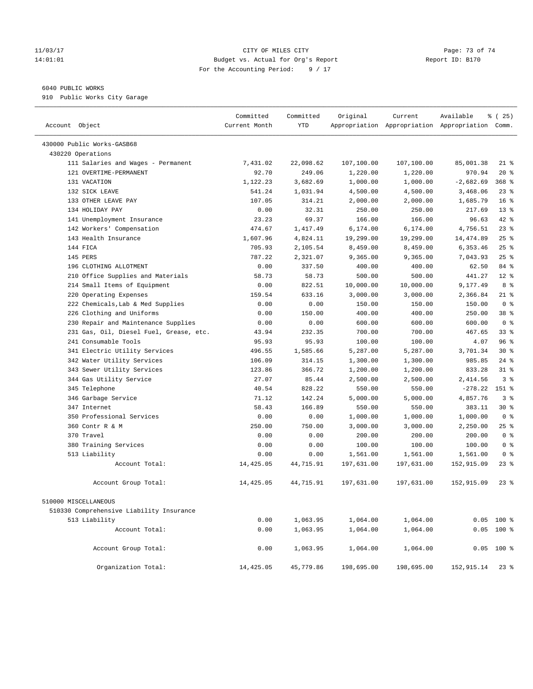## 11/03/17 Page: 73 of 74 14:01:01 Budget vs. Actual for Org's Report Report ID: B170 For the Accounting Period: 9 / 17

## 6040 PUBLIC WORKS

910 Public Works City Garage

| Account Object                           | Committed<br>Current Month | Committed<br><b>YTD</b> | Original   | Current<br>Appropriation Appropriation Appropriation Comm. | Available   | % (25)          |
|------------------------------------------|----------------------------|-------------------------|------------|------------------------------------------------------------|-------------|-----------------|
| 430000 Public Works-GASB68               |                            |                         |            |                                                            |             |                 |
| 430220 Operations                        |                            |                         |            |                                                            |             |                 |
| 111 Salaries and Wages - Permanent       | 7.431.02                   | 22,098.62               | 107,100.00 | 107,100.00                                                 | 85,001.38   | $21$ %          |
| 121 OVERTIME-PERMANENT                   | 92.70                      | 249.06                  | 1,220.00   | 1,220.00                                                   | 970.94      | $20*$           |
| 131 VACATION                             | 1,122.23                   | 3,682.69                | 1,000.00   | 1,000.00                                                   | $-2,682.69$ | $368$ %         |
| 132 SICK LEAVE                           | 541.24                     | 1,031.94                | 4,500.00   | 4,500.00                                                   | 3,468.06    | $23$ $%$        |
| 133 OTHER LEAVE PAY                      | 107.05                     | 314.21                  | 2,000.00   | 2,000.00                                                   | 1,685.79    | 16 <sup>°</sup> |
| 134 HOLIDAY PAY                          | 0.00                       | 32.31                   | 250.00     | 250.00                                                     | 217.69      | 13 <sup>°</sup> |
| 141 Unemployment Insurance               | 23.23                      | 69.37                   | 166.00     | 166.00                                                     | 96.63       | 42 %            |
| 142 Workers' Compensation                | 474.67                     | 1,417.49                | 6,174.00   | 6,174.00                                                   | 4,756.51    | 23%             |
| 143 Health Insurance                     | 1,607.96                   | 4,824.11                | 19,299.00  | 19,299.00                                                  | 14,474.89   | 25%             |
| 144 FICA                                 | 705.93                     | 2,105.54                | 8,459.00   | 8,459.00                                                   | 6,353.46    | 25%             |
| 145 PERS                                 | 787.22                     | 2,321.07                | 9,365.00   | 9,365.00                                                   | 7,043.93    | $25$ %          |
| 196 CLOTHING ALLOTMENT                   | 0.00                       | 337.50                  | 400.00     | 400.00                                                     | 62.50       | 84 %            |
| 210 Office Supplies and Materials        | 58.73                      | 58.73                   | 500.00     | 500.00                                                     | 441.27      | $12*$           |
| 214 Small Items of Equipment             | 0.00                       | 822.51                  | 10,000.00  | 10,000.00                                                  | 9,177.49    | 8 %             |
| 220 Operating Expenses                   | 159.54                     | 633.16                  | 3,000.00   | 3,000.00                                                   | 2,366.84    | $21$ %          |
| 222 Chemicals, Lab & Med Supplies        | 0.00                       | 0.00                    | 150.00     | 150.00                                                     | 150.00      | 0 <sup>8</sup>  |
| 226 Clothing and Uniforms                | 0.00                       | 150.00                  | 400.00     | 400.00                                                     | 250.00      | 38 %            |
| 230 Repair and Maintenance Supplies      | 0.00                       | 0.00                    | 600.00     | 600.00                                                     | 600.00      | 0 <sup>8</sup>  |
| 231 Gas, Oil, Diesel Fuel, Grease, etc.  | 43.94                      | 232.35                  | 700.00     | 700.00                                                     | 467.65      | 33 <sup>8</sup> |
| 241 Consumable Tools                     | 95.93                      | 95.93                   | 100.00     | 100.00                                                     | 4.07        | 96%             |
| 341 Electric Utility Services            | 496.55                     | 1,585.66                | 5,287.00   | 5,287.00                                                   | 3,701.34    | $30*$           |
| 342 Water Utility Services               | 106.09                     | 314.15                  | 1,300.00   | 1,300.00                                                   | 985.85      | 24%             |
| 343 Sewer Utility Services               | 123.86                     | 366.72                  | 1,200.00   | 1,200.00                                                   | 833.28      | $31$ %          |
| 344 Gas Utility Service                  | 27.07                      | 85.44                   | 2,500.00   | 2,500.00                                                   | 2,414.56    | 3 <sup>8</sup>  |
| 345 Telephone                            | 40.54                      | 828.22                  | 550.00     | 550.00                                                     | $-278.22$   | 151 %           |
| 346 Garbage Service                      | 71.12                      | 142.24                  | 5,000.00   | 5,000.00                                                   | 4,857.76    | 3 <sup>°</sup>  |
| 347 Internet                             | 58.43                      | 166.89                  | 550.00     | 550.00                                                     | 383.11      | $30*$           |
| 350 Professional Services                | 0.00                       | 0.00                    | 1,000.00   | 1,000.00                                                   | 1,000.00    | 0 <sup>8</sup>  |
| 360 Contr R & M                          | 250.00                     | 750.00                  | 3,000.00   | 3,000.00                                                   | 2,250.00    | 25%             |
| 370 Travel                               | 0.00                       | 0.00                    | 200.00     | 200.00                                                     | 200.00      | 0 <sup>8</sup>  |
| 380 Training Services                    | 0.00                       | 0.00                    | 100.00     | 100.00                                                     | 100.00      | 0 <sup>8</sup>  |
| 513 Liability                            | 0.00                       | 0.00                    | 1,561.00   | 1,561.00                                                   | 1,561.00    | 0 <sup>8</sup>  |
| Account Total:                           | 14,425.05                  | 44,715.91               | 197,631.00 | 197,631.00                                                 | 152,915.09  | $23$ $%$        |
| Account Group Total:                     | 14,425.05                  | 44,715.91               | 197,631.00 | 197,631.00                                                 | 152,915.09  | $23$ $%$        |
| 510000 MISCELLANEOUS                     |                            |                         |            |                                                            |             |                 |
| 510330 Comprehensive Liability Insurance |                            |                         |            |                                                            |             |                 |
| 513 Liability                            | 0.00                       | 1,063.95                | 1,064.00   | 1,064.00                                                   |             | $0.05$ 100 %    |
| Account Total:                           | 0.00                       | 1,063.95                | 1,064.00   | 1,064.00                                                   |             | $0.05$ 100 %    |
| Account Group Total:                     | 0.00                       | 1,063.95                | 1,064.00   | 1,064.00                                                   |             | $0.05$ 100 %    |
| Organization Total:                      | 14,425.05                  | 45,779.86               | 198,695.00 | 198,695.00                                                 | 152,915.14  | 238             |